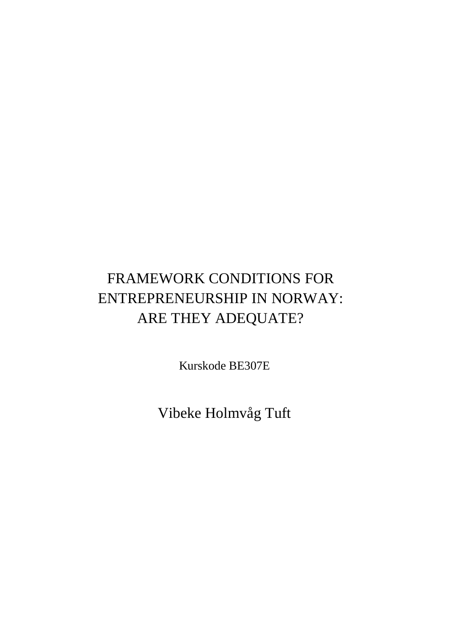# FRAMEWORK CONDITIONS FOR ENTREPRENEURSHIP IN NORWAY: ARE THEY ADEQUATE?

Kurskode BE307E

Vibeke Holmvåg Tuft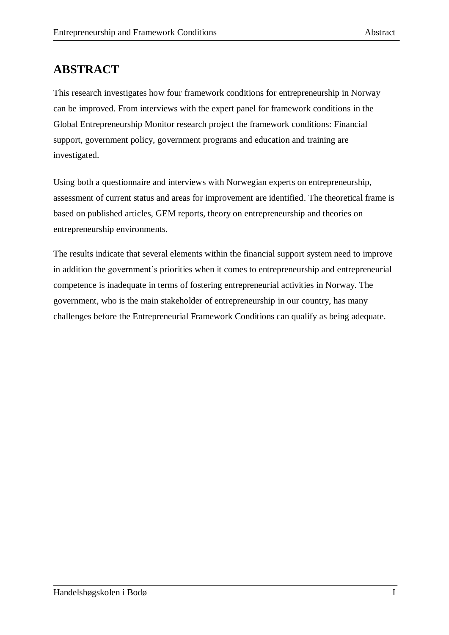# <span id="page-1-0"></span>**ABSTRACT**

This research investigates how four framework conditions for entrepreneurship in Norway can be improved. From interviews with the expert panel for framework conditions in the Global Entrepreneurship Monitor research project the framework conditions: Financial support, government policy, government programs and education and training are investigated.

Using both a questionnaire and interviews with Norwegian experts on entrepreneurship, assessment of current status and areas for improvement are identified. The theoretical frame is based on published articles, GEM reports, theory on entrepreneurship and theories on entrepreneurship environments.

The results indicate that several elements within the financial support system need to improve in addition the government's priorities when it comes to entrepreneurship and entrepreneurial competence is inadequate in terms of fostering entrepreneurial activities in Norway. The government, who is the main stakeholder of entrepreneurship in our country, has many challenges before the Entrepreneurial Framework Conditions can qualify as being adequate.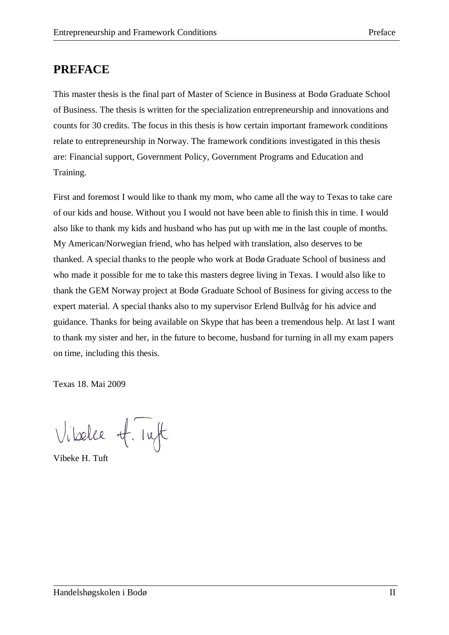## <span id="page-2-0"></span>**PREFACE**

This master thesis is the final part of Master of Science in Business at Bodø Graduate School of Business. The thesis is written for the specialization entrepreneurship and innovations and counts for 30 credits. The focus in this thesis is how certain important framework conditions relate to entrepreneurship in Norway. The framework conditions investigated in this thesis are: Financial support, Government Policy, Government Programs and Education and Training.

First and foremost I would like to thank my mom, who came all the way to Texas to take care of our kids and house. Without you I would not have been able to finish this in time. I would also like to thank my kids and husband who has put up with me in the last couple of months. My American/Norwegian friend, who has helped with translation, also deserves to be thanked. A special thanks to the people who work at Bodø Graduate School of business and who made it possible for me to take this masters degree living in Texas. I would also like to thank the GEM Norway project at Bodø Graduate School of Business for giving access to the expert material. A special thanks also to my supervisor Erlend Bullvåg for his advice and guidance. Thanks for being available on Skype that has been a tremendous help. At last I want to thank my sister and her, in the future to become, husband for turning in all my exam papers on time, including this thesis.

Texas 18. Mai 2009

Vibelee of Tyfe

Vibeke H. Tuft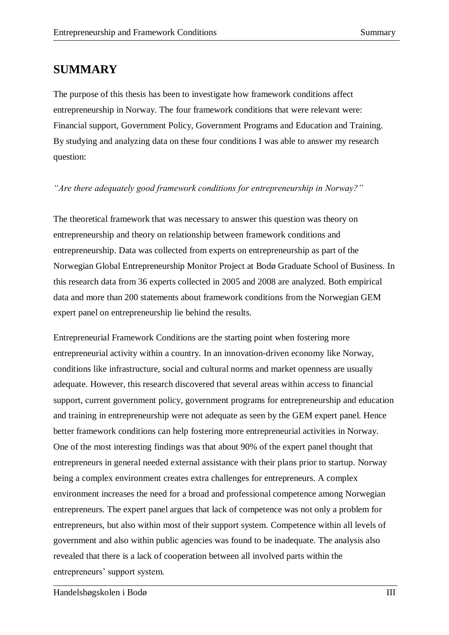# <span id="page-3-0"></span>**SUMMARY**

The purpose of this thesis has been to investigate how framework conditions affect entrepreneurship in Norway. The four framework conditions that were relevant were: Financial support, Government Policy, Government Programs and Education and Training. By studying and analyzing data on these four conditions I was able to answer my research question:

#### *"Are there adequately good framework conditions for entrepreneurship in Norway?"*

The theoretical framework that was necessary to answer this question was theory on entrepreneurship and theory on relationship between framework conditions and entrepreneurship. Data was collected from experts on entrepreneurship as part of the Norwegian Global Entrepreneurship Monitor Project at Bodø Graduate School of Business. In this research data from 36 experts collected in 2005 and 2008 are analyzed. Both empirical data and more than 200 statements about framework conditions from the Norwegian GEM expert panel on entrepreneurship lie behind the results.

Entrepreneurial Framework Conditions are the starting point when fostering more entrepreneurial activity within a country. In an innovation-driven economy like Norway, conditions like infrastructure, social and cultural norms and market openness are usually adequate. However, this research discovered that several areas within access to financial support, current government policy, government programs for entrepreneurship and education and training in entrepreneurship were not adequate as seen by the GEM expert panel. Hence better framework conditions can help fostering more entrepreneurial activities in Norway. One of the most interesting findings was that about 90% of the expert panel thought that entrepreneurs in general needed external assistance with their plans prior to startup. Norway being a complex environment creates extra challenges for entrepreneurs. A complex environment increases the need for a broad and professional competence among Norwegian entrepreneurs. The expert panel argues that lack of competence was not only a problem for entrepreneurs, but also within most of their support system. Competence within all levels of government and also within public agencies was found to be inadequate. The analysis also revealed that there is a lack of cooperation between all involved parts within the entrepreneurs' support system.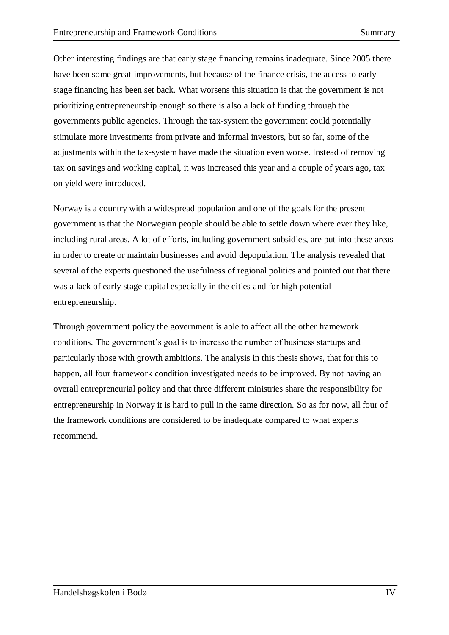Other interesting findings are that early stage financing remains inadequate. Since 2005 there have been some great improvements, but because of the finance crisis, the access to early stage financing has been set back. What worsens this situation is that the government is not prioritizing entrepreneurship enough so there is also a lack of funding through the governments public agencies. Through the tax-system the government could potentially stimulate more investments from private and informal investors, but so far, some of the adjustments within the tax-system have made the situation even worse. Instead of removing tax on savings and working capital, it was increased this year and a couple of years ago, tax on yield were introduced.

Norway is a country with a widespread population and one of the goals for the present government is that the Norwegian people should be able to settle down where ever they like, including rural areas. A lot of efforts, including government subsidies, are put into these areas in order to create or maintain businesses and avoid depopulation. The analysis revealed that several of the experts questioned the usefulness of regional politics and pointed out that there was a lack of early stage capital especially in the cities and for high potential entrepreneurship.

Through government policy the government is able to affect all the other framework conditions. The government's goal is to increase the number of business startups and particularly those with growth ambitions. The analysis in this thesis shows, that for this to happen, all four framework condition investigated needs to be improved. By not having an overall entrepreneurial policy and that three different ministries share the responsibility for entrepreneurship in Norway it is hard to pull in the same direction. So as for now, all four of the framework conditions are considered to be inadequate compared to what experts recommend.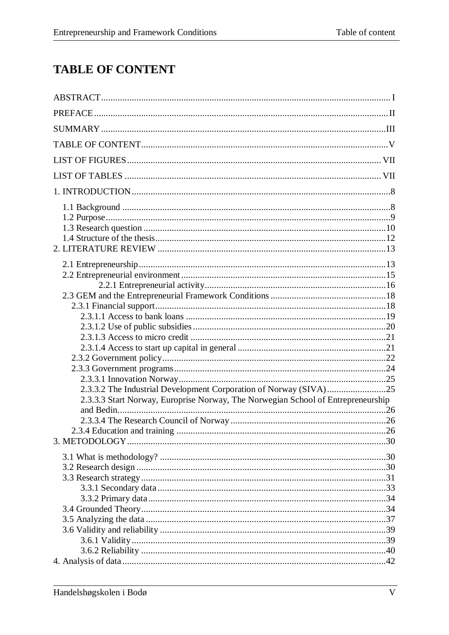# <span id="page-5-0"></span>**TABLE OF CONTENT**

| 2.3.3.3 Start Norway, Europrise Norway, The Norwegian School of Entrepreneurship |  |
|----------------------------------------------------------------------------------|--|
|                                                                                  |  |
|                                                                                  |  |
|                                                                                  |  |
|                                                                                  |  |
|                                                                                  |  |
|                                                                                  |  |
|                                                                                  |  |
|                                                                                  |  |
|                                                                                  |  |
|                                                                                  |  |
|                                                                                  |  |
|                                                                                  |  |
|                                                                                  |  |
|                                                                                  |  |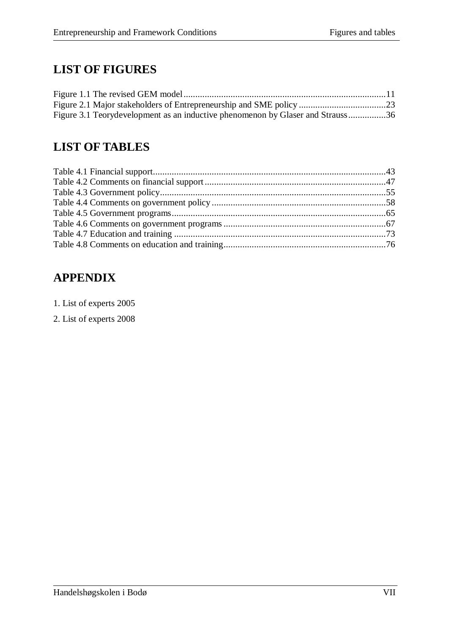# <span id="page-7-0"></span>**LIST OF FIGURES**

| Figure 3.1 Teory development as an inductive phenomenon by Glaser and Strauss36 |  |
|---------------------------------------------------------------------------------|--|

# <span id="page-7-1"></span>**LIST OF TABLES**

# **APPENDIX**

- 1. List of experts 2005
- 2. List of experts 2008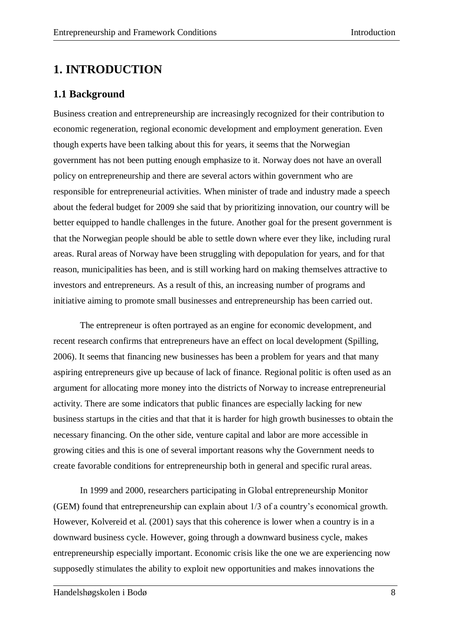# <span id="page-8-0"></span>**1. INTRODUCTION**

### <span id="page-8-1"></span>**1.1 Background**

Business creation and entrepreneurship are increasingly recognized for their contribution to economic regeneration, regional economic development and employment generation. Even though experts have been talking about this for years, it seems that the Norwegian government has not been putting enough emphasize to it. Norway does not have an overall policy on entrepreneurship and there are several actors within government who are responsible for entrepreneurial activities. When minister of trade and industry made a speech about the federal budget for 2009 she said that by prioritizing innovation, our country will be better equipped to handle challenges in the future. Another goal for the present government is that the Norwegian people should be able to settle down where ever they like, including rural areas. Rural areas of Norway have been struggling with depopulation for years, and for that reason, municipalities has been, and is still working hard on making themselves attractive to investors and entrepreneurs. As a result of this, an increasing number of programs and initiative aiming to promote small businesses and entrepreneurship has been carried out.

The entrepreneur is often portrayed as an engine for economic development, and recent research confirms that entrepreneurs have an effect on local development (Spilling, 2006). It seems that financing new businesses has been a problem for years and that many aspiring entrepreneurs give up because of lack of finance. Regional politic is often used as an argument for allocating more money into the districts of Norway to increase entrepreneurial activity. There are some indicators that public finances are especially lacking for new business startups in the cities and that that it is harder for high growth businesses to obtain the necessary financing. On the other side, venture capital and labor are more accessible in growing cities and this is one of several important reasons why the Government needs to create favorable conditions for entrepreneurship both in general and specific rural areas.

In 1999 and 2000, researchers participating in Global entrepreneurship Monitor (GEM) found that entrepreneurship can explain about 1/3 of a country's economical growth. However, Kolvereid et al. (2001) says that this coherence is lower when a country is in a downward business cycle. However, going through a downward business cycle, makes entrepreneurship especially important. Economic crisis like the one we are experiencing now supposedly stimulates the ability to exploit new opportunities and makes innovations the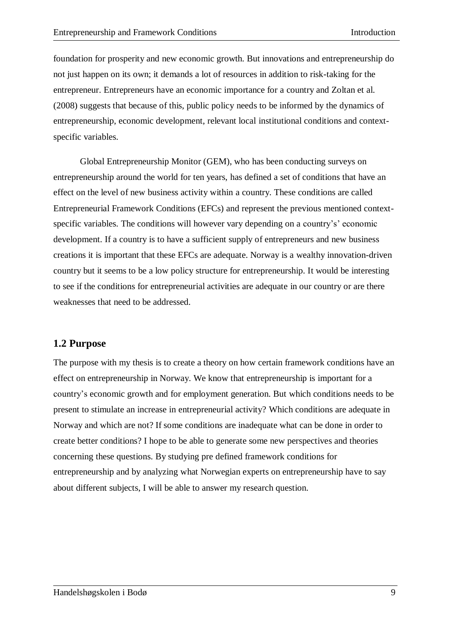foundation for prosperity and new economic growth. But innovations and entrepreneurship do not just happen on its own; it demands a lot of resources in addition to risk-taking for the entrepreneur. Entrepreneurs have an economic importance for a country and Zoltan et al. (2008) suggests that because of this, public policy needs to be informed by the dynamics of entrepreneurship, economic development, relevant local institutional conditions and contextspecific variables.

Global Entrepreneurship Monitor (GEM), who has been conducting surveys on entrepreneurship around the world for ten years, has defined a set of conditions that have an effect on the level of new business activity within a country. These conditions are called Entrepreneurial Framework Conditions (EFCs) and represent the previous mentioned contextspecific variables. The conditions will however vary depending on a country's' economic development. If a country is to have a sufficient supply of entrepreneurs and new business creations it is important that these EFCs are adequate. Norway is a wealthy innovation-driven country but it seems to be a low policy structure for entrepreneurship. It would be interesting to see if the conditions for entrepreneurial activities are adequate in our country or are there weaknesses that need to be addressed.

#### <span id="page-9-0"></span>**1.2 Purpose**

The purpose with my thesis is to create a theory on how certain framework conditions have an effect on entrepreneurship in Norway. We know that entrepreneurship is important for a country's economic growth and for employment generation. But which conditions needs to be present to stimulate an increase in entrepreneurial activity? Which conditions are adequate in Norway and which are not? If some conditions are inadequate what can be done in order to create better conditions? I hope to be able to generate some new perspectives and theories concerning these questions. By studying pre defined framework conditions for entrepreneurship and by analyzing what Norwegian experts on entrepreneurship have to say about different subjects, I will be able to answer my research question.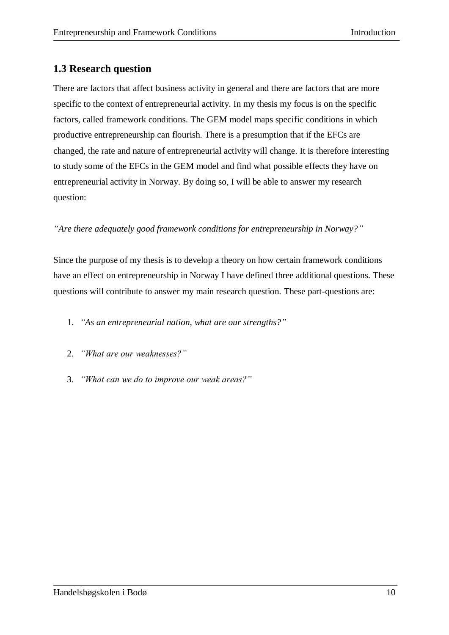### <span id="page-10-0"></span>**1.3 Research question**

There are factors that affect business activity in general and there are factors that are more specific to the context of entrepreneurial activity. In my thesis my focus is on the specific factors, called framework conditions. The GEM model maps specific conditions in which productive entrepreneurship can flourish. There is a presumption that if the EFCs are changed, the rate and nature of entrepreneurial activity will change. It is therefore interesting to study some of the EFCs in the GEM model and find what possible effects they have on entrepreneurial activity in Norway. By doing so, I will be able to answer my research question:

#### *"Are there adequately good framework conditions for entrepreneurship in Norway?"*

Since the purpose of my thesis is to develop a theory on how certain framework conditions have an effect on entrepreneurship in Norway I have defined three additional questions. These questions will contribute to answer my main research question. These part-questions are:

- 1. *"As an entrepreneurial nation, what are our strengths?"*
- 2. *"What are our weaknesses?"*
- 3. *"What can we do to improve our weak areas?"*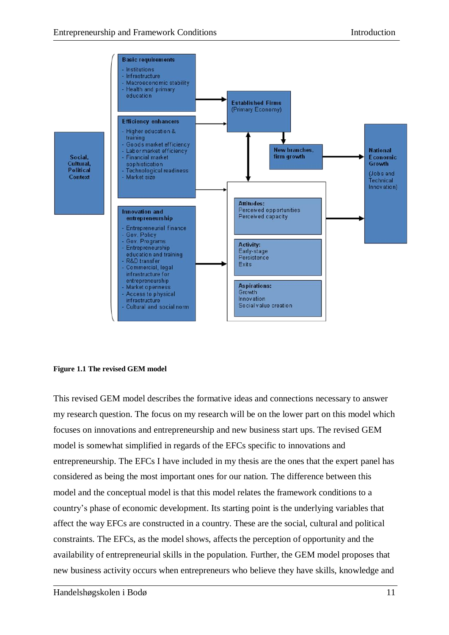

#### <span id="page-11-0"></span>**Figure 1.1 The revised GEM model**

This revised GEM model describes the formative ideas and connections necessary to answer my research question. The focus on my research will be on the lower part on this model which focuses on innovations and entrepreneurship and new business start ups. The revised GEM model is somewhat simplified in regards of the EFCs specific to innovations and entrepreneurship. The EFCs I have included in my thesis are the ones that the expert panel has considered as being the most important ones for our nation. The difference between this model and the conceptual model is that this model relates the framework conditions to a country's phase of economic development. Its starting point is the underlying variables that affect the way EFCs are constructed in a country. These are the social, cultural and political constraints. The EFCs, as the model shows, affects the perception of opportunity and the availability of entrepreneurial skills in the population. Further, the GEM model proposes that new business activity occurs when entrepreneurs who believe they have skills, knowledge and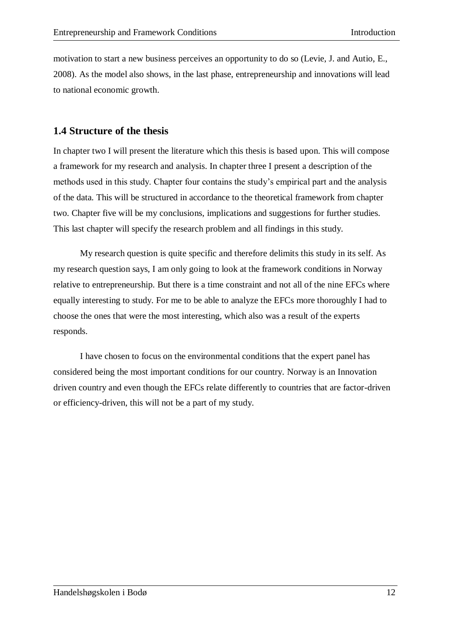motivation to start a new business perceives an opportunity to do so (Levie, J. and Autio, E., 2008). As the model also shows, in the last phase, entrepreneurship and innovations will lead to national economic growth.

### <span id="page-12-0"></span>**1.4 Structure of the thesis**

In chapter two I will present the literature which this thesis is based upon. This will compose a framework for my research and analysis. In chapter three I present a description of the methods used in this study. Chapter four contains the study's empirical part and the analysis of the data. This will be structured in accordance to the theoretical framework from chapter two. Chapter five will be my conclusions, implications and suggestions for further studies. This last chapter will specify the research problem and all findings in this study.

My research question is quite specific and therefore delimits this study in its self. As my research question says, I am only going to look at the framework conditions in Norway relative to entrepreneurship. But there is a time constraint and not all of the nine EFCs where equally interesting to study. For me to be able to analyze the EFCs more thoroughly I had to choose the ones that were the most interesting, which also was a result of the experts responds.

I have chosen to focus on the environmental conditions that the expert panel has considered being the most important conditions for our country. Norway is an Innovation driven country and even though the EFCs relate differently to countries that are factor-driven or efficiency-driven, this will not be a part of my study.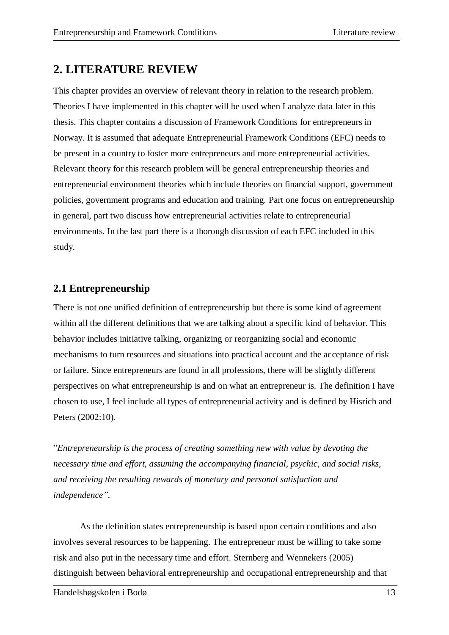# <span id="page-13-0"></span>**2. LITERATURE REVIEW**

This chapter provides an overview of relevant theory in relation to the research problem. Theories I have implemented in this chapter will be used when I analyze data later in this thesis. This chapter contains a discussion of Framework Conditions for entrepreneurs in Norway. It is assumed that adequate Entrepreneurial Framework Conditions (EFC) needs to be present in a country to foster more entrepreneurs and more entrepreneurial activities. Relevant theory for this research problem will be general entrepreneurship theories and entrepreneurial environment theories which include theories on financial support, government policies, government programs and education and training. Part one focus on entrepreneurship in general, part two discuss how entrepreneurial activities relate to entrepreneurial environments. In the last part there is a thorough discussion of each EFC included in this study.

### <span id="page-13-1"></span>**2.1 Entrepreneurship**

There is not one unified definition of entrepreneurship but there is some kind of agreement within all the different definitions that we are talking about a specific kind of behavior. This behavior includes initiative talking, organizing or reorganizing social and economic mechanisms to turn resources and situations into practical account and the acceptance of risk or failure. Since entrepreneurs are found in all professions, there will be slightly different perspectives on what entrepreneurship is and on what an entrepreneur is. The definition I have chosen to use, I feel include all types of entrepreneurial activity and is defined by Hisrich and Peters (2002:10).

"*Entrepreneurship is the process of creating something new with value by devoting the necessary time and effort, assuming the accompanying financial, psychic, and social risks, and receiving the resulting rewards of monetary and personal satisfaction and independence".*

As the definition states entrepreneurship is based upon certain conditions and also involves several resources to be happening. The entrepreneur must be willing to take some risk and also put in the necessary time and effort. Sternberg and Wennekers (2005) distinguish between behavioral entrepreneurship and occupational entrepreneurship and that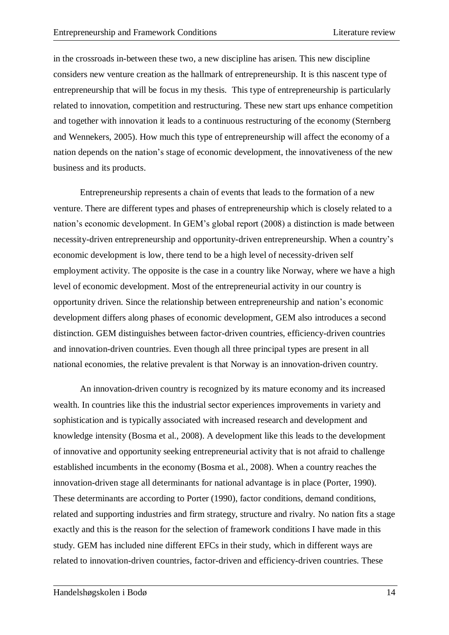in the crossroads in-between these two, a new discipline has arisen. This new discipline considers new venture creation as the hallmark of entrepreneurship. It is this nascent type of entrepreneurship that will be focus in my thesis. This type of entrepreneurship is particularly related to innovation, competition and restructuring. These new start ups enhance competition and together with innovation it leads to a continuous restructuring of the economy (Sternberg and Wennekers, 2005). How much this type of entrepreneurship will affect the economy of a nation depends on the nation's stage of economic development, the innovativeness of the new business and its products.

Entrepreneurship represents a chain of events that leads to the formation of a new venture. There are different types and phases of entrepreneurship which is closely related to a nation's economic development. In GEM's global report (2008) a distinction is made between necessity-driven entrepreneurship and opportunity-driven entrepreneurship. When a country's economic development is low, there tend to be a high level of necessity-driven self employment activity. The opposite is the case in a country like Norway, where we have a high level of economic development. Most of the entrepreneurial activity in our country is opportunity driven. Since the relationship between entrepreneurship and nation's economic development differs along phases of economic development, GEM also introduces a second distinction. GEM distinguishes between factor-driven countries, efficiency-driven countries and innovation-driven countries. Even though all three principal types are present in all national economies, the relative prevalent is that Norway is an innovation-driven country.

An innovation-driven country is recognized by its mature economy and its increased wealth. In countries like this the industrial sector experiences improvements in variety and sophistication and is typically associated with increased research and development and knowledge intensity (Bosma et al., 2008). A development like this leads to the development of innovative and opportunity seeking entrepreneurial activity that is not afraid to challenge established incumbents in the economy (Bosma et al., 2008). When a country reaches the innovation-driven stage all determinants for national advantage is in place (Porter, 1990). These determinants are according to Porter (1990), factor conditions, demand conditions, related and supporting industries and firm strategy, structure and rivalry. No nation fits a stage exactly and this is the reason for the selection of framework conditions I have made in this study. GEM has included nine different EFCs in their study, which in different ways are related to innovation-driven countries, factor-driven and efficiency-driven countries. These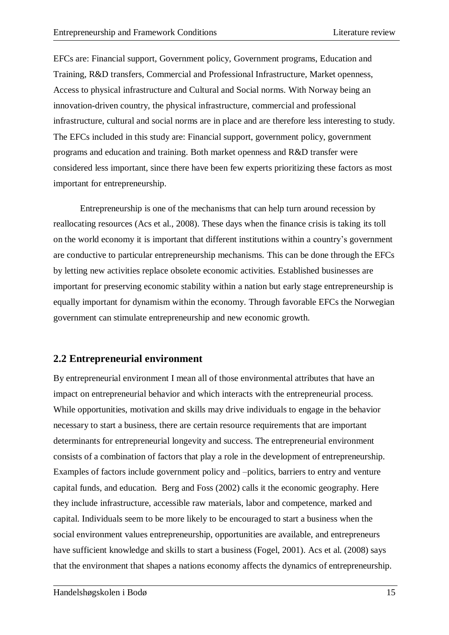EFCs are: Financial support, Government policy, Government programs, Education and Training, R&D transfers, Commercial and Professional Infrastructure, Market openness, Access to physical infrastructure and Cultural and Social norms. With Norway being an innovation-driven country, the physical infrastructure, commercial and professional infrastructure, cultural and social norms are in place and are therefore less interesting to study. The EFCs included in this study are: Financial support, government policy, government programs and education and training. Both market openness and R&D transfer were considered less important, since there have been few experts prioritizing these factors as most important for entrepreneurship.

Entrepreneurship is one of the mechanisms that can help turn around recession by reallocating resources (Acs et al., 2008). These days when the finance crisis is taking its toll on the world economy it is important that different institutions within a country's government are conductive to particular entrepreneurship mechanisms. This can be done through the EFCs by letting new activities replace obsolete economic activities. Established businesses are important for preserving economic stability within a nation but early stage entrepreneurship is equally important for dynamism within the economy. Through favorable EFCs the Norwegian government can stimulate entrepreneurship and new economic growth.

### <span id="page-15-0"></span>**2.2 Entrepreneurial environment**

By entrepreneurial environment I mean all of those environmental attributes that have an impact on entrepreneurial behavior and which interacts with the entrepreneurial process. While opportunities, motivation and skills may drive individuals to engage in the behavior necessary to start a business, there are certain resource requirements that are important determinants for entrepreneurial longevity and success. The entrepreneurial environment consists of a combination of factors that play a role in the development of entrepreneurship. Examples of factors include government policy and –politics, barriers to entry and venture capital funds, and education. Berg and Foss (2002) calls it the economic geography. Here they include infrastructure, accessible raw materials, labor and competence, marked and capital. Individuals seem to be more likely to be encouraged to start a business when the social environment values entrepreneurship, opportunities are available, and entrepreneurs have sufficient knowledge and skills to start a business (Fogel, 2001). Acs et al. (2008) says that the environment that shapes a nations economy affects the dynamics of entrepreneurship.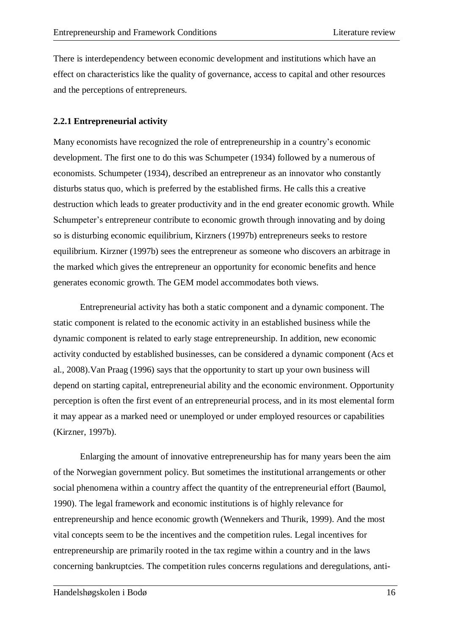There is interdependency between economic development and institutions which have an effect on characteristics like the quality of governance, access to capital and other resources and the perceptions of entrepreneurs.

#### <span id="page-16-0"></span>**2.2.1 Entrepreneurial activity**

Many economists have recognized the role of entrepreneurship in a country's economic development. The first one to do this was Schumpeter (1934) followed by a numerous of economists. Schumpeter (1934), described an entrepreneur as an innovator who constantly disturbs status quo, which is preferred by the established firms. He calls this a creative destruction which leads to greater productivity and in the end greater economic growth. While Schumpeter's entrepreneur contribute to economic growth through innovating and by doing so is disturbing economic equilibrium, Kirzners (1997b) entrepreneurs seeks to restore equilibrium. Kirzner (1997b) sees the entrepreneur as someone who discovers an arbitrage in the marked which gives the entrepreneur an opportunity for economic benefits and hence generates economic growth. The GEM model accommodates both views.

Entrepreneurial activity has both a static component and a dynamic component. The static component is related to the economic activity in an established business while the dynamic component is related to early stage entrepreneurship. In addition, new economic activity conducted by established businesses, can be considered a dynamic component (Acs et al., 2008).Van Praag (1996) says that the opportunity to start up your own business will depend on starting capital, entrepreneurial ability and the economic environment. Opportunity perception is often the first event of an entrepreneurial process, and in its most elemental form it may appear as a marked need or unemployed or under employed resources or capabilities (Kirzner, 1997b).

Enlarging the amount of innovative entrepreneurship has for many years been the aim of the Norwegian government policy. But sometimes the institutional arrangements or other social phenomena within a country affect the quantity of the entrepreneurial effort (Baumol, 1990). The legal framework and economic institutions is of highly relevance for entrepreneurship and hence economic growth (Wennekers and Thurik, 1999). And the most vital concepts seem to be the incentives and the competition rules. Legal incentives for entrepreneurship are primarily rooted in the tax regime within a country and in the laws concerning bankruptcies. The competition rules concerns regulations and deregulations, anti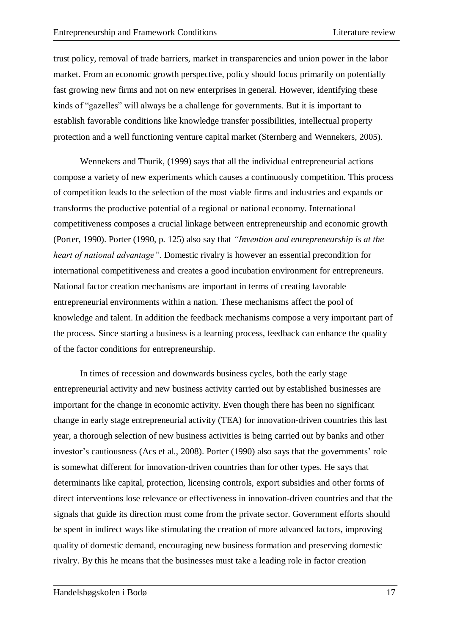trust policy, removal of trade barriers, market in transparencies and union power in the labor market. From an economic growth perspective, policy should focus primarily on potentially fast growing new firms and not on new enterprises in general. However, identifying these kinds of "gazelles" will always be a challenge for governments. But it is important to establish favorable conditions like knowledge transfer possibilities, intellectual property protection and a well functioning venture capital market (Sternberg and Wennekers, 2005).

Wennekers and Thurik, (1999) says that all the individual entrepreneurial actions compose a variety of new experiments which causes a continuously competition. This process of competition leads to the selection of the most viable firms and industries and expands or transforms the productive potential of a regional or national economy. International competitiveness composes a crucial linkage between entrepreneurship and economic growth (Porter, 1990). Porter (1990, p. 125) also say that *"Invention and entrepreneurship is at the heart of national advantage"*. Domestic rivalry is however an essential precondition for international competitiveness and creates a good incubation environment for entrepreneurs. National factor creation mechanisms are important in terms of creating favorable entrepreneurial environments within a nation. These mechanisms affect the pool of knowledge and talent. In addition the feedback mechanisms compose a very important part of the process. Since starting a business is a learning process, feedback can enhance the quality of the factor conditions for entrepreneurship.

In times of recession and downwards business cycles, both the early stage entrepreneurial activity and new business activity carried out by established businesses are important for the change in economic activity. Even though there has been no significant change in early stage entrepreneurial activity (TEA) for innovation-driven countries this last year, a thorough selection of new business activities is being carried out by banks and other investor's cautiousness (Acs et al., 2008). Porter (1990) also says that the governments' role is somewhat different for innovation-driven countries than for other types. He says that determinants like capital, protection, licensing controls, export subsidies and other forms of direct interventions lose relevance or effectiveness in innovation-driven countries and that the signals that guide its direction must come from the private sector. Government efforts should be spent in indirect ways like stimulating the creation of more advanced factors, improving quality of domestic demand, encouraging new business formation and preserving domestic rivalry. By this he means that the businesses must take a leading role in factor creation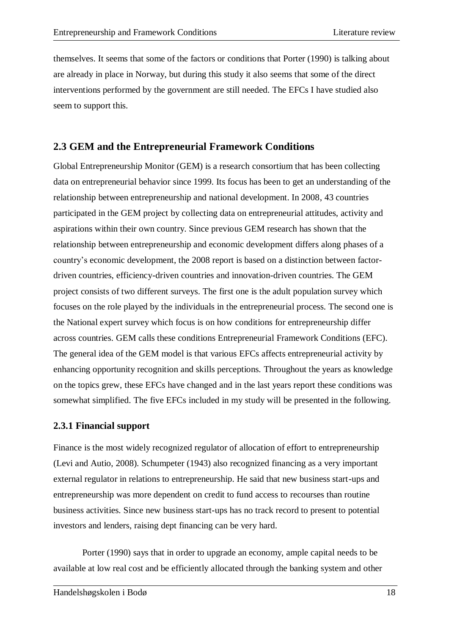themselves. It seems that some of the factors or conditions that Porter (1990) is talking about are already in place in Norway, but during this study it also seems that some of the direct interventions performed by the government are still needed. The EFCs I have studied also seem to support this.

### <span id="page-18-0"></span>**2.3 GEM and the Entrepreneurial Framework Conditions**

Global Entrepreneurship Monitor (GEM) is a research consortium that has been collecting data on entrepreneurial behavior since 1999. Its focus has been to get an understanding of the relationship between entrepreneurship and national development. In 2008, 43 countries participated in the GEM project by collecting data on entrepreneurial attitudes, activity and aspirations within their own country. Since previous GEM research has shown that the relationship between entrepreneurship and economic development differs along phases of a country's economic development, the 2008 report is based on a distinction between factordriven countries, efficiency-driven countries and innovation-driven countries. The GEM project consists of two different surveys. The first one is the adult population survey which focuses on the role played by the individuals in the entrepreneurial process. The second one is the National expert survey which focus is on how conditions for entrepreneurship differ across countries. GEM calls these conditions Entrepreneurial Framework Conditions (EFC). The general idea of the GEM model is that various EFCs affects entrepreneurial activity by enhancing opportunity recognition and skills perceptions. Throughout the years as knowledge on the topics grew, these EFCs have changed and in the last years report these conditions was somewhat simplified. The five EFCs included in my study will be presented in the following.

#### <span id="page-18-1"></span>**2.3.1 Financial support**

Finance is the most widely recognized regulator of allocation of effort to entrepreneurship (Levi and Autio, 2008). Schumpeter (1943) also recognized financing as a very important external regulator in relations to entrepreneurship. He said that new business start-ups and entrepreneurship was more dependent on credit to fund access to recourses than routine business activities. Since new business start-ups has no track record to present to potential investors and lenders, raising dept financing can be very hard.

Porter (1990) says that in order to upgrade an economy, ample capital needs to be available at low real cost and be efficiently allocated through the banking system and other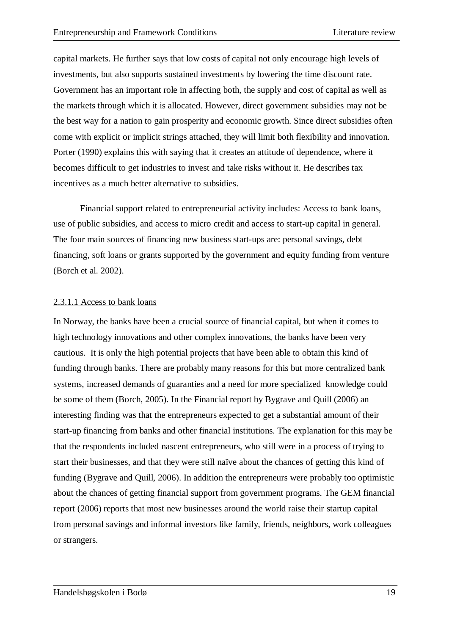capital markets. He further says that low costs of capital not only encourage high levels of investments, but also supports sustained investments by lowering the time discount rate. Government has an important role in affecting both, the supply and cost of capital as well as the markets through which it is allocated. However, direct government subsidies may not be the best way for a nation to gain prosperity and economic growth. Since direct subsidies often come with explicit or implicit strings attached, they will limit both flexibility and innovation. Porter (1990) explains this with saying that it creates an attitude of dependence, where it becomes difficult to get industries to invest and take risks without it. He describes tax incentives as a much better alternative to subsidies.

Financial support related to entrepreneurial activity includes: Access to bank loans, use of public subsidies, and access to micro credit and access to start-up capital in general. The four main sources of financing new business start-ups are: personal savings, debt financing, soft loans or grants supported by the government and equity funding from venture (Borch et al. 2002).

#### <span id="page-19-0"></span>2.3.1.1 Access to bank loans

In Norway, the banks have been a crucial source of financial capital, but when it comes to high technology innovations and other complex innovations, the banks have been very cautious. It is only the high potential projects that have been able to obtain this kind of funding through banks. There are probably many reasons for this but more centralized bank systems, increased demands of guaranties and a need for more specialized knowledge could be some of them (Borch, 2005). In the Financial report by Bygrave and Quill (2006) an interesting finding was that the entrepreneurs expected to get a substantial amount of their start-up financing from banks and other financial institutions. The explanation for this may be that the respondents included nascent entrepreneurs, who still were in a process of trying to start their businesses, and that they were still naïve about the chances of getting this kind of funding (Bygrave and Quill, 2006). In addition the entrepreneurs were probably too optimistic about the chances of getting financial support from government programs. The GEM financial report (2006) reports that most new businesses around the world raise their startup capital from personal savings and informal investors like family, friends, neighbors, work colleagues or strangers.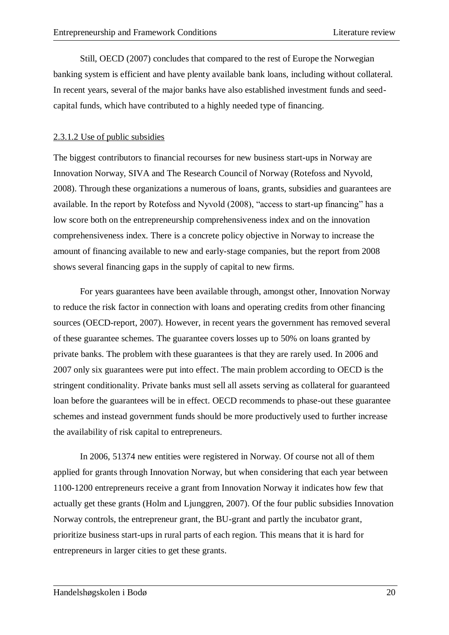Still, OECD (2007) concludes that compared to the rest of Europe the Norwegian banking system is efficient and have plenty available bank loans, including without collateral. In recent years, several of the major banks have also established investment funds and seedcapital funds, which have contributed to a highly needed type of financing.

#### <span id="page-20-0"></span>2.3.1.2 Use of public subsidies

The biggest contributors to financial recourses for new business start-ups in Norway are Innovation Norway, SIVA and The Research Council of Norway (Rotefoss and Nyvold, 2008). Through these organizations a numerous of loans, grants, subsidies and guarantees are available. In the report by Rotefoss and Nyvold (2008), "access to start-up financing" has a low score both on the entrepreneurship comprehensiveness index and on the innovation comprehensiveness index. There is a concrete policy objective in Norway to increase the amount of financing available to new and early-stage companies, but the report from 2008 shows several financing gaps in the supply of capital to new firms.

For years guarantees have been available through, amongst other, Innovation Norway to reduce the risk factor in connection with loans and operating credits from other financing sources (OECD-report, 2007). However, in recent years the government has removed several of these guarantee schemes. The guarantee covers losses up to 50% on loans granted by private banks. The problem with these guarantees is that they are rarely used. In 2006 and 2007 only six guarantees were put into effect. The main problem according to OECD is the stringent conditionality. Private banks must sell all assets serving as collateral for guaranteed loan before the guarantees will be in effect. OECD recommends to phase-out these guarantee schemes and instead government funds should be more productively used to further increase the availability of risk capital to entrepreneurs.

In 2006, 51374 new entities were registered in Norway. Of course not all of them applied for grants through Innovation Norway, but when considering that each year between 1100-1200 entrepreneurs receive a grant from Innovation Norway it indicates how few that actually get these grants (Holm and Ljunggren, 2007). Of the four public subsidies Innovation Norway controls, the entrepreneur grant, the BU-grant and partly the incubator grant, prioritize business start-ups in rural parts of each region. This means that it is hard for entrepreneurs in larger cities to get these grants.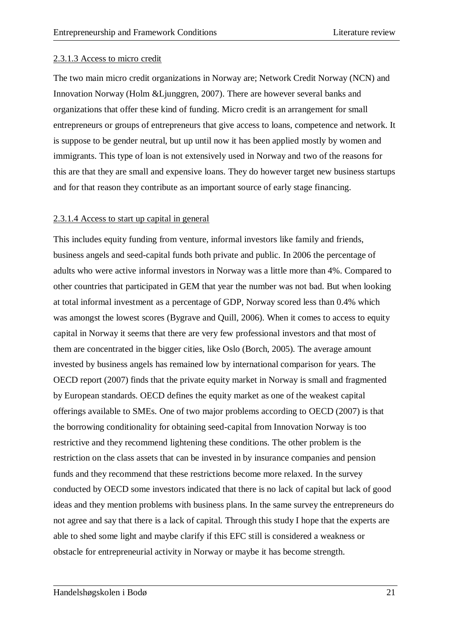#### <span id="page-21-0"></span>2.3.1.3 Access to micro credit

The two main micro credit organizations in Norway are; Network Credit Norway (NCN) and Innovation Norway (Holm &Ljunggren, 2007). There are however several banks and organizations that offer these kind of funding. Micro credit is an arrangement for small entrepreneurs or groups of entrepreneurs that give access to loans, competence and network. It is suppose to be gender neutral, but up until now it has been applied mostly by women and immigrants. This type of loan is not extensively used in Norway and two of the reasons for this are that they are small and expensive loans. They do however target new business startups and for that reason they contribute as an important source of early stage financing.

#### <span id="page-21-1"></span>2.3.1.4 Access to start up capital in general

This includes equity funding from venture, informal investors like family and friends, business angels and seed-capital funds both private and public. In 2006 the percentage of adults who were active informal investors in Norway was a little more than 4%. Compared to other countries that participated in GEM that year the number was not bad. But when looking at total informal investment as a percentage of GDP, Norway scored less than 0.4% which was amongst the lowest scores (Bygrave and Quill, 2006). When it comes to access to equity capital in Norway it seems that there are very few professional investors and that most of them are concentrated in the bigger cities, like Oslo (Borch, 2005). The average amount invested by business angels has remained low by international comparison for years. The OECD report (2007) finds that the private equity market in Norway is small and fragmented by European standards. OECD defines the equity market as one of the weakest capital offerings available to SMEs. One of two major problems according to OECD (2007) is that the borrowing conditionality for obtaining seed-capital from Innovation Norway is too restrictive and they recommend lightening these conditions. The other problem is the restriction on the class assets that can be invested in by insurance companies and pension funds and they recommend that these restrictions become more relaxed. In the survey conducted by OECD some investors indicated that there is no lack of capital but lack of good ideas and they mention problems with business plans. In the same survey the entrepreneurs do not agree and say that there is a lack of capital. Through this study I hope that the experts are able to shed some light and maybe clarify if this EFC still is considered a weakness or obstacle for entrepreneurial activity in Norway or maybe it has become strength.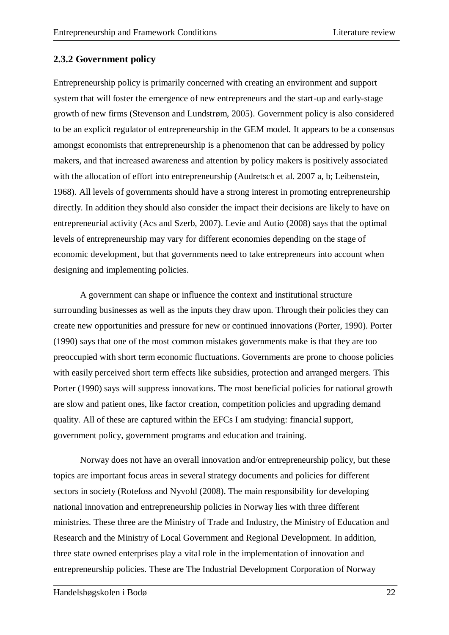#### <span id="page-22-0"></span>**2.3.2 Government policy**

Entrepreneurship policy is primarily concerned with creating an environment and support system that will foster the emergence of new entrepreneurs and the start-up and early-stage growth of new firms (Stevenson and Lundstrøm, 2005). Government policy is also considered to be an explicit regulator of entrepreneurship in the GEM model. It appears to be a consensus amongst economists that entrepreneurship is a phenomenon that can be addressed by policy makers, and that increased awareness and attention by policy makers is positively associated with the allocation of effort into entrepreneurship (Audretsch et al. 2007 a, b; Leibenstein, 1968). All levels of governments should have a strong interest in promoting entrepreneurship directly. In addition they should also consider the impact their decisions are likely to have on entrepreneurial activity (Acs and Szerb, 2007). Levie and Autio (2008) says that the optimal levels of entrepreneurship may vary for different economies depending on the stage of economic development, but that governments need to take entrepreneurs into account when designing and implementing policies.

A government can shape or influence the context and institutional structure surrounding businesses as well as the inputs they draw upon. Through their policies they can create new opportunities and pressure for new or continued innovations (Porter, 1990). Porter (1990) says that one of the most common mistakes governments make is that they are too preoccupied with short term economic fluctuations. Governments are prone to choose policies with easily perceived short term effects like subsidies, protection and arranged mergers. This Porter (1990) says will suppress innovations. The most beneficial policies for national growth are slow and patient ones, like factor creation, competition policies and upgrading demand quality. All of these are captured within the EFCs I am studying: financial support, government policy, government programs and education and training.

Norway does not have an overall innovation and/or entrepreneurship policy, but these topics are important focus areas in several strategy documents and policies for different sectors in society (Rotefoss and Nyvold (2008). The main responsibility for developing national innovation and entrepreneurship policies in Norway lies with three different ministries. These three are the Ministry of Trade and Industry, the Ministry of Education and Research and the Ministry of Local Government and Regional Development. In addition, three state owned enterprises play a vital role in the implementation of innovation and entrepreneurship policies. These are The Industrial Development Corporation of Norway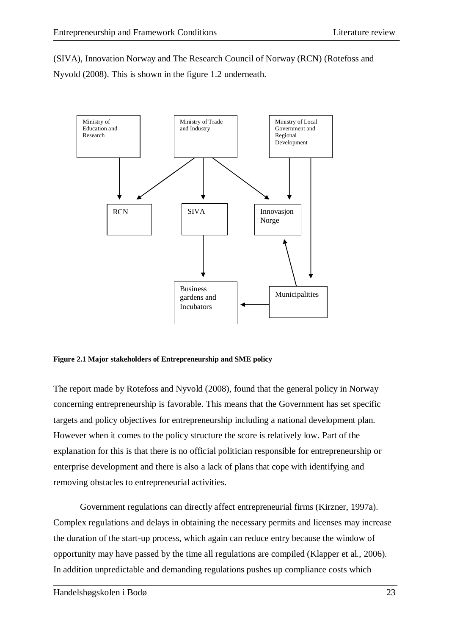(SIVA), Innovation Norway and The Research Council of Norway (RCN) (Rotefoss and Nyvold (2008). This is shown in the figure 1.2 underneath.



<span id="page-23-0"></span>**Figure 2.1 Major stakeholders of Entrepreneurship and SME policy**

The report made by Rotefoss and Nyvold (2008), found that the general policy in Norway concerning entrepreneurship is favorable. This means that the Government has set specific targets and policy objectives for entrepreneurship including a national development plan. However when it comes to the policy structure the score is relatively low. Part of the explanation for this is that there is no official politician responsible for entrepreneurship or enterprise development and there is also a lack of plans that cope with identifying and removing obstacles to entrepreneurial activities.

Government regulations can directly affect entrepreneurial firms (Kirzner, 1997a). Complex regulations and delays in obtaining the necessary permits and licenses may increase the duration of the start-up process, which again can reduce entry because the window of opportunity may have passed by the time all regulations are compiled (Klapper et al., 2006). In addition unpredictable and demanding regulations pushes up compliance costs which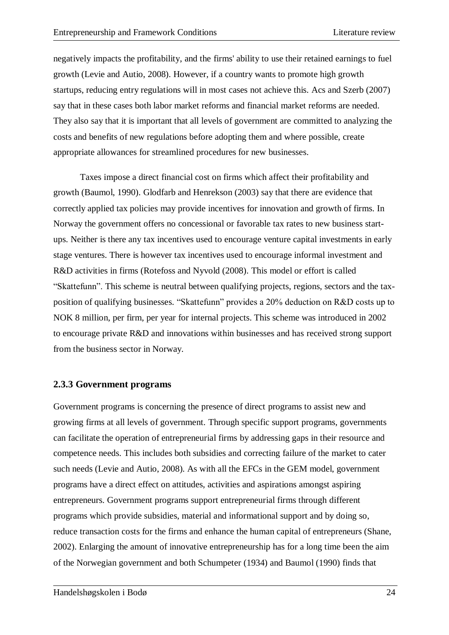negatively impacts the profitability, and the firms' ability to use their retained earnings to fuel growth (Levie and Autio, 2008). However, if a country wants to promote high growth startups, reducing entry regulations will in most cases not achieve this. Acs and Szerb (2007) say that in these cases both labor market reforms and financial market reforms are needed. They also say that it is important that all levels of government are committed to analyzing the costs and benefits of new regulations before adopting them and where possible, create appropriate allowances for streamlined procedures for new businesses.

Taxes impose a direct financial cost on firms which affect their profitability and growth (Baumol, 1990). Glodfarb and Henrekson (2003) say that there are evidence that correctly applied tax policies may provide incentives for innovation and growth of firms. In Norway the government offers no concessional or favorable tax rates to new business startups. Neither is there any tax incentives used to encourage venture capital investments in early stage ventures. There is however tax incentives used to encourage informal investment and R&D activities in firms (Rotefoss and Nyvold (2008). This model or effort is called "Skattefunn". This scheme is neutral between qualifying projects, regions, sectors and the taxposition of qualifying businesses. "Skattefunn" provides a 20% deduction on R&D costs up to NOK 8 million, per firm, per year for internal projects. This scheme was introduced in 2002 to encourage private R&D and innovations within businesses and has received strong support from the business sector in Norway.

#### <span id="page-24-0"></span>**2.3.3 Government programs**

Government programs is concerning the presence of direct programs to assist new and growing firms at all levels of government. Through specific support programs, governments can facilitate the operation of entrepreneurial firms by addressing gaps in their resource and competence needs. This includes both subsidies and correcting failure of the market to cater such needs (Levie and Autio, 2008). As with all the EFCs in the GEM model, government programs have a direct effect on attitudes, activities and aspirations amongst aspiring entrepreneurs. Government programs support entrepreneurial firms through different programs which provide subsidies, material and informational support and by doing so, reduce transaction costs for the firms and enhance the human capital of entrepreneurs (Shane, 2002). Enlarging the amount of innovative entrepreneurship has for a long time been the aim of the Norwegian government and both Schumpeter (1934) and Baumol (1990) finds that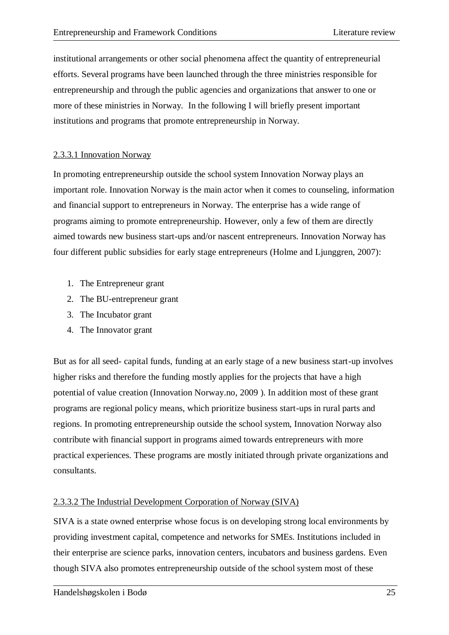institutional arrangements or other social phenomena affect the quantity of entrepreneurial efforts. Several programs have been launched through the three ministries responsible for entrepreneurship and through the public agencies and organizations that answer to one or more of these ministries in Norway. In the following I will briefly present important institutions and programs that promote entrepreneurship in Norway.

#### <span id="page-25-0"></span>2.3.3.1 Innovation Norway

In promoting entrepreneurship outside the school system Innovation Norway plays an important role. Innovation Norway is the main actor when it comes to counseling, information and financial support to entrepreneurs in Norway. The enterprise has a wide range of programs aiming to promote entrepreneurship. However, only a few of them are directly aimed towards new business start-ups and/or nascent entrepreneurs. Innovation Norway has four different public subsidies for early stage entrepreneurs (Holme and Ljunggren, 2007):

- 1. The Entrepreneur grant
- 2. The BU-entrepreneur grant
- 3. The Incubator grant
- 4. The Innovator grant

But as for all seed- capital funds, funding at an early stage of a new business start-up involves higher risks and therefore the funding mostly applies for the projects that have a high potential of value creation (Innovation Norway.no, 2009 ). In addition most of these grant programs are regional policy means, which prioritize business start-ups in rural parts and regions. In promoting entrepreneurship outside the school system, Innovation Norway also contribute with financial support in programs aimed towards entrepreneurs with more practical experiences. These programs are mostly initiated through private organizations and consultants.

#### <span id="page-25-1"></span>2.3.3.2 The Industrial Development Corporation of Norway (SIVA)

SIVA is a state owned enterprise whose focus is on developing strong local environments by providing investment capital, competence and networks for SMEs. Institutions included in their enterprise are science parks, innovation centers, incubators and business gardens. Even though SIVA also promotes entrepreneurship outside of the school system most of these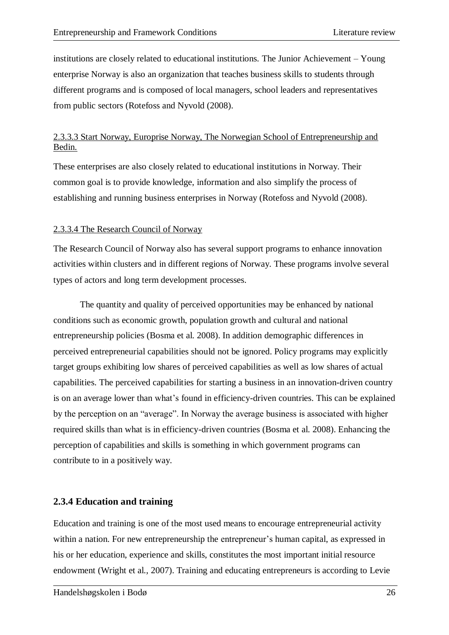institutions are closely related to educational institutions. The Junior Achievement – Young enterprise Norway is also an organization that teaches business skills to students through different programs and is composed of local managers, school leaders and representatives from public sectors (Rotefoss and Nyvold (2008).

#### <span id="page-26-0"></span>2.3.3.3 Start Norway, Europrise Norway, The Norwegian School of Entrepreneurship and Bedin.

These enterprises are also closely related to educational institutions in Norway. Their common goal is to provide knowledge, information and also simplify the process of establishing and running business enterprises in Norway (Rotefoss and Nyvold (2008).

#### <span id="page-26-1"></span>2.3.3.4 The Research Council of Norway

The Research Council of Norway also has several support programs to enhance innovation activities within clusters and in different regions of Norway. These programs involve several types of actors and long term development processes.

The quantity and quality of perceived opportunities may be enhanced by national conditions such as economic growth, population growth and cultural and national entrepreneurship policies (Bosma et al. 2008). In addition demographic differences in perceived entrepreneurial capabilities should not be ignored. Policy programs may explicitly target groups exhibiting low shares of perceived capabilities as well as low shares of actual capabilities. The perceived capabilities for starting a business in an innovation-driven country is on an average lower than what's found in efficiency-driven countries. This can be explained by the perception on an "average". In Norway the average business is associated with higher required skills than what is in efficiency-driven countries (Bosma et al. 2008). Enhancing the perception of capabilities and skills is something in which government programs can contribute to in a positively way.

#### <span id="page-26-2"></span>**2.3.4 Education and training**

Education and training is one of the most used means to encourage entrepreneurial activity within a nation. For new entrepreneurship the entrepreneur's human capital, as expressed in his or her education, experience and skills, constitutes the most important initial resource endowment (Wright et al., 2007). Training and educating entrepreneurs is according to Levie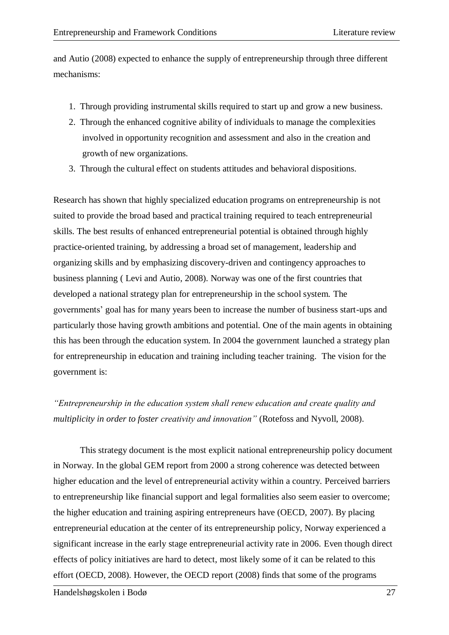and Autio (2008) expected to enhance the supply of entrepreneurship through three different mechanisms:

- 1. Through providing instrumental skills required to start up and grow a new business.
- 2. Through the enhanced cognitive ability of individuals to manage the complexities involved in opportunity recognition and assessment and also in the creation and growth of new organizations.
- 3. Through the cultural effect on students attitudes and behavioral dispositions.

Research has shown that highly specialized education programs on entrepreneurship is not suited to provide the broad based and practical training required to teach entrepreneurial skills. The best results of enhanced entrepreneurial potential is obtained through highly practice-oriented training, by addressing a broad set of management, leadership and organizing skills and by emphasizing discovery-driven and contingency approaches to business planning ( Levi and Autio, 2008). Norway was one of the first countries that developed a national strategy plan for entrepreneurship in the school system. The governments' goal has for many years been to increase the number of business start-ups and particularly those having growth ambitions and potential. One of the main agents in obtaining this has been through the education system. In 2004 the government launched a strategy plan for entrepreneurship in education and training including teacher training. The vision for the government is:

*"Entrepreneurship in the education system shall renew education and create quality and multiplicity in order to foster creativity and innovation"* (Rotefoss and Nyvoll, 2008).

This strategy document is the most explicit national entrepreneurship policy document in Norway. In the global GEM report from 2000 a strong coherence was detected between higher education and the level of entrepreneurial activity within a country. Perceived barriers to entrepreneurship like financial support and legal formalities also seem easier to overcome; the higher education and training aspiring entrepreneurs have (OECD, 2007). By placing entrepreneurial education at the center of its entrepreneurship policy, Norway experienced a significant increase in the early stage entrepreneurial activity rate in 2006. Even though direct effects of policy initiatives are hard to detect, most likely some of it can be related to this effort (OECD, 2008). However, the OECD report (2008) finds that some of the programs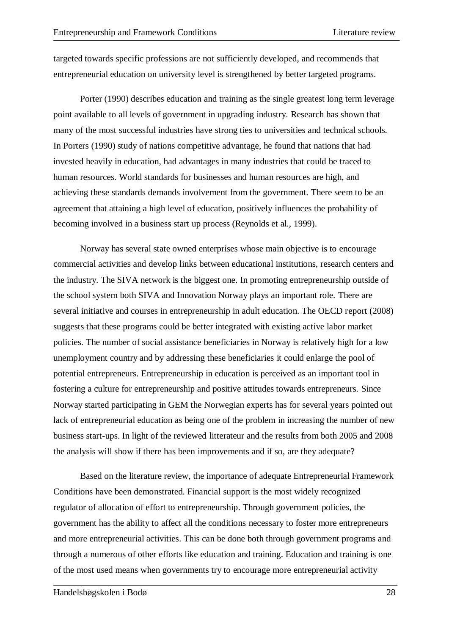targeted towards specific professions are not sufficiently developed, and recommends that entrepreneurial education on university level is strengthened by better targeted programs.

Porter (1990) describes education and training as the single greatest long term leverage point available to all levels of government in upgrading industry. Research has shown that many of the most successful industries have strong ties to universities and technical schools. In Porters (1990) study of nations competitive advantage, he found that nations that had invested heavily in education, had advantages in many industries that could be traced to human resources. World standards for businesses and human resources are high, and achieving these standards demands involvement from the government. There seem to be an agreement that attaining a high level of education, positively influences the probability of becoming involved in a business start up process (Reynolds et al., 1999).

Norway has several state owned enterprises whose main objective is to encourage commercial activities and develop links between educational institutions, research centers and the industry. The SIVA network is the biggest one. In promoting entrepreneurship outside of the school system both SIVA and Innovation Norway plays an important role. There are several initiative and courses in entrepreneurship in adult education. The OECD report (2008) suggests that these programs could be better integrated with existing active labor market policies. The number of social assistance beneficiaries in Norway is relatively high for a low unemployment country and by addressing these beneficiaries it could enlarge the pool of potential entrepreneurs. Entrepreneurship in education is perceived as an important tool in fostering a culture for entrepreneurship and positive attitudes towards entrepreneurs. Since Norway started participating in GEM the Norwegian experts has for several years pointed out lack of entrepreneurial education as being one of the problem in increasing the number of new business start-ups. In light of the reviewed litterateur and the results from both 2005 and 2008 the analysis will show if there has been improvements and if so, are they adequate?

Based on the literature review, the importance of adequate Entrepreneurial Framework Conditions have been demonstrated. Financial support is the most widely recognized regulator of allocation of effort to entrepreneurship. Through government policies, the government has the ability to affect all the conditions necessary to foster more entrepreneurs and more entrepreneurial activities. This can be done both through government programs and through a numerous of other efforts like education and training. Education and training is one of the most used means when governments try to encourage more entrepreneurial activity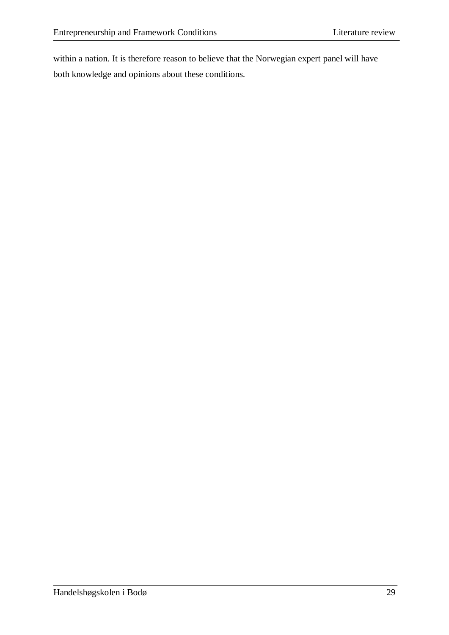within a nation. It is therefore reason to believe that the Norwegian expert panel will have both knowledge and opinions about these conditions.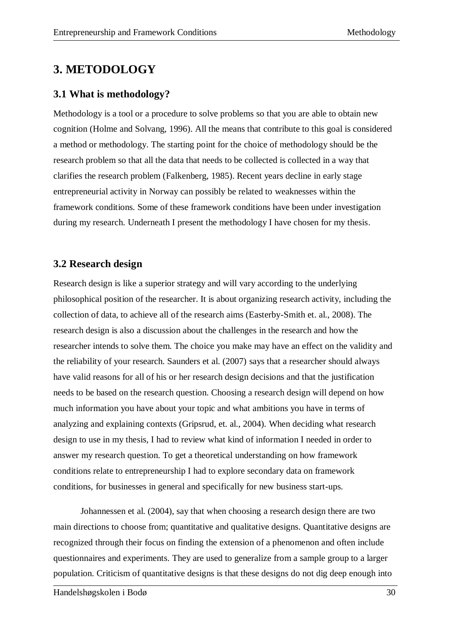# <span id="page-30-0"></span>**3. METODOLOGY**

### <span id="page-30-1"></span>**3.1 What is methodology?**

Methodology is a tool or a procedure to solve problems so that you are able to obtain new cognition (Holme and Solvang, 1996). All the means that contribute to this goal is considered a method or methodology. The starting point for the choice of methodology should be the research problem so that all the data that needs to be collected is collected in a way that clarifies the research problem (Falkenberg, 1985). Recent years decline in early stage entrepreneurial activity in Norway can possibly be related to weaknesses within the framework conditions. Some of these framework conditions have been under investigation during my research. Underneath I present the methodology I have chosen for my thesis.

### <span id="page-30-2"></span>**3.2 Research design**

Research design is like a superior strategy and will vary according to the underlying philosophical position of the researcher. It is about organizing research activity, including the collection of data, to achieve all of the research aims (Easterby-Smith et. al., 2008). The research design is also a discussion about the challenges in the research and how the researcher intends to solve them. The choice you make may have an effect on the validity and the reliability of your research. Saunders et al. (2007) says that a researcher should always have valid reasons for all of his or her research design decisions and that the justification needs to be based on the research question. Choosing a research design will depend on how much information you have about your topic and what ambitions you have in terms of analyzing and explaining contexts (Gripsrud, et. al., 2004). When deciding what research design to use in my thesis, I had to review what kind of information I needed in order to answer my research question. To get a theoretical understanding on how framework conditions relate to entrepreneurship I had to explore secondary data on framework conditions, for businesses in general and specifically for new business start-ups.

Johannessen et al. (2004), say that when choosing a research design there are two main directions to choose from; quantitative and qualitative designs. Quantitative designs are recognized through their focus on finding the extension of a phenomenon and often include questionnaires and experiments. They are used to generalize from a sample group to a larger population. Criticism of quantitative designs is that these designs do not dig deep enough into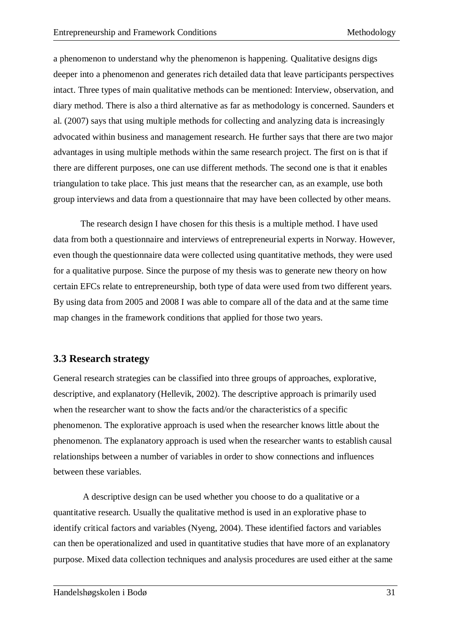a phenomenon to understand why the phenomenon is happening. Qualitative designs digs deeper into a phenomenon and generates rich detailed data that leave participants perspectives intact. Three types of main qualitative methods can be mentioned: Interview, observation, and diary method. There is also a third alternative as far as methodology is concerned. Saunders et al. (2007) says that using multiple methods for collecting and analyzing data is increasingly advocated within business and management research. He further says that there are two major advantages in using multiple methods within the same research project. The first on is that if there are different purposes, one can use different methods. The second one is that it enables triangulation to take place. This just means that the researcher can, as an example, use both group interviews and data from a questionnaire that may have been collected by other means.

The research design I have chosen for this thesis is a multiple method. I have used data from both a questionnaire and interviews of entrepreneurial experts in Norway. However, even though the questionnaire data were collected using quantitative methods, they were used for a qualitative purpose. Since the purpose of my thesis was to generate new theory on how certain EFCs relate to entrepreneurship, both type of data were used from two different years. By using data from 2005 and 2008 I was able to compare all of the data and at the same time map changes in the framework conditions that applied for those two years.

### <span id="page-31-0"></span>**3.3 Research strategy**

General research strategies can be classified into three groups of approaches, explorative, descriptive, and explanatory (Hellevik, 2002). The descriptive approach is primarily used when the researcher want to show the facts and/or the characteristics of a specific phenomenon. The explorative approach is used when the researcher knows little about the phenomenon. The explanatory approach is used when the researcher wants to establish causal relationships between a number of variables in order to show connections and influences between these variables.

A descriptive design can be used whether you choose to do a qualitative or a quantitative research. Usually the qualitative method is used in an explorative phase to identify critical factors and variables (Nyeng, 2004). These identified factors and variables can then be operationalized and used in quantitative studies that have more of an explanatory purpose. Mixed data collection techniques and analysis procedures are used either at the same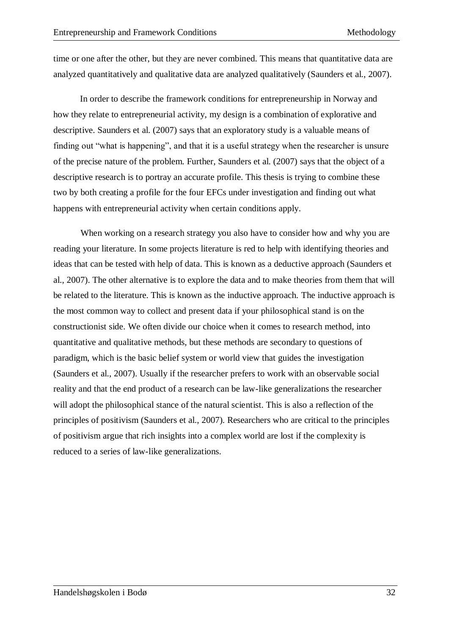time or one after the other, but they are never combined. This means that quantitative data are analyzed quantitatively and qualitative data are analyzed qualitatively (Saunders et al., 2007).

In order to describe the framework conditions for entrepreneurship in Norway and how they relate to entrepreneurial activity, my design is a combination of explorative and descriptive. Saunders et al. (2007) says that an exploratory study is a valuable means of finding out "what is happening", and that it is a useful strategy when the researcher is unsure of the precise nature of the problem. Further, Saunders et al. (2007) says that the object of a descriptive research is to portray an accurate profile. This thesis is trying to combine these two by both creating a profile for the four EFCs under investigation and finding out what happens with entrepreneurial activity when certain conditions apply.

When working on a research strategy you also have to consider how and why you are reading your literature. In some projects literature is red to help with identifying theories and ideas that can be tested with help of data. This is known as a deductive approach (Saunders et al., 2007). The other alternative is to explore the data and to make theories from them that will be related to the literature. This is known as the inductive approach. The inductive approach is the most common way to collect and present data if your philosophical stand is on the constructionist side. We often divide our choice when it comes to research method, into quantitative and qualitative methods, but these methods are secondary to questions of paradigm, which is the basic belief system or world view that guides the investigation (Saunders et al., 2007). Usually if the researcher prefers to work with an observable social reality and that the end product of a research can be law-like generalizations the researcher will adopt the philosophical stance of the natural scientist. This is also a reflection of the principles of positivism (Saunders et al., 2007). Researchers who are critical to the principles of positivism argue that rich insights into a complex world are lost if the complexity is reduced to a series of law-like generalizations.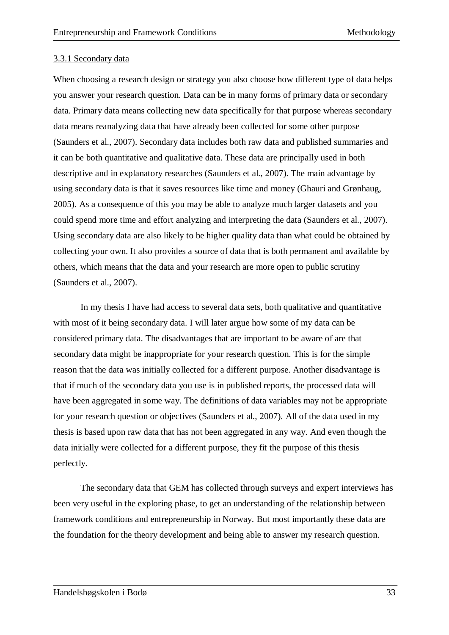#### <span id="page-33-0"></span>3.3.1 Secondary data

When choosing a research design or strategy you also choose how different type of data helps you answer your research question. Data can be in many forms of primary data or secondary data. Primary data means collecting new data specifically for that purpose whereas secondary data means reanalyzing data that have already been collected for some other purpose (Saunders et al., 2007). Secondary data includes both raw data and published summaries and it can be both quantitative and qualitative data. These data are principally used in both descriptive and in explanatory researches (Saunders et al., 2007). The main advantage by using secondary data is that it saves resources like time and money (Ghauri and Grønhaug, 2005). As a consequence of this you may be able to analyze much larger datasets and you could spend more time and effort analyzing and interpreting the data (Saunders et al., 2007). Using secondary data are also likely to be higher quality data than what could be obtained by collecting your own. It also provides a source of data that is both permanent and available by others, which means that the data and your research are more open to public scrutiny (Saunders et al., 2007).

In my thesis I have had access to several data sets, both qualitative and quantitative with most of it being secondary data. I will later argue how some of my data can be considered primary data. The disadvantages that are important to be aware of are that secondary data might be inappropriate for your research question. This is for the simple reason that the data was initially collected for a different purpose. Another disadvantage is that if much of the secondary data you use is in published reports, the processed data will have been aggregated in some way. The definitions of data variables may not be appropriate for your research question or objectives (Saunders et al., 2007). All of the data used in my thesis is based upon raw data that has not been aggregated in any way. And even though the data initially were collected for a different purpose, they fit the purpose of this thesis perfectly.

The secondary data that GEM has collected through surveys and expert interviews has been very useful in the exploring phase, to get an understanding of the relationship between framework conditions and entrepreneurship in Norway. But most importantly these data are the foundation for the theory development and being able to answer my research question.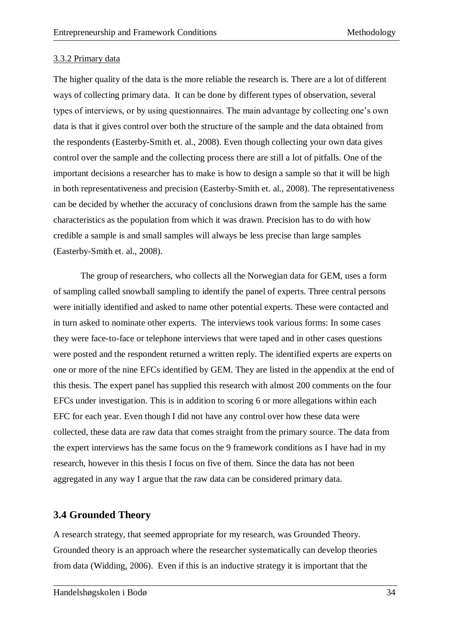#### <span id="page-34-0"></span>3.3.2 Primary data

The higher quality of the data is the more reliable the research is. There are a lot of different ways of collecting primary data. It can be done by different types of observation, several types of interviews, or by using questionnaires. The main advantage by collecting one's own data is that it gives control over both the structure of the sample and the data obtained from the respondents (Easterby-Smith et. al., 2008). Even though collecting your own data gives control over the sample and the collecting process there are still a lot of pitfalls. One of the important decisions a researcher has to make is how to design a sample so that it will be high in both representativeness and precision (Easterby-Smith et. al., 2008). The representativeness can be decided by whether the accuracy of conclusions drawn from the sample has the same characteristics as the population from which it was drawn. Precision has to do with how credible a sample is and small samples will always be less precise than large samples (Easterby-Smith et. al., 2008).

The group of researchers, who collects all the Norwegian data for GEM, uses a form of sampling called snowball sampling to identify the panel of experts. Three central persons were initially identified and asked to name other potential experts. These were contacted and in turn asked to nominate other experts. The interviews took various forms: In some cases they were face-to-face or telephone interviews that were taped and in other cases questions were posted and the respondent returned a written reply. The identified experts are experts on one or more of the nine EFCs identified by GEM. They are listed in the appendix at the end of this thesis. The expert panel has supplied this research with almost 200 comments on the four EFCs under investigation. This is in addition to scoring 6 or more allegations within each EFC for each year. Even though I did not have any control over how these data were collected, these data are raw data that comes straight from the primary source. The data from the expert interviews has the same focus on the 9 framework conditions as I have had in my research, however in this thesis I focus on five of them. Since the data has not been aggregated in any way I argue that the raw data can be considered primary data.

### <span id="page-34-1"></span>**3.4 Grounded Theory**

A research strategy, that seemed appropriate for my research, was Grounded Theory. Grounded theory is an approach where the researcher systematically can develop theories from data (Widding, 2006). Even if this is an inductive strategy it is important that the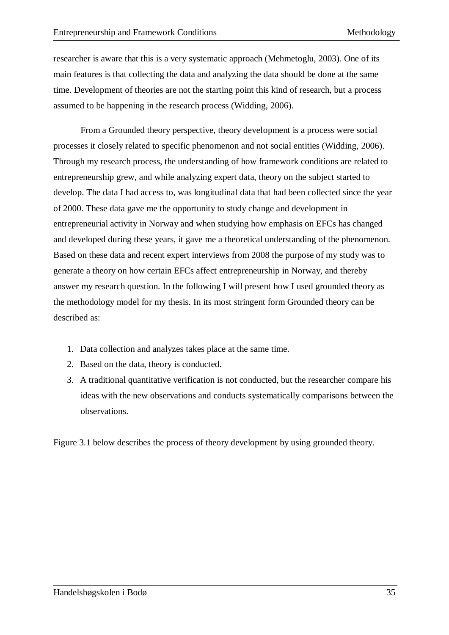researcher is aware that this is a very systematic approach (Mehmetoglu, 2003). One of its main features is that collecting the data and analyzing the data should be done at the same time. Development of theories are not the starting point this kind of research, but a process assumed to be happening in the research process (Widding, 2006).

From a Grounded theory perspective, theory development is a process were social processes it closely related to specific phenomenon and not social entities (Widding, 2006). Through my research process, the understanding of how framework conditions are related to entrepreneurship grew, and while analyzing expert data, theory on the subject started to develop. The data I had access to, was longitudinal data that had been collected since the year of 2000. These data gave me the opportunity to study change and development in entrepreneurial activity in Norway and when studying how emphasis on EFCs has changed and developed during these years, it gave me a theoretical understanding of the phenomenon. Based on these data and recent expert interviews from 2008 the purpose of my study was to generate a theory on how certain EFCs affect entrepreneurship in Norway, and thereby answer my research question. In the following I will present how I used grounded theory as the methodology model for my thesis. In its most stringent form Grounded theory can be described as:

- 1. Data collection and analyzes takes place at the same time.
- 2. Based on the data, theory is conducted.
- 3. A traditional quantitative verification is not conducted, but the researcher compare his ideas with the new observations and conducts systematically comparisons between the observations.

Figure 3.1 below describes the process of theory development by using grounded theory.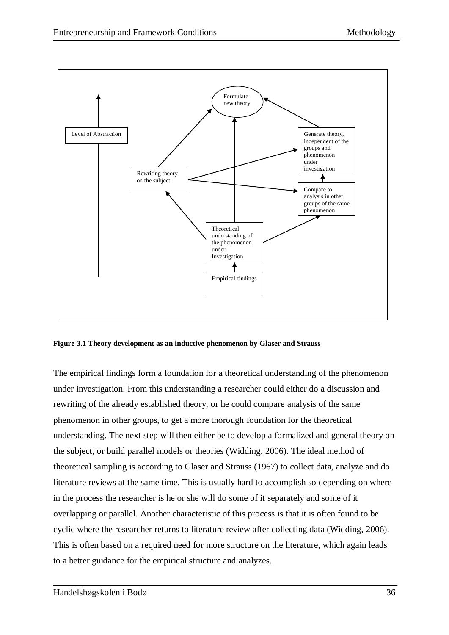

**Figure 3.1 Theory development as an inductive phenomenon by Glaser and Strauss**

The empirical findings form a foundation for a theoretical understanding of the phenomenon under investigation. From this understanding a researcher could either do a discussion and rewriting of the already established theory, or he could compare analysis of the same phenomenon in other groups, to get a more thorough foundation for the theoretical understanding. The next step will then either be to develop a formalized and general theory on the subject, or build parallel models or theories (Widding, 2006). The ideal method of theoretical sampling is according to Glaser and Strauss (1967) to collect data, analyze and do literature reviews at the same time. This is usually hard to accomplish so depending on where in the process the researcher is he or she will do some of it separately and some of it overlapping or parallel. Another characteristic of this process is that it is often found to be cyclic where the researcher returns to literature review after collecting data (Widding, 2006). This is often based on a required need for more structure on the literature, which again leads to a better guidance for the empirical structure and analyzes.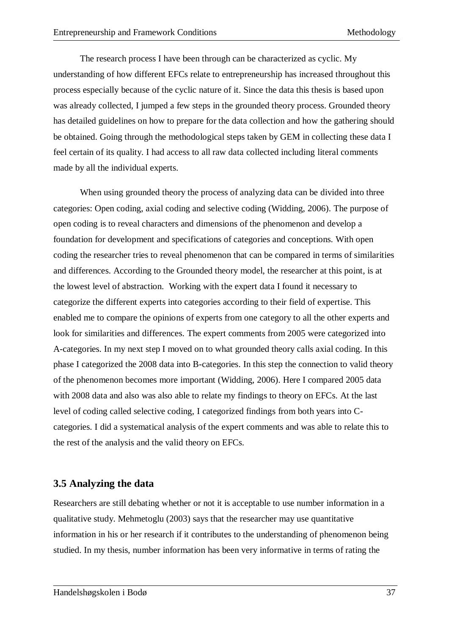The research process I have been through can be characterized as cyclic. My understanding of how different EFCs relate to entrepreneurship has increased throughout this process especially because of the cyclic nature of it. Since the data this thesis is based upon was already collected, I jumped a few steps in the grounded theory process. Grounded theory has detailed guidelines on how to prepare for the data collection and how the gathering should be obtained. Going through the methodological steps taken by GEM in collecting these data I feel certain of its quality. I had access to all raw data collected including literal comments made by all the individual experts.

When using grounded theory the process of analyzing data can be divided into three categories: Open coding, axial coding and selective coding (Widding, 2006). The purpose of open coding is to reveal characters and dimensions of the phenomenon and develop a foundation for development and specifications of categories and conceptions. With open coding the researcher tries to reveal phenomenon that can be compared in terms of similarities and differences. According to the Grounded theory model, the researcher at this point, is at the lowest level of abstraction. Working with the expert data I found it necessary to categorize the different experts into categories according to their field of expertise. This enabled me to compare the opinions of experts from one category to all the other experts and look for similarities and differences. The expert comments from 2005 were categorized into A-categories. In my next step I moved on to what grounded theory calls axial coding. In this phase I categorized the 2008 data into B-categories. In this step the connection to valid theory of the phenomenon becomes more important (Widding, 2006). Here I compared 2005 data with 2008 data and also was also able to relate my findings to theory on EFCs. At the last level of coding called selective coding, I categorized findings from both years into Ccategories. I did a systematical analysis of the expert comments and was able to relate this to the rest of the analysis and the valid theory on EFCs.

# **3.5 Analyzing the data**

Researchers are still debating whether or not it is acceptable to use number information in a qualitative study. Mehmetoglu (2003) says that the researcher may use quantitative information in his or her research if it contributes to the understanding of phenomenon being studied. In my thesis, number information has been very informative in terms of rating the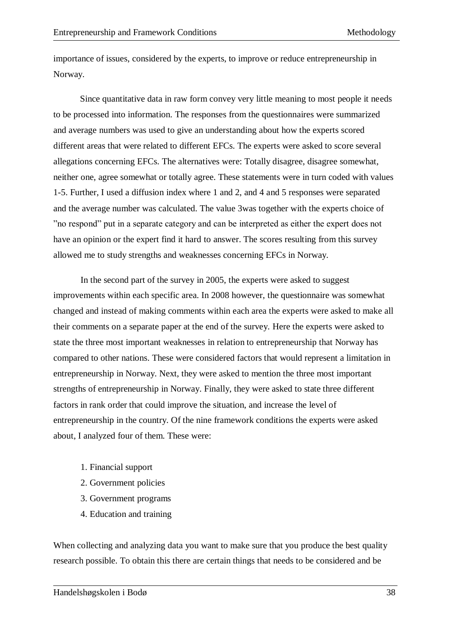importance of issues, considered by the experts, to improve or reduce entrepreneurship in Norway.

Since quantitative data in raw form convey very little meaning to most people it needs to be processed into information. The responses from the questionnaires were summarized and average numbers was used to give an understanding about how the experts scored different areas that were related to different EFCs. The experts were asked to score several allegations concerning EFCs. The alternatives were: Totally disagree, disagree somewhat, neither one, agree somewhat or totally agree. These statements were in turn coded with values 1-5. Further, I used a diffusion index where 1 and 2, and 4 and 5 responses were separated and the average number was calculated. The value 3was together with the experts choice of "no respond" put in a separate category and can be interpreted as either the expert does not have an opinion or the expert find it hard to answer. The scores resulting from this survey allowed me to study strengths and weaknesses concerning EFCs in Norway.

In the second part of the survey in 2005, the experts were asked to suggest improvements within each specific area. In 2008 however, the questionnaire was somewhat changed and instead of making comments within each area the experts were asked to make all their comments on a separate paper at the end of the survey. Here the experts were asked to state the three most important weaknesses in relation to entrepreneurship that Norway has compared to other nations. These were considered factors that would represent a limitation in entrepreneurship in Norway. Next, they were asked to mention the three most important strengths of entrepreneurship in Norway. Finally, they were asked to state three different factors in rank order that could improve the situation, and increase the level of entrepreneurship in the country. Of the nine framework conditions the experts were asked about, I analyzed four of them. These were:

- 1. Financial support
- 2. Government policies
- 3. Government programs
- 4. Education and training

When collecting and analyzing data you want to make sure that you produce the best quality research possible. To obtain this there are certain things that needs to be considered and be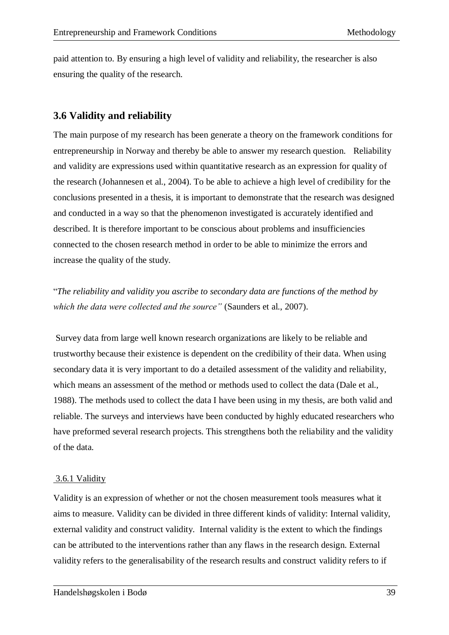paid attention to. By ensuring a high level of validity and reliability, the researcher is also ensuring the quality of the research.

# **3.6 Validity and reliability**

The main purpose of my research has been generate a theory on the framework conditions for entrepreneurship in Norway and thereby be able to answer my research question. Reliability and validity are expressions used within quantitative research as an expression for quality of the research (Johannesen et al., 2004). To be able to achieve a high level of credibility for the conclusions presented in a thesis, it is important to demonstrate that the research was designed and conducted in a way so that the phenomenon investigated is accurately identified and described. It is therefore important to be conscious about problems and insufficiencies connected to the chosen research method in order to be able to minimize the errors and increase the quality of the study.

"*The reliability and validity you ascribe to secondary data are functions of the method by which the data were collected and the source"* (Saunders et al., 2007).

Survey data from large well known research organizations are likely to be reliable and trustworthy because their existence is dependent on the credibility of their data. When using secondary data it is very important to do a detailed assessment of the validity and reliability, which means an assessment of the method or methods used to collect the data (Dale et al., 1988). The methods used to collect the data I have been using in my thesis, are both valid and reliable. The surveys and interviews have been conducted by highly educated researchers who have preformed several research projects. This strengthens both the reliability and the validity of the data.

# 3.6.1 Validity

Validity is an expression of whether or not the chosen measurement tools measures what it aims to measure. Validity can be divided in three different kinds of validity: Internal validity, external validity and construct validity. Internal validity is the extent to which the findings can be attributed to the interventions rather than any flaws in the research design. External validity refers to the generalisability of the research results and construct validity refers to if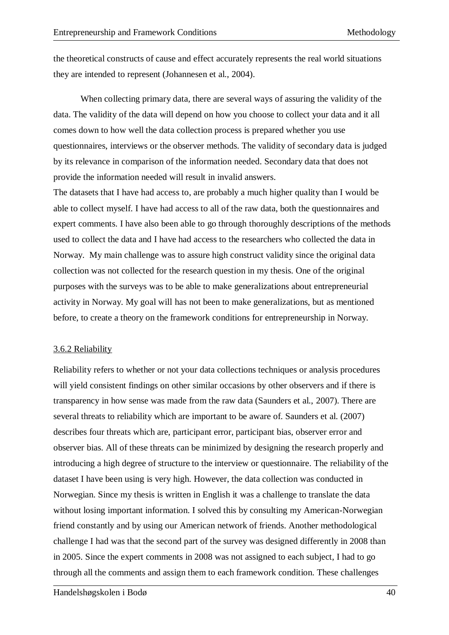the theoretical constructs of cause and effect accurately represents the real world situations they are intended to represent (Johannesen et al., 2004).

When collecting primary data, there are several ways of assuring the validity of the data. The validity of the data will depend on how you choose to collect your data and it all comes down to how well the data collection process is prepared whether you use questionnaires, interviews or the observer methods. The validity of secondary data is judged by its relevance in comparison of the information needed. Secondary data that does not provide the information needed will result in invalid answers.

The datasets that I have had access to, are probably a much higher quality than I would be able to collect myself. I have had access to all of the raw data, both the questionnaires and expert comments. I have also been able to go through thoroughly descriptions of the methods used to collect the data and I have had access to the researchers who collected the data in Norway. My main challenge was to assure high construct validity since the original data collection was not collected for the research question in my thesis. One of the original purposes with the surveys was to be able to make generalizations about entrepreneurial activity in Norway. My goal will has not been to make generalizations, but as mentioned before, to create a theory on the framework conditions for entrepreneurship in Norway.

# 3.6.2 Reliability

Reliability refers to whether or not your data collections techniques or analysis procedures will yield consistent findings on other similar occasions by other observers and if there is transparency in how sense was made from the raw data (Saunders et al., 2007). There are several threats to reliability which are important to be aware of. Saunders et al. (2007) describes four threats which are, participant error, participant bias, observer error and observer bias. All of these threats can be minimized by designing the research properly and introducing a high degree of structure to the interview or questionnaire. The reliability of the dataset I have been using is very high. However, the data collection was conducted in Norwegian. Since my thesis is written in English it was a challenge to translate the data without losing important information. I solved this by consulting my American-Norwegian friend constantly and by using our American network of friends. Another methodological challenge I had was that the second part of the survey was designed differently in 2008 than in 2005. Since the expert comments in 2008 was not assigned to each subject, I had to go through all the comments and assign them to each framework condition. These challenges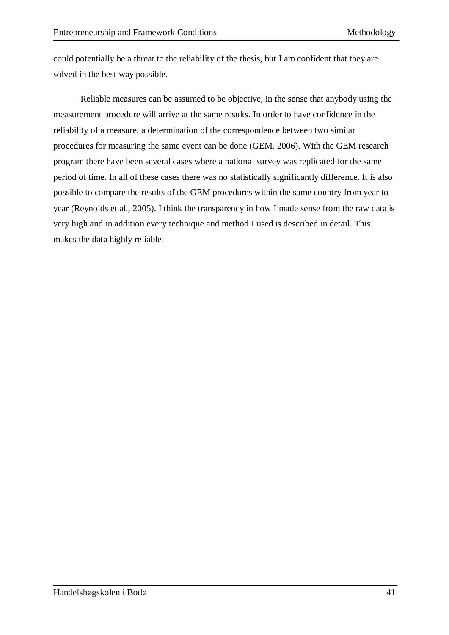could potentially be a threat to the reliability of the thesis, but I am confident that they are solved in the best way possible.

Reliable measures can be assumed to be objective, in the sense that anybody using the measurement procedure will arrive at the same results. In order to have confidence in the reliability of a measure, a determination of the correspondence between two similar procedures for measuring the same event can be done (GEM, 2006). With the GEM research program there have been several cases where a national survey was replicated for the same period of time. In all of these cases there was no statistically significantly difference. It is also possible to compare the results of the GEM procedures within the same country from year to year (Reynolds et al., 2005). I think the transparency in how I made sense from the raw data is very high and in addition every technique and method I used is described in detail. This makes the data highly reliable.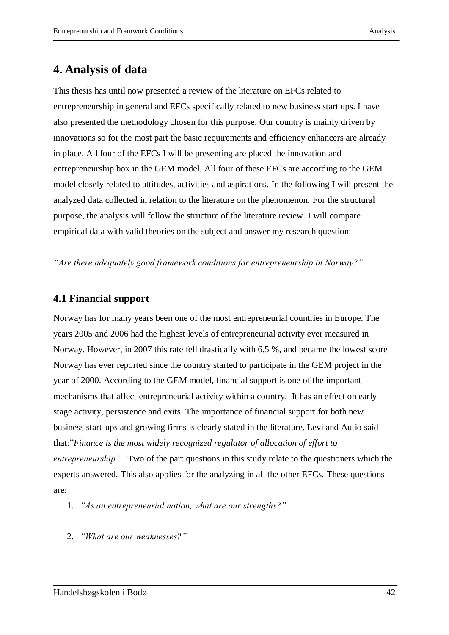# **4. Analysis of data**

This thesis has until now presented a review of the literature on EFCs related to entrepreneurship in general and EFCs specifically related to new business start ups. I have also presented the methodology chosen for this purpose. Our country is mainly driven by innovations so for the most part the basic requirements and efficiency enhancers are already in place. All four of the EFCs I will be presenting are placed the innovation and entrepreneurship box in the GEM model. All four of these EFCs are according to the GEM model closely related to attitudes, activities and aspirations. In the following I will present the analyzed data collected in relation to the literature on the phenomenon. For the structural purpose, the analysis will follow the structure of the literature review. I will compare empirical data with valid theories on the subject and answer my research question:

*"Are there adequately good framework conditions for entrepreneurship in Norway?"*

# **4.1 Financial support**

Norway has for many years been one of the most entrepreneurial countries in Europe. The years 2005 and 2006 had the highest levels of entrepreneurial activity ever measured in Norway. However, in 2007 this rate fell drastically with 6.5 %, and became the lowest score Norway has ever reported since the country started to participate in the GEM project in the year of 2000. According to the GEM model, financial support is one of the important mechanisms that affect entrepreneurial activity within a country. It has an effect on early stage activity, persistence and exits. The importance of financial support for both new business start-ups and growing firms is clearly stated in the literature. Levi and Autio said that:"*Finance is the most widely recognized regulator of allocation of effort to entrepreneurship".* Two of the part questions in this study relate to the questioners which the experts answered. This also applies for the analyzing in all the other EFCs. These questions are:

1. *"As an entrepreneurial nation, what are our strengths?"*

2. *"What are our weaknesses?"*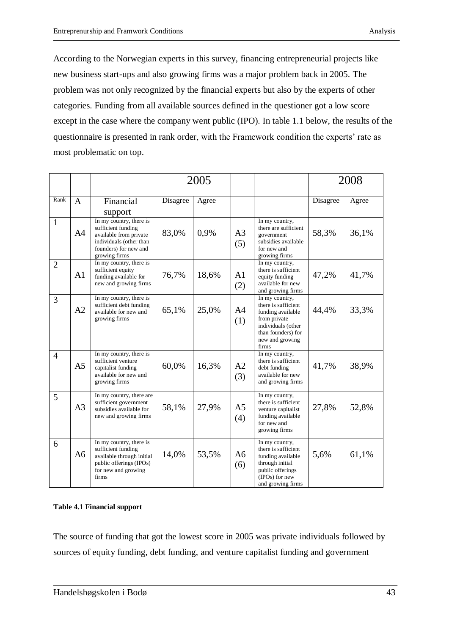According to the Norwegian experts in this survey, financing entrepreneurial projects like new business start-ups and also growing firms was a major problem back in 2005. The problem was not only recognized by the financial experts but also by the experts of other categories. Funding from all available sources defined in the questioner got a low score except in the case where the company went public (IPO). In table 1.1 below, the results of the questionnaire is presented in rank order, with the Framework condition the experts' rate as most problematic on top.

|                |                |                                                                                                                                              | 2005     |       |                       |                                                                                                                                                    | 2008     |       |
|----------------|----------------|----------------------------------------------------------------------------------------------------------------------------------------------|----------|-------|-----------------------|----------------------------------------------------------------------------------------------------------------------------------------------------|----------|-------|
| Rank           | A              | Financial                                                                                                                                    | Disagree | Agree |                       |                                                                                                                                                    | Disagree | Agree |
|                |                | support                                                                                                                                      |          |       |                       |                                                                                                                                                    |          |       |
| $\mathbf{1}$   | A <sub>4</sub> | In my country, there is<br>sufficient funding<br>available from private<br>individuals (other than<br>founders) for new and<br>growing firms | 83,0%    | 0,9%  | A <sub>3</sub><br>(5) | In my country,<br>there are sufficient<br>government<br>subsidies available<br>for new and<br>growing firms                                        | 58,3%    | 36,1% |
| $\overline{2}$ | A <sub>1</sub> | In my country, there is<br>sufficient equity<br>funding available for<br>new and growing firms                                               | 76,7%    | 18,6% | A <sub>1</sub><br>(2) | In my country,<br>there is sufficient<br>equity funding<br>available for new<br>and growing firms                                                  | 47,2%    | 41,7% |
| 3              | A2             | In my country, there is<br>sufficient debt funding<br>available for new and<br>growing firms                                                 | 65,1%    | 25,0% | A <sub>4</sub><br>(1) | In my country,<br>there is sufficient<br>funding available<br>from private<br>individuals (other<br>than founders) for<br>new and growing<br>firms | 44,4%    | 33,3% |
| $\overline{4}$ | A <sub>5</sub> | In my country, there is<br>sufficient venture<br>capitalist funding<br>available for new and<br>growing firms                                | 60,0%    | 16,3% | A2<br>(3)             | In my country,<br>there is sufficient<br>debt funding<br>available for new<br>and growing firms                                                    | 41,7%    | 38,9% |
| 5              | A <sub>3</sub> | In my country, there are<br>sufficient government<br>subsidies available for<br>new and growing firms                                        | 58,1%    | 27,9% | A <sub>5</sub><br>(4) | In my country,<br>there is sufficient<br>venture capitalist<br>funding available<br>for new and<br>growing firms                                   | 27,8%    | 52,8% |
| 6              | A6             | In my country, there is<br>sufficient funding<br>available through initial<br>public offerings (IPOs)<br>for new and growing<br>firms        | 14,0%    | 53,5% | A6<br>(6)             | In my country,<br>there is sufficient<br>funding available<br>through initial<br>public offerings<br>(IPOs) for new<br>and growing firms           | 5,6%     | 61,1% |

#### **Table 4.1 Financial support**

The source of funding that got the lowest score in 2005 was private individuals followed by sources of equity funding, debt funding, and venture capitalist funding and government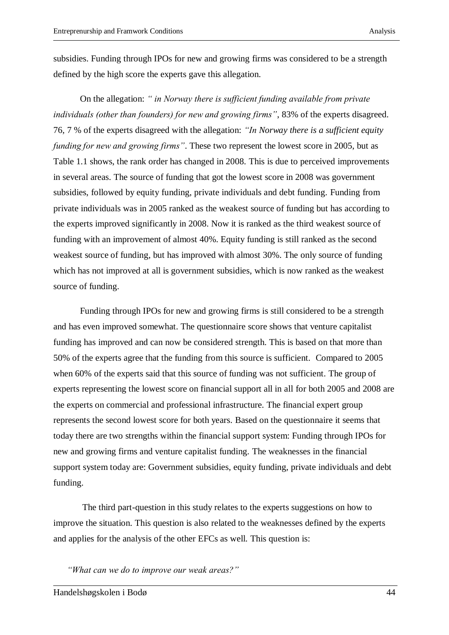subsidies. Funding through IPOs for new and growing firms was considered to be a strength defined by the high score the experts gave this allegation.

On the allegation: *" in Norway there is sufficient funding available from private individuals (other than founders) for new and growing firms"*, 83% of the experts disagreed. 76, 7 % of the experts disagreed with the allegation: *"In Norway there is a sufficient equity funding for new and growing firms"*. These two represent the lowest score in 2005, but as Table 1.1 shows, the rank order has changed in 2008. This is due to perceived improvements in several areas. The source of funding that got the lowest score in 2008 was government subsidies, followed by equity funding, private individuals and debt funding. Funding from private individuals was in 2005 ranked as the weakest source of funding but has according to the experts improved significantly in 2008. Now it is ranked as the third weakest source of funding with an improvement of almost 40%. Equity funding is still ranked as the second weakest source of funding, but has improved with almost 30%. The only source of funding which has not improved at all is government subsidies, which is now ranked as the weakest source of funding.

Funding through IPOs for new and growing firms is still considered to be a strength and has even improved somewhat. The questionnaire score shows that venture capitalist funding has improved and can now be considered strength. This is based on that more than 50% of the experts agree that the funding from this source is sufficient. Compared to 2005 when 60% of the experts said that this source of funding was not sufficient. The group of experts representing the lowest score on financial support all in all for both 2005 and 2008 are the experts on commercial and professional infrastructure. The financial expert group represents the second lowest score for both years. Based on the questionnaire it seems that today there are two strengths within the financial support system: Funding through IPOs for new and growing firms and venture capitalist funding. The weaknesses in the financial support system today are: Government subsidies, equity funding, private individuals and debt funding.

The third part-question in this study relates to the experts suggestions on how to improve the situation. This question is also related to the weaknesses defined by the experts and applies for the analysis of the other EFCs as well. This question is:

*"What can we do to improve our weak areas?"*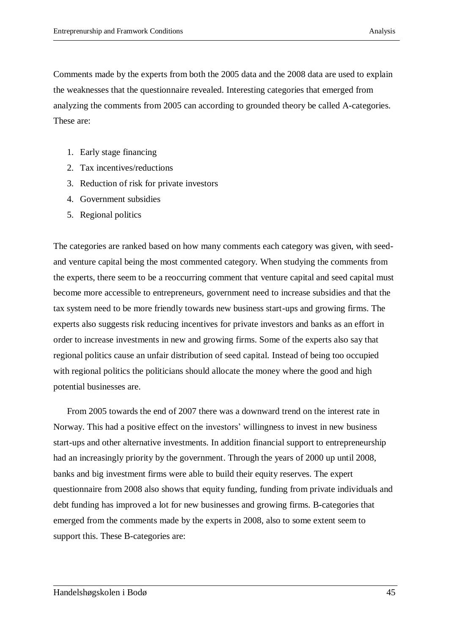Comments made by the experts from both the 2005 data and the 2008 data are used to explain the weaknesses that the questionnaire revealed. Interesting categories that emerged from analyzing the comments from 2005 can according to grounded theory be called A-categories. These are:

- 1. Early stage financing
- 2. Tax incentives/reductions
- 3. Reduction of risk for private investors
- 4. Government subsidies
- 5. Regional politics

The categories are ranked based on how many comments each category was given, with seedand venture capital being the most commented category. When studying the comments from the experts, there seem to be a reoccurring comment that venture capital and seed capital must become more accessible to entrepreneurs, government need to increase subsidies and that the tax system need to be more friendly towards new business start-ups and growing firms. The experts also suggests risk reducing incentives for private investors and banks as an effort in order to increase investments in new and growing firms. Some of the experts also say that regional politics cause an unfair distribution of seed capital. Instead of being too occupied with regional politics the politicians should allocate the money where the good and high potential businesses are.

From 2005 towards the end of 2007 there was a downward trend on the interest rate in Norway. This had a positive effect on the investors' willingness to invest in new business start-ups and other alternative investments. In addition financial support to entrepreneurship had an increasingly priority by the government. Through the years of 2000 up until 2008, banks and big investment firms were able to build their equity reserves. The expert questionnaire from 2008 also shows that equity funding, funding from private individuals and debt funding has improved a lot for new businesses and growing firms. B-categories that emerged from the comments made by the experts in 2008, also to some extent seem to support this. These B-categories are: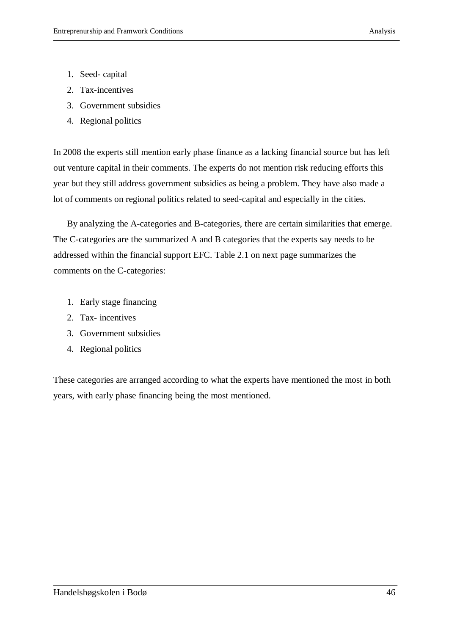- 1. Seed- capital
- 2. Tax-incentives
- 3. Government subsidies
- 4. Regional politics

In 2008 the experts still mention early phase finance as a lacking financial source but has left out venture capital in their comments. The experts do not mention risk reducing efforts this year but they still address government subsidies as being a problem. They have also made a lot of comments on regional politics related to seed-capital and especially in the cities.

By analyzing the A-categories and B-categories, there are certain similarities that emerge. The C-categories are the summarized A and B categories that the experts say needs to be addressed within the financial support EFC. Table 2.1 on next page summarizes the comments on the C-categories:

- 1. Early stage financing
- 2. Tax- incentives
- 3. Government subsidies
- 4. Regional politics

These categories are arranged according to what the experts have mentioned the most in both years, with early phase financing being the most mentioned.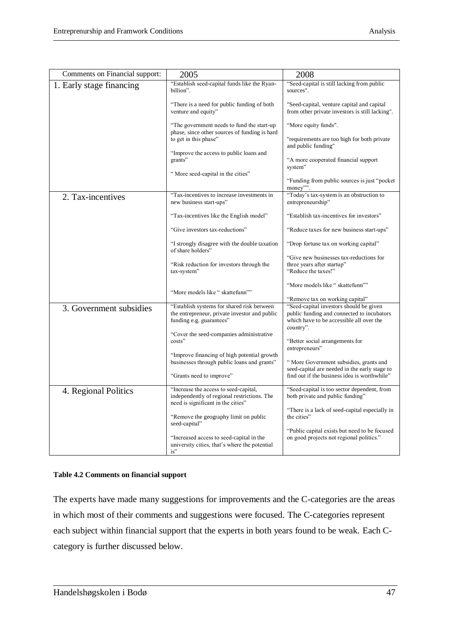| Comments on Financial support: | 2005                                                                                                                       | 2008                                                                                          |
|--------------------------------|----------------------------------------------------------------------------------------------------------------------------|-----------------------------------------------------------------------------------------------|
| 1. Early stage financing       | "Establish seed-capital funds like the Ryan-<br>billion".                                                                  | "Seed-capital is still lacking from public<br>sources".                                       |
|                                | "There is a need for public funding of both<br>venture and equity"                                                         | "Seed-capital, venture capital and capital<br>from other private investors is still lacking". |
|                                | "The government needs to fund the start-up<br>phase, since other sources of funding is hard                                | "More equity funds".                                                                          |
|                                | to get in this phase"                                                                                                      | "requirements are too high for both private<br>and public funding"                            |
|                                | "Improve the access to public loans and<br>grants"                                                                         | "A more cooperated financial support<br>system"                                               |
|                                | "More seed-capital in the cities"                                                                                          | "Funding from public sources is just "pocket"<br>money"".                                     |
| 2. Tax-incentives              | "Tax-incentives to increase investments in<br>new business start-ups"                                                      | "Today's tax-system is an obstruction to<br>entrepreneurship"                                 |
|                                | "Tax-incentives like the English model"                                                                                    | "Establish tax-incentives for investors"                                                      |
|                                | "Give investors tax-reductions"                                                                                            | "Reduce taxes for new business start-ups"                                                     |
|                                | "I strongly disagree with the double taxation<br>of share holders"                                                         | "Drop fortune tax on working capital"                                                         |
|                                | "Risk reduction for investors through the<br>tax-system"                                                                   | "Give new businesses tax-reductions for<br>three years after startup"<br>"Reduce the taxes!"  |
|                                | "More models like " skattefunn""                                                                                           | "More models like " skattefunn""<br>"Remove tax on working capital"                           |
| 3. Government subsidies        | "Establish systems for shared risk between                                                                                 | "Seed-capital investors should be given                                                       |
|                                | the entrepreneur, private investor and public<br>funding e.g. guarantees"                                                  | public funding and connected to incubators<br>which have to be accessible all over the        |
|                                | "Cover the seed-companies administrative                                                                                   | country".                                                                                     |
|                                | costs"                                                                                                                     | "Better social arrangements for<br>entrepreneurs"                                             |
|                                | "Improve financing of high potential growth<br>businesses through public loans and grants"                                 | "More Government subsidies, grants and                                                        |
|                                | "Grants need to improve"                                                                                                   | seed-capital are needed in the early stage to<br>find out if the business idea is worthwhile" |
| 4. Regional Politics           | "Increase the access to seed-capital,<br>independently of regional restrictions. The<br>need is significant in the cities" | "Seed-capital is too sector dependent, from<br>both private and public funding"               |
|                                | "Remove the geography limit on public<br>seed-capital"                                                                     | "There is a lack of seed-capital especially in<br>the cities"                                 |
|                                | "Increased access to seed-capital in the<br>university cities, that's where the potential<br>is"                           | "Public capital exists but need to be focused<br>on good projects not regional politics."     |

#### **Table 4.2 Comments on financial support**

The experts have made many suggestions for improvements and the C-categories are the areas in which most of their comments and suggestions were focused. The C-categories represent each subject within financial support that the experts in both years found to be weak. Each Ccategory is further discussed below.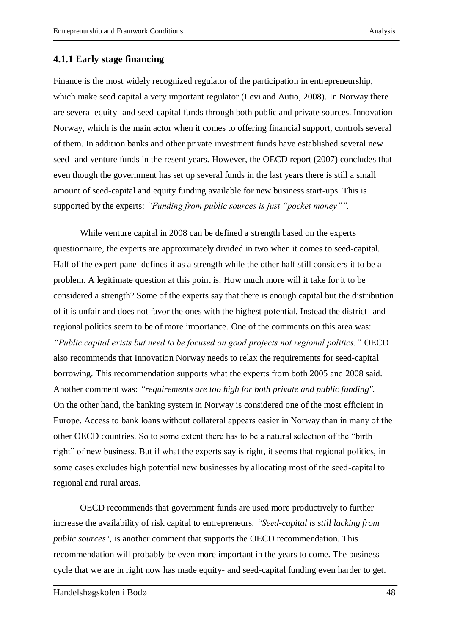## **4.1.1 Early stage financing**

Finance is the most widely recognized regulator of the participation in entrepreneurship, which make seed capital a very important regulator (Levi and Autio, 2008). In Norway there are several equity- and seed-capital funds through both public and private sources. Innovation Norway, which is the main actor when it comes to offering financial support, controls several of them. In addition banks and other private investment funds have established several new seed- and venture funds in the resent years. However, the OECD report (2007) concludes that even though the government has set up several funds in the last years there is still a small amount of seed-capital and equity funding available for new business start-ups. This is supported by the experts: *"Funding from public sources is just "pocket money"".*

While venture capital in 2008 can be defined a strength based on the experts questionnaire, the experts are approximately divided in two when it comes to seed-capital. Half of the expert panel defines it as a strength while the other half still considers it to be a problem. A legitimate question at this point is: How much more will it take for it to be considered a strength? Some of the experts say that there is enough capital but the distribution of it is unfair and does not favor the ones with the highest potential. Instead the district- and regional politics seem to be of more importance. One of the comments on this area was: *"Public capital exists but need to be focused on good projects not regional politics."* OECD also recommends that Innovation Norway needs to relax the requirements for seed-capital borrowing. This recommendation supports what the experts from both 2005 and 2008 said. Another comment was: *"requirements are too high for both private and public funding".*  On the other hand, the banking system in Norway is considered one of the most efficient in Europe. Access to bank loans without collateral appears easier in Norway than in many of the other OECD countries. So to some extent there has to be a natural selection of the "birth right" of new business. But if what the experts say is right, it seems that regional politics, in some cases excludes high potential new businesses by allocating most of the seed-capital to regional and rural areas.

OECD recommends that government funds are used more productively to further increase the availability of risk capital to entrepreneurs. *"Seed-capital is still lacking from public sources",* is another comment that supports the OECD recommendation. This recommendation will probably be even more important in the years to come. The business cycle that we are in right now has made equity- and seed-capital funding even harder to get.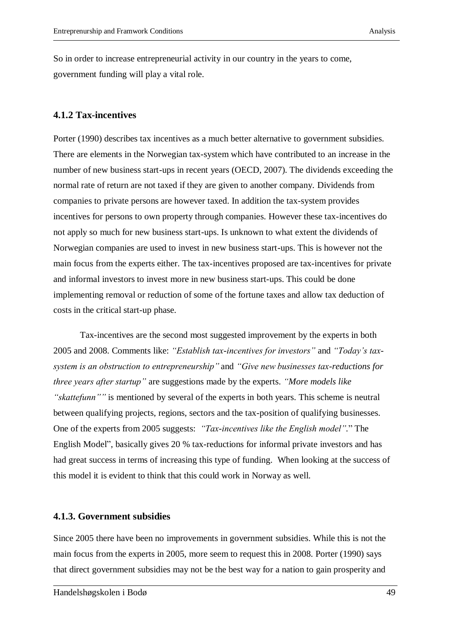So in order to increase entrepreneurial activity in our country in the years to come, government funding will play a vital role.

#### **4.1.2 Tax-incentives**

Porter (1990) describes tax incentives as a much better alternative to government subsidies. There are elements in the Norwegian tax-system which have contributed to an increase in the number of new business start-ups in recent years (OECD, 2007). The dividends exceeding the normal rate of return are not taxed if they are given to another company. Dividends from companies to private persons are however taxed. In addition the tax-system provides incentives for persons to own property through companies. However these tax-incentives do not apply so much for new business start-ups. Is unknown to what extent the dividends of Norwegian companies are used to invest in new business start-ups. This is however not the main focus from the experts either. The tax-incentives proposed are tax-incentives for private and informal investors to invest more in new business start-ups. This could be done implementing removal or reduction of some of the fortune taxes and allow tax deduction of costs in the critical start-up phase.

Tax-incentives are the second most suggested improvement by the experts in both 2005 and 2008. Comments like: *"Establish tax-incentives for investors"* and *"Today's taxsystem is an obstruction to entrepreneurship"* and *"Give new businesses tax-reductions for three years after startup"* are suggestions made by the experts. *"More models like "skattefunn""* is mentioned by several of the experts in both years. This scheme is neutral between qualifying projects, regions, sectors and the tax-position of qualifying businesses. One of the experts from 2005 suggests: *"Tax-incentives like the English model".*" The English Model", basically gives 20 % tax-reductions for informal private investors and has had great success in terms of increasing this type of funding. When looking at the success of this model it is evident to think that this could work in Norway as well.

### **4.1.3. Government subsidies**

Since 2005 there have been no improvements in government subsidies. While this is not the main focus from the experts in 2005, more seem to request this in 2008. Porter (1990) says that direct government subsidies may not be the best way for a nation to gain prosperity and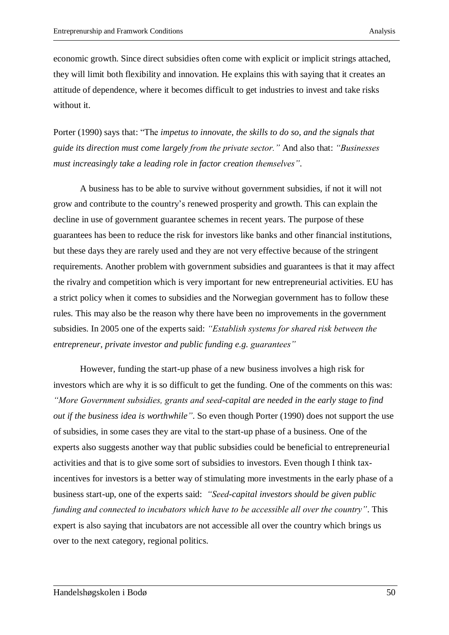economic growth. Since direct subsidies often come with explicit or implicit strings attached, they will limit both flexibility and innovation. He explains this with saying that it creates an attitude of dependence, where it becomes difficult to get industries to invest and take risks without it.

Porter (1990) says that: "The *impetus to innovate, the skills to do so, and the signals that guide its direction must come largely from the private sector."* And also that: *"Businesses must increasingly take a leading role in factor creation themselves"*.

A business has to be able to survive without government subsidies, if not it will not grow and contribute to the country's renewed prosperity and growth. This can explain the decline in use of government guarantee schemes in recent years. The purpose of these guarantees has been to reduce the risk for investors like banks and other financial institutions, but these days they are rarely used and they are not very effective because of the stringent requirements. Another problem with government subsidies and guarantees is that it may affect the rivalry and competition which is very important for new entrepreneurial activities. EU has a strict policy when it comes to subsidies and the Norwegian government has to follow these rules. This may also be the reason why there have been no improvements in the government subsidies. In 2005 one of the experts said: *"Establish systems for shared risk between the entrepreneur, private investor and public funding e.g. guarantees"*

However, funding the start-up phase of a new business involves a high risk for investors which are why it is so difficult to get the funding. One of the comments on this was: *"More Government subsidies, grants and seed-capital are needed in the early stage to find out if the business idea is worthwhile"*. So even though Porter (1990) does not support the use of subsidies, in some cases they are vital to the start-up phase of a business. One of the experts also suggests another way that public subsidies could be beneficial to entrepreneurial activities and that is to give some sort of subsidies to investors. Even though I think taxincentives for investors is a better way of stimulating more investments in the early phase of a business start-up, one of the experts said: *"Seed-capital investors should be given public funding and connected to incubators which have to be accessible all over the country"*. This expert is also saying that incubators are not accessible all over the country which brings us over to the next category, regional politics.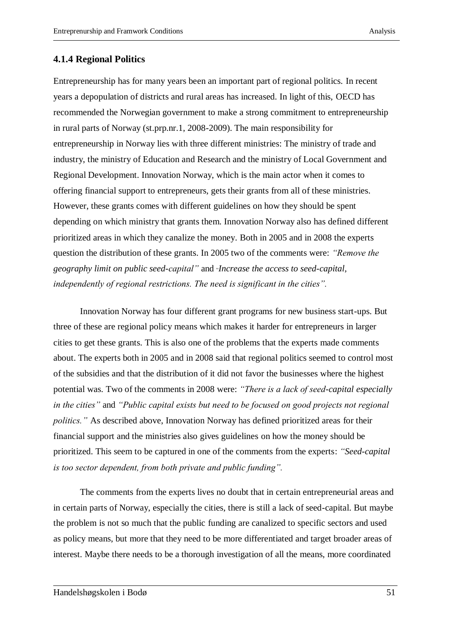## **4.1.4 Regional Politics**

Entrepreneurship has for many years been an important part of regional politics. In recent years a depopulation of districts and rural areas has increased. In light of this, OECD has recommended the Norwegian government to make a strong commitment to entrepreneurship in rural parts of Norway (st.prp.nr.1, 2008-2009). The main responsibility for entrepreneurship in Norway lies with three different ministries: The ministry of trade and industry, the ministry of Education and Research and the ministry of Local Government and Regional Development. Innovation Norway, which is the main actor when it comes to offering financial support to entrepreneurs, gets their grants from all of these ministries. However, these grants comes with different guidelines on how they should be spent depending on which ministry that grants them. Innovation Norway also has defined different prioritized areas in which they canalize the money. Both in 2005 and in 2008 the experts question the distribution of these grants. In 2005 two of the comments were: *"Remove the geography limit on public seed-capital"* and "*Increase the access to seed-capital, independently of regional restrictions. The need is significant in the cities".*

Innovation Norway has four different grant programs for new business start-ups. But three of these are regional policy means which makes it harder for entrepreneurs in larger cities to get these grants. This is also one of the problems that the experts made comments about. The experts both in 2005 and in 2008 said that regional politics seemed to control most of the subsidies and that the distribution of it did not favor the businesses where the highest potential was. Two of the comments in 2008 were: *"There is a lack of seed-capital especially in the cities"* and *"Public capital exists but need to be focused on good projects not regional politics."* As described above, Innovation Norway has defined prioritized areas for their financial support and the ministries also gives guidelines on how the money should be prioritized. This seem to be captured in one of the comments from the experts: *"Seed-capital is too sector dependent, from both private and public funding".*

The comments from the experts lives no doubt that in certain entrepreneurial areas and in certain parts of Norway, especially the cities, there is still a lack of seed-capital. But maybe the problem is not so much that the public funding are canalized to specific sectors and used as policy means, but more that they need to be more differentiated and target broader areas of interest. Maybe there needs to be a thorough investigation of all the means, more coordinated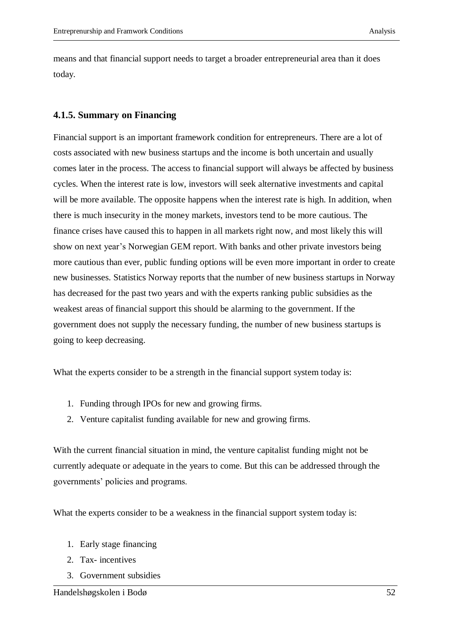means and that financial support needs to target a broader entrepreneurial area than it does today.

# **4.1.5. Summary on Financing**

Financial support is an important framework condition for entrepreneurs. There are a lot of costs associated with new business startups and the income is both uncertain and usually comes later in the process. The access to financial support will always be affected by business cycles. When the interest rate is low, investors will seek alternative investments and capital will be more available. The opposite happens when the interest rate is high. In addition, when there is much insecurity in the money markets, investors tend to be more cautious. The finance crises have caused this to happen in all markets right now, and most likely this will show on next year's Norwegian GEM report. With banks and other private investors being more cautious than ever, public funding options will be even more important in order to create new businesses. Statistics Norway reports that the number of new business startups in Norway has decreased for the past two years and with the experts ranking public subsidies as the weakest areas of financial support this should be alarming to the government. If the government does not supply the necessary funding, the number of new business startups is going to keep decreasing.

What the experts consider to be a strength in the financial support system today is:

- 1. Funding through IPOs for new and growing firms.
- 2. Venture capitalist funding available for new and growing firms.

With the current financial situation in mind, the venture capitalist funding might not be currently adequate or adequate in the years to come. But this can be addressed through the governments' policies and programs.

What the experts consider to be a weakness in the financial support system today is:

- 1. Early stage financing
- 2. Tax- incentives
- 3. Government subsidies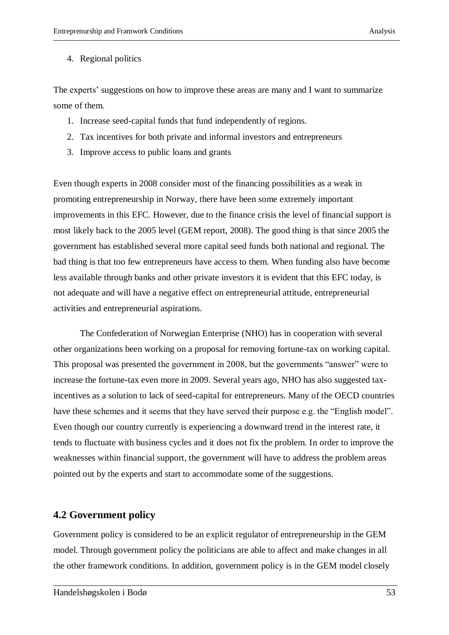## 4. Regional politics

The experts' suggestions on how to improve these areas are many and I want to summarize some of them.

- 1. Increase seed-capital funds that fund independently of regions.
- 2. Tax incentives for both private and informal investors and entrepreneurs
- 3. Improve access to public loans and grants

Even though experts in 2008 consider most of the financing possibilities as a weak in promoting entrepreneurship in Norway, there have been some extremely important improvements in this EFC. However, due to the finance crisis the level of financial support is most likely back to the 2005 level (GEM report, 2008). The good thing is that since 2005 the government has established several more capital seed funds both national and regional. The bad thing is that too few entrepreneurs have access to them. When funding also have become less available through banks and other private investors it is evident that this EFC today, is not adequate and will have a negative effect on entrepreneurial attitude, entrepreneurial activities and entrepreneurial aspirations.

The Confederation of Norwegian Enterprise (NHO) has in cooperation with several other organizations been working on a proposal for removing fortune-tax on working capital. This proposal was presented the government in 2008, but the governments "answer" were to increase the fortune-tax even more in 2009. Several years ago, NHO has also suggested taxincentives as a solution to lack of seed-capital for entrepreneurs. Many of the OECD countries have these schemes and it seems that they have served their purpose e.g. the "English model". Even though our country currently is experiencing a downward trend in the interest rate, it tends to fluctuate with business cycles and it does not fix the problem. In order to improve the weaknesses within financial support, the government will have to address the problem areas pointed out by the experts and start to accommodate some of the suggestions.

# **4.2 Government policy**

Government policy is considered to be an explicit regulator of entrepreneurship in the GEM model. Through government policy the politicians are able to affect and make changes in all the other framework conditions. In addition, government policy is in the GEM model closely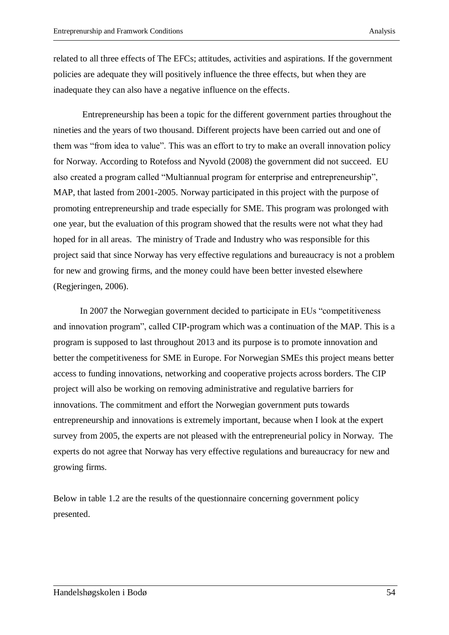related to all three effects of The EFCs; attitudes, activities and aspirations. If the government policies are adequate they will positively influence the three effects, but when they are inadequate they can also have a negative influence on the effects.

Entrepreneurship has been a topic for the different government parties throughout the nineties and the years of two thousand. Different projects have been carried out and one of them was "from idea to value". This was an effort to try to make an overall innovation policy for Norway. According to Rotefoss and Nyvold (2008) the government did not succeed. EU also created a program called "Multiannual program for enterprise and entrepreneurship", MAP, that lasted from 2001-2005. Norway participated in this project with the purpose of promoting entrepreneurship and trade especially for SME. This program was prolonged with one year, but the evaluation of this program showed that the results were not what they had hoped for in all areas. The ministry of Trade and Industry who was responsible for this project said that since Norway has very effective regulations and bureaucracy is not a problem for new and growing firms, and the money could have been better invested elsewhere (Regjeringen, 2006).

In 2007 the Norwegian government decided to participate in EUs "competitiveness and innovation program", called CIP-program which was a continuation of the MAP. This is a program is supposed to last throughout 2013 and its purpose is to promote innovation and better the competitiveness for SME in Europe. For Norwegian SMEs this project means better access to funding innovations, networking and cooperative projects across borders. The CIP project will also be working on removing administrative and regulative barriers for innovations. The commitment and effort the Norwegian government puts towards entrepreneurship and innovations is extremely important, because when I look at the expert survey from 2005, the experts are not pleased with the entrepreneurial policy in Norway. The experts do not agree that Norway has very effective regulations and bureaucracy for new and growing firms.

Below in table 1.2 are the results of the questionnaire concerning government policy presented.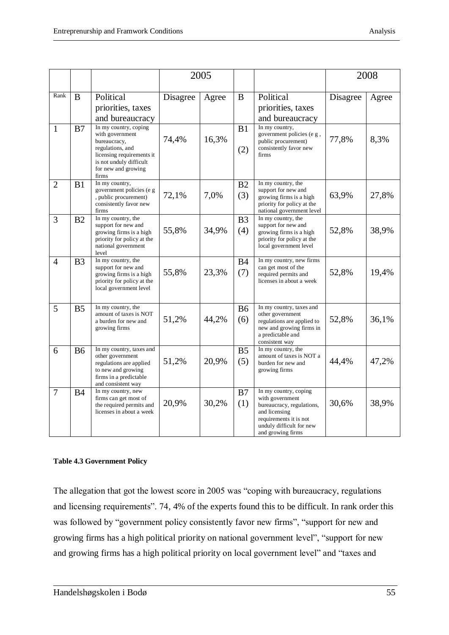|                |                |                                                                                                                                                                      |          | 2005  |                       |                                                                                                                                                                   |          | 2008  |
|----------------|----------------|----------------------------------------------------------------------------------------------------------------------------------------------------------------------|----------|-------|-----------------------|-------------------------------------------------------------------------------------------------------------------------------------------------------------------|----------|-------|
| Rank           | B              | Political<br>priorities, taxes<br>and bureaucracy                                                                                                                    | Disagree | Agree | B                     | Political<br>priorities, taxes<br>and bureaucracy                                                                                                                 | Disagree | Agree |
| $\mathbf{1}$   | B7             | In my country, coping<br>with government<br>bureaucracy,<br>regulations, and<br>licensing requirements it<br>is not unduly difficult<br>for new and growing<br>firms | 74,4%    | 16,3% | B1<br>(2)             | In my country,<br>government policies (e g,<br>public procurement)<br>consistently favor new<br>firms                                                             | 77,8%    | 8,3%  |
| $\overline{2}$ | B1             | In my country,<br>government policies (e g<br>, public procurement)<br>consistently favor new<br>firms                                                               | 72,1%    | 7,0%  | B2<br>(3)             | In my country, the<br>support for new and<br>growing firms is a high<br>priority for policy at the<br>national government level                                   | 63,9%    | 27,8% |
| 3              | B <sub>2</sub> | In my country, the<br>support for new and<br>growing firms is a high<br>priority for policy at the<br>national government<br>level                                   | 55,8%    | 34,9% | B <sub>3</sub><br>(4) | In my country, the<br>support for new and<br>growing firms is a high<br>priority for policy at the<br>local government level                                      | 52,8%    | 38,9% |
| $\overline{4}$ | B <sub>3</sub> | In my country, the<br>support for new and<br>growing firms is a high<br>priority for policy at the<br>local government level                                         | 55,8%    | 23,3% | <b>B4</b><br>(7)      | In my country, new firms<br>can get most of the<br>required permits and<br>licenses in about a week                                                               | 52,8%    | 19,4% |
| 5              | B <sub>5</sub> | In my country, the<br>amount of taxes is NOT<br>a burden for new and<br>growing firms                                                                                | 51,2%    | 44,2% | <b>B6</b><br>(6)      | In my country, taxes and<br>other government<br>regulations are applied to<br>new and growing firms in<br>a predictable and<br>consistent way                     | 52,8%    | 36,1% |
| 6              | <b>B6</b>      | In my country, taxes and<br>other government<br>regulations are applied<br>to new and growing<br>firms in a predictable<br>and consistent way                        | 51,2%    | 20,9% | B <sub>5</sub><br>(5) | In my country, the<br>amount of taxes is NOT a<br>burden for new and<br>growing firms                                                                             | 44,4%    | 47,2% |
| $\overline{7}$ | <b>B4</b>      | In my country, new<br>firms can get most of<br>the required permits and<br>licenses in about a week                                                                  | 20,9%    | 30,2% | B7<br>(1)             | In my country, coping<br>with government<br>bureaucracy, regulations,<br>and licensing<br>requirements it is not<br>unduly difficult for new<br>and growing firms | 30,6%    | 38,9% |

#### **Table 4.3 Government Policy**

The allegation that got the lowest score in 2005 was "coping with bureaucracy, regulations and licensing requirements". 74, 4% of the experts found this to be difficult. In rank order this was followed by "government policy consistently favor new firms", "support for new and growing firms has a high political priority on national government level", "support for new and growing firms has a high political priority on local government level" and "taxes and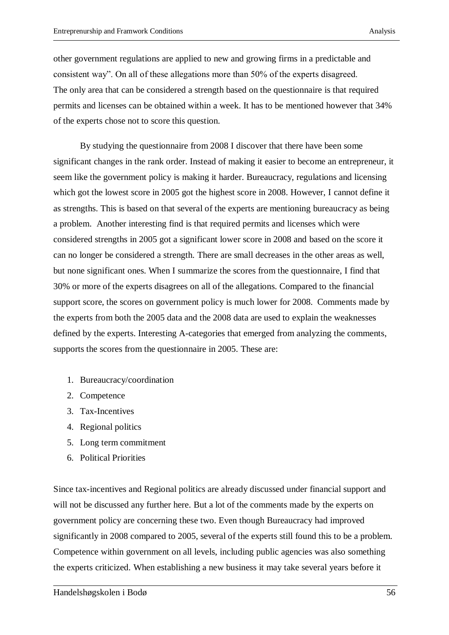other government regulations are applied to new and growing firms in a predictable and consistent way". On all of these allegations more than 50% of the experts disagreed. The only area that can be considered a strength based on the questionnaire is that required permits and licenses can be obtained within a week. It has to be mentioned however that 34% of the experts chose not to score this question.

By studying the questionnaire from 2008 I discover that there have been some significant changes in the rank order. Instead of making it easier to become an entrepreneur, it seem like the government policy is making it harder. Bureaucracy, regulations and licensing which got the lowest score in 2005 got the highest score in 2008. However, I cannot define it as strengths. This is based on that several of the experts are mentioning bureaucracy as being a problem. Another interesting find is that required permits and licenses which were considered strengths in 2005 got a significant lower score in 2008 and based on the score it can no longer be considered a strength. There are small decreases in the other areas as well, but none significant ones. When I summarize the scores from the questionnaire, I find that 30% or more of the experts disagrees on all of the allegations. Compared to the financial support score, the scores on government policy is much lower for 2008. Comments made by the experts from both the 2005 data and the 2008 data are used to explain the weaknesses defined by the experts. Interesting A-categories that emerged from analyzing the comments, supports the scores from the questionnaire in 2005. These are:

- 1. Bureaucracy/coordination
- 2. Competence
- 3. Tax-Incentives
- 4. Regional politics
- 5. Long term commitment
- 6. Political Priorities

Since tax-incentives and Regional politics are already discussed under financial support and will not be discussed any further here. But a lot of the comments made by the experts on government policy are concerning these two. Even though Bureaucracy had improved significantly in 2008 compared to 2005, several of the experts still found this to be a problem. Competence within government on all levels, including public agencies was also something the experts criticized. When establishing a new business it may take several years before it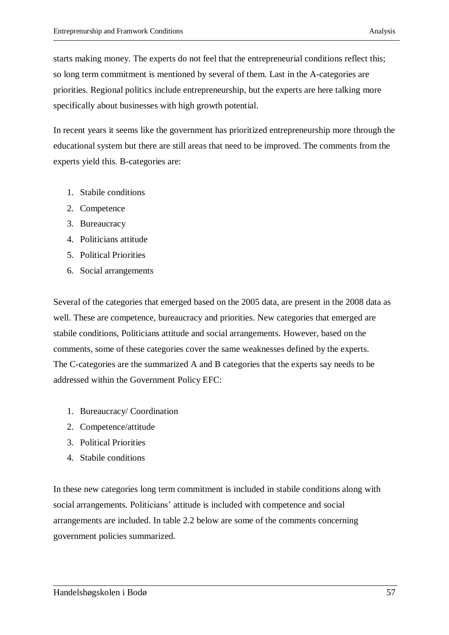starts making money. The experts do not feel that the entrepreneurial conditions reflect this; so long term commitment is mentioned by several of them. Last in the A-categories are priorities. Regional politics include entrepreneurship, but the experts are here talking more specifically about businesses with high growth potential.

In recent years it seems like the government has prioritized entrepreneurship more through the educational system but there are still areas that need to be improved. The comments from the experts yield this. B-categories are:

- 1. Stabile conditions
- 2. Competence
- 3. Bureaucracy
- 4. Politicians attitude
- 5. Political Priorities
- 6. Social arrangements

Several of the categories that emerged based on the 2005 data, are present in the 2008 data as well. These are competence, bureaucracy and priorities. New categories that emerged are stabile conditions, Politicians attitude and social arrangements. However, based on the comments, some of these categories cover the same weaknesses defined by the experts. The C-categories are the summarized A and B categories that the experts say needs to be addressed within the Government Policy EFC:

- 1. Bureaucracy/ Coordination
- 2. Competence/attitude
- 3. Political Priorities
- 4. Stabile conditions

In these new categories long term commitment is included in stabile conditions along with social arrangements. Politicians' attitude is included with competence and social arrangements are included. In table 2.2 below are some of the comments concerning government policies summarized.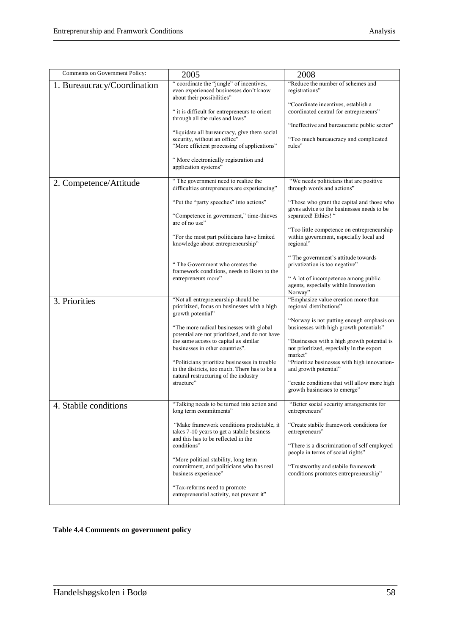| Comments on Government Policy: | 2005                                                                                                                                    | 2008                                                                                                            |
|--------------------------------|-----------------------------------------------------------------------------------------------------------------------------------------|-----------------------------------------------------------------------------------------------------------------|
| 1. Bureaucracy/Coordination    | " coordinate the "jungle" of incentives,<br>even experienced businesses don't know<br>about their possibilities"                        | "Reduce the number of schemes and<br>registrations"                                                             |
|                                | " it is difficult for entrepreneurs to orient<br>through all the rules and laws"                                                        | "Coordinate incentives, establish a<br>coordinated central for entrepreneurs"                                   |
|                                | "liquidate all bureaucracy, give them social<br>security, without an office"<br>"More efficient processing of applications"             | "Ineffective and bureaucratic public sector"<br>"Too much bureaucracy and complicated<br>rules"                 |
|                                | " More electronically registration and<br>application systems"                                                                          |                                                                                                                 |
| 2. Competence/Attitude         | "The government need to realize the<br>difficulties entrepreneurs are experiencing"                                                     | "We needs politicians that are positive<br>through words and actions"                                           |
|                                | "Put the "party speeches" into actions"<br>"Competence in government," time-thieves<br>are of no use"                                   | "Those who grant the capital and those who<br>gives advice to the businesses needs to be<br>separated! Ethics!" |
|                                | "For the most part politicians have limited<br>knowledge about entrepreneurship"                                                        | "Too little competence on entrepreneurship<br>within government, especially local and<br>regional"              |
|                                | "The Government who creates the<br>framework conditions, needs to listen to the                                                         | "The government's attitude towards<br>privatization is too negative"                                            |
|                                | entrepreneurs more"                                                                                                                     | " A lot of incompetence among public<br>agents, especially within Innovation<br>Norway"                         |
| 3. Priorities                  | "Not all entrepreneurship should be<br>prioritized, focus on businesses with a high<br>growth potential"                                | "Emphasize value creation more than<br>regional distributions"                                                  |
|                                | "The more radical businesses with global<br>potential are not prioritized, and do not have                                              | "Norway is not putting enough emphasis on<br>businesses with high growth potentials"                            |
|                                | the same access to capital as similar<br>businesses in other countries".                                                                | "Businesses with a high growth potential is<br>not prioritized, especially in the export<br>market"             |
|                                | "Politicians prioritize businesses in trouble<br>in the districts, too much. There has to be a<br>natural restructuring of the industry | "Prioritize businesses with high innovation-<br>and growth potential"                                           |
|                                | structure"                                                                                                                              | "create conditions that will allow more high<br>growth businesses to emerge"                                    |
| 4. Stabile conditions          | "Talking needs to be turned into action and<br>long term commitments"                                                                   | "Better social security arrangements for<br>entrepreneurs"                                                      |
|                                | "Make framework conditions predictable, it<br>takes 7-10 years to get a stabile business<br>and this has to be reflected in the         | "Create stabile framework conditions for<br>entrepreneurs"                                                      |
|                                | conditions"                                                                                                                             | "There is a discrimination of self employed<br>people in terms of social rights"                                |
|                                | "More political stability, long term<br>commitment, and politicians who has real<br>business experience"                                | "Trustworthy and stabile framework<br>conditions promotes entrepreneurship"                                     |
|                                | "Tax-reforms need to promote"<br>entrepreneurial activity, not prevent it"                                                              |                                                                                                                 |

#### **Table 4.4 Comments on government policy**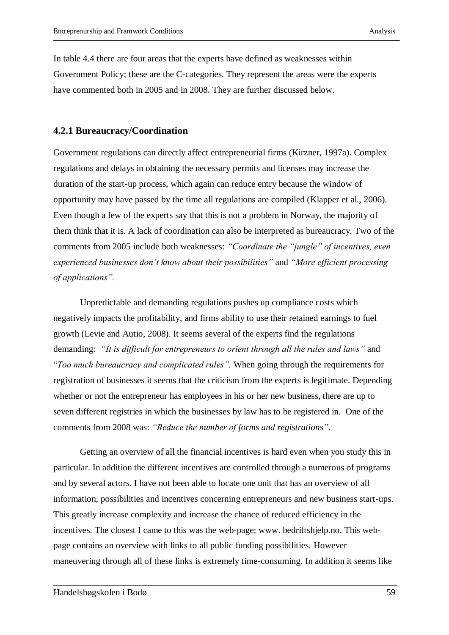In table 4.4 there are four areas that the experts have defined as weaknesses within Government Policy; these are the C-categories. They represent the areas were the experts have commented both in 2005 and in 2008. They are further discussed below.

#### **4.2.1 Bureaucracy/Coordination**

Government regulations can directly affect entrepreneurial firms (Kirzner, 1997a). Complex regulations and delays in obtaining the necessary permits and licenses may increase the duration of the start-up process, which again can reduce entry because the window of opportunity may have passed by the time all regulations are compiled (Klapper et al., 2006). Even though a few of the experts say that this is not a problem in Norway, the majority of them think that it is. A lack of coordination can also be interpreted as bureaucracy. Two of the comments from 2005 include both weaknesses: *"Coordinate the "jungle" of incentives, even experienced businesses don't know about their possibilities"* and *"More efficient processing of applications".*

Unpredictable and demanding regulations pushes up compliance costs which negatively impacts the profitability, and firms ability to use their retained earnings to fuel growth (Levie and Autio, 2008). It seems several of the experts find the regulations demanding: *"It is difficult for entrepreneurs to orient through all the rules and laws"* and "*Too much bureaucracy and complicated rules".* When going through the requirements for registration of businesses it seems that the criticism from the experts is legitimate. Depending whether or not the entrepreneur has employees in his or her new business, there are up to seven different registries in which the businesses by law has to be registered in. One of the comments from 2008 was: *"Reduce the number of forms and registrations"*.

Getting an overview of all the financial incentives is hard even when you study this in particular. In addition the different incentives are controlled through a numerous of programs and by several actors. I have not been able to locate one unit that has an overview of all information, possibilities and incentives concerning entrepreneurs and new business start-ups. This greatly increase complexity and increase the chance of reduced efficiency in the incentives. The closest I came to this was the web-page: www. bedriftshjelp.no. This webpage contains an overview with links to all public funding possibilities. However maneuvering through all of these links is extremely time-consuming. In addition it seems like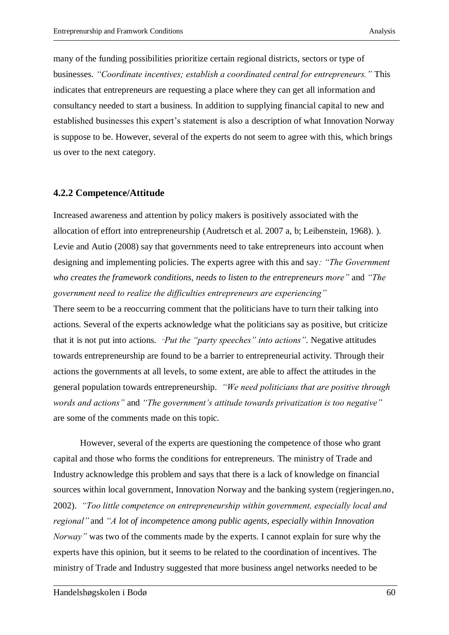many of the funding possibilities prioritize certain regional districts, sectors or type of businesses. *"Coordinate incentives; establish a coordinated central for entrepreneurs."* This indicates that entrepreneurs are requesting a place where they can get all information and consultancy needed to start a business. In addition to supplying financial capital to new and established businesses this expert's statement is also a description of what Innovation Norway is suppose to be. However, several of the experts do not seem to agree with this, which brings us over to the next category.

#### **4.2.2 Competence/Attitude**

Increased awareness and attention by policy makers is positively associated with the allocation of effort into entrepreneurship (Audretsch et al. 2007 a, b; Leibenstein, 1968). ). Levie and Autio (2008) say that governments need to take entrepreneurs into account when designing and implementing policies. The experts agree with this and say*: "The Government who creates the framework conditions, needs to listen to the entrepreneurs more"* and *"The government need to realize the difficulties entrepreneurs are experiencing"*

There seem to be a reoccurring comment that the politicians have to turn their talking into actions. Several of the experts acknowledge what the politicians say as positive, but criticize that it is not put into actions*. "Put the "party speeches" into actions".* Negative attitudes towards entrepreneurship are found to be a barrier to entrepreneurial activity. Through their actions the governments at all levels, to some extent, are able to affect the attitudes in the general population towards entrepreneurship. *"We need politicians that are positive through words and actions"* and *"The government's attitude towards privatization is too negative"*  are some of the comments made on this topic.

However, several of the experts are questioning the competence of those who grant capital and those who forms the conditions for entrepreneurs. The ministry of Trade and Industry acknowledge this problem and says that there is a lack of knowledge on financial sources within local government, Innovation Norway and the banking system (regjeringen.no, 2002). *"Too little competence on entrepreneurship within government, especially local and regional"* and *"A lot of incompetence among public agents, especially within Innovation Norway"* was two of the comments made by the experts. I cannot explain for sure why the experts have this opinion, but it seems to be related to the coordination of incentives. The ministry of Trade and Industry suggested that more business angel networks needed to be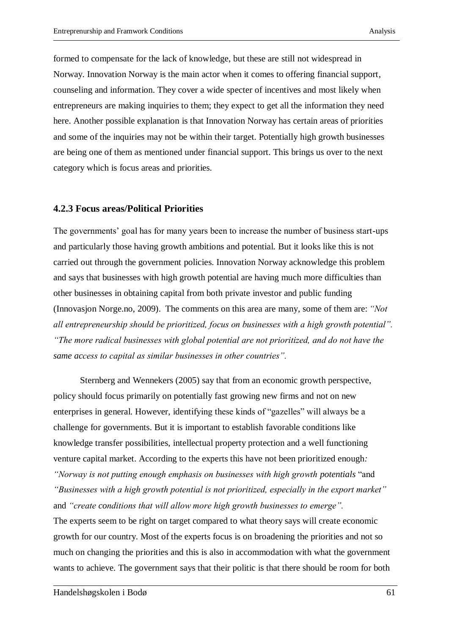formed to compensate for the lack of knowledge, but these are still not widespread in Norway. Innovation Norway is the main actor when it comes to offering financial support, counseling and information. They cover a wide specter of incentives and most likely when entrepreneurs are making inquiries to them; they expect to get all the information they need here. Another possible explanation is that Innovation Norway has certain areas of priorities and some of the inquiries may not be within their target. Potentially high growth businesses are being one of them as mentioned under financial support. This brings us over to the next category which is focus areas and priorities.

#### **4.2.3 Focus areas/Political Priorities**

The governments' goal has for many years been to increase the number of business start-ups and particularly those having growth ambitions and potential. But it looks like this is not carried out through the government policies. Innovation Norway acknowledge this problem and says that businesses with high growth potential are having much more difficulties than other businesses in obtaining capital from both private investor and public funding (Innovasjon Norge.no, 2009). The comments on this area are many, some of them are: *"Not all entrepreneurship should be prioritized, focus on businesses with a high growth potential". "The more radical businesses with global potential are not prioritized, and do not have the same access to capital as similar businesses in other countries".*

Sternberg and Wennekers (2005) say that from an economic growth perspective, policy should focus primarily on potentially fast growing new firms and not on new enterprises in general. However, identifying these kinds of "gazelles" will always be a challenge for governments. But it is important to establish favorable conditions like knowledge transfer possibilities, intellectual property protection and a well functioning venture capital market. According to the experts this have not been prioritized enough*: "Norway is not putting enough emphasis on businesses with high growth potentials* "and *"Businesses with a high growth potential is not prioritized, especially in the export market"*  and *"create conditions that will allow more high growth businesses to emerge".* The experts seem to be right on target compared to what theory says will create economic growth for our country. Most of the experts focus is on broadening the priorities and not so much on changing the priorities and this is also in accommodation with what the government wants to achieve. The government says that their politic is that there should be room for both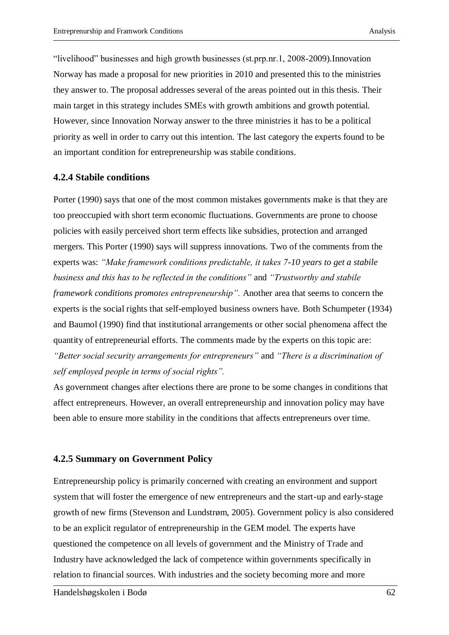"livelihood" businesses and high growth businesses (st.prp.nr.1, 2008-2009).Innovation Norway has made a proposal for new priorities in 2010 and presented this to the ministries they answer to. The proposal addresses several of the areas pointed out in this thesis. Their main target in this strategy includes SMEs with growth ambitions and growth potential. However, since Innovation Norway answer to the three ministries it has to be a political priority as well in order to carry out this intention. The last category the experts found to be an important condition for entrepreneurship was stabile conditions.

#### **4.2.4 Stabile conditions**

Porter (1990) says that one of the most common mistakes governments make is that they are too preoccupied with short term economic fluctuations. Governments are prone to choose policies with easily perceived short term effects like subsidies, protection and arranged mergers. This Porter (1990) says will suppress innovations. Two of the comments from the experts was: *"Make framework conditions predictable, it takes 7-10 years to get a stabile business and this has to be reflected in the conditions"* and *"Trustworthy and stabile framework conditions promotes entrepreneurship".* Another area that seems to concern the experts is the social rights that self-employed business owners have. Both Schumpeter (1934) and Baumol (1990) find that institutional arrangements or other social phenomena affect the quantity of entrepreneurial efforts. The comments made by the experts on this topic are: *"Better social security arrangements for entrepreneurs"* and *"There is a discrimination of self employed people in terms of social rights".*

As government changes after elections there are prone to be some changes in conditions that affect entrepreneurs. However, an overall entrepreneurship and innovation policy may have been able to ensure more stability in the conditions that affects entrepreneurs over time.

# **4.2.5 Summary on Government Policy**

Entrepreneurship policy is primarily concerned with creating an environment and support system that will foster the emergence of new entrepreneurs and the start-up and early-stage growth of new firms (Stevenson and Lundstrøm, 2005). Government policy is also considered to be an explicit regulator of entrepreneurship in the GEM model. The experts have questioned the competence on all levels of government and the Ministry of Trade and Industry have acknowledged the lack of competence within governments specifically in relation to financial sources. With industries and the society becoming more and more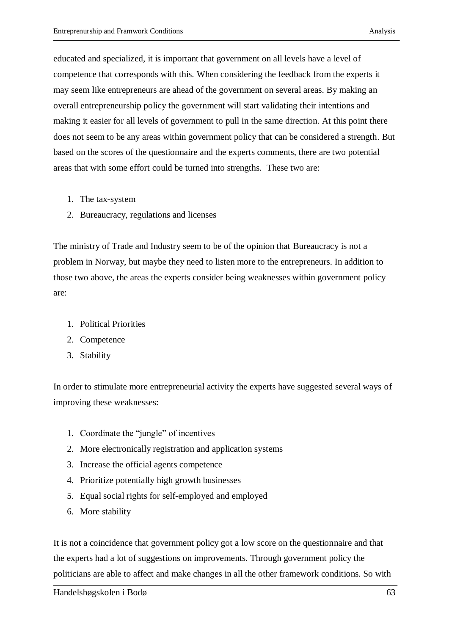educated and specialized, it is important that government on all levels have a level of competence that corresponds with this. When considering the feedback from the experts it may seem like entrepreneurs are ahead of the government on several areas. By making an overall entrepreneurship policy the government will start validating their intentions and making it easier for all levels of government to pull in the same direction. At this point there does not seem to be any areas within government policy that can be considered a strength. But based on the scores of the questionnaire and the experts comments, there are two potential areas that with some effort could be turned into strengths. These two are:

- 1. The tax-system
- 2. Bureaucracy, regulations and licenses

The ministry of Trade and Industry seem to be of the opinion that Bureaucracy is not a problem in Norway, but maybe they need to listen more to the entrepreneurs. In addition to those two above, the areas the experts consider being weaknesses within government policy are:

- 1. Political Priorities
- 2. Competence
- 3. Stability

In order to stimulate more entrepreneurial activity the experts have suggested several ways of improving these weaknesses:

- 1. Coordinate the "jungle" of incentives
- 2. More electronically registration and application systems
- 3. Increase the official agents competence
- 4. Prioritize potentially high growth businesses
- 5. Equal social rights for self-employed and employed
- 6. More stability

It is not a coincidence that government policy got a low score on the questionnaire and that the experts had a lot of suggestions on improvements. Through government policy the politicians are able to affect and make changes in all the other framework conditions. So with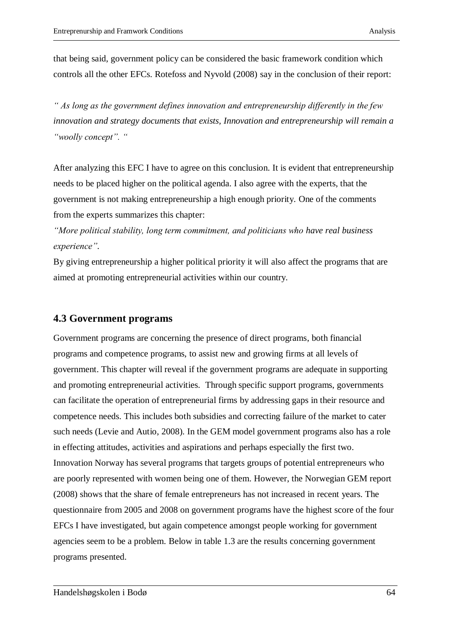that being said, government policy can be considered the basic framework condition which controls all the other EFCs. Rotefoss and Nyvold (2008) say in the conclusion of their report:

*" As long as the government defines innovation and entrepreneurship differently in the few innovation and strategy documents that exists, Innovation and entrepreneurship will remain a "woolly concept". "* 

After analyzing this EFC I have to agree on this conclusion. It is evident that entrepreneurship needs to be placed higher on the political agenda. I also agree with the experts, that the government is not making entrepreneurship a high enough priority. One of the comments from the experts summarizes this chapter:

*"More political stability, long term commitment, and politicians who have real business experience".*

By giving entrepreneurship a higher political priority it will also affect the programs that are aimed at promoting entrepreneurial activities within our country.

# **4.3 Government programs**

Government programs are concerning the presence of direct programs, both financial programs and competence programs, to assist new and growing firms at all levels of government. This chapter will reveal if the government programs are adequate in supporting and promoting entrepreneurial activities. Through specific support programs, governments can facilitate the operation of entrepreneurial firms by addressing gaps in their resource and competence needs. This includes both subsidies and correcting failure of the market to cater such needs (Levie and Autio, 2008). In the GEM model government programs also has a role in effecting attitudes, activities and aspirations and perhaps especially the first two. Innovation Norway has several programs that targets groups of potential entrepreneurs who are poorly represented with women being one of them. However, the Norwegian GEM report (2008) shows that the share of female entrepreneurs has not increased in recent years. The questionnaire from 2005 and 2008 on government programs have the highest score of the four EFCs I have investigated, but again competence amongst people working for government agencies seem to be a problem. Below in table 1.3 are the results concerning government programs presented.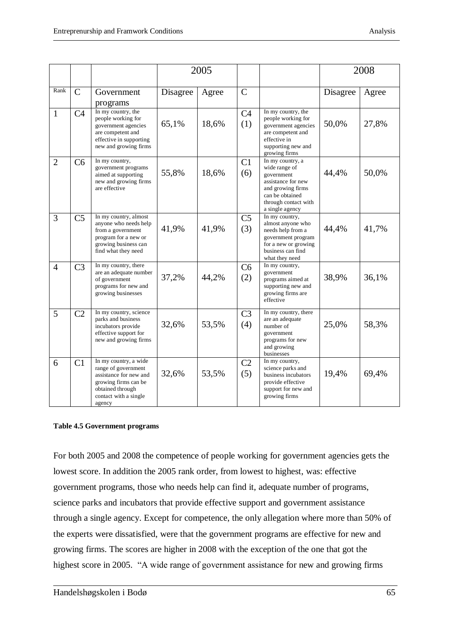|                |                |                                                                                                                                                       |          | 2005  |                       |                                                                                                                                                          |          | 2008  |
|----------------|----------------|-------------------------------------------------------------------------------------------------------------------------------------------------------|----------|-------|-----------------------|----------------------------------------------------------------------------------------------------------------------------------------------------------|----------|-------|
| Rank           | $\mathsf{C}$   | Government<br>programs                                                                                                                                | Disagree | Agree | $\overline{C}$        |                                                                                                                                                          | Disagree | Agree |
| $\mathbf{1}$   | C <sub>4</sub> | In my country, the<br>people working for<br>government agencies<br>are competent and<br>effective in supporting<br>new and growing firms              | 65,1%    | 18,6% | C <sub>4</sub><br>(1) | In my country, the<br>people working for<br>government agencies<br>are competent and<br>effective in<br>supporting new and<br>growing firms              | 50,0%    | 27,8% |
| $\overline{2}$ | C <sub>6</sub> | In my country,<br>government programs<br>aimed at supporting<br>new and growing firms<br>are effective                                                | 55,8%    | 18,6% | C <sub>1</sub><br>(6) | In my country, a<br>wide range of<br>government<br>assistance for new<br>and growing firms<br>can be obtained<br>through contact with<br>a single agency | 44,4%    | 50,0% |
| 3              | C <sub>5</sub> | In my country, almost<br>anyone who needs help<br>from a government<br>program for a new or<br>growing business can<br>find what they need            | 41,9%    | 41,9% | C <sub>5</sub><br>(3) | In my country,<br>almost anyone who<br>needs help from a<br>government program<br>for a new or growing<br>business can find<br>what they need            | 44,4%    | 41,7% |
| $\overline{4}$ | C <sub>3</sub> | In my country, there<br>are an adequate number<br>of government<br>programs for new and<br>growing businesses                                         | 37,2%    | 44,2% | C <sub>6</sub><br>(2) | In my country,<br>government<br>programs aimed at<br>supporting new and<br>growing firms are<br>effective                                                | 38,9%    | 36,1% |
| 5              | C <sub>2</sub> | In my country, science<br>parks and business<br>incubators provide<br>effective support for<br>new and growing firms                                  | 32,6%    | 53,5% | C <sub>3</sub><br>(4) | In my country, there<br>are an adequate<br>number of<br>government<br>programs for new<br>and growing<br>businesses                                      | 25,0%    | 58,3% |
| 6              | C1             | In my country, a wide<br>range of government<br>assistance for new and<br>growing firms can be<br>obtained through<br>contact with a single<br>agency | 32,6%    | 53,5% | C <sub>2</sub><br>(5) | In my country,<br>science parks and<br>business incubators<br>provide effective<br>support for new and<br>growing firms                                  | 19,4%    | 69,4% |

#### **Table 4.5 Government programs**

For both 2005 and 2008 the competence of people working for government agencies gets the lowest score. In addition the 2005 rank order, from lowest to highest, was: effective government programs, those who needs help can find it, adequate number of programs, science parks and incubators that provide effective support and government assistance through a single agency. Except for competence, the only allegation where more than 50% of the experts were dissatisfied, were that the government programs are effective for new and growing firms. The scores are higher in 2008 with the exception of the one that got the highest score in 2005. "A wide range of government assistance for new and growing firms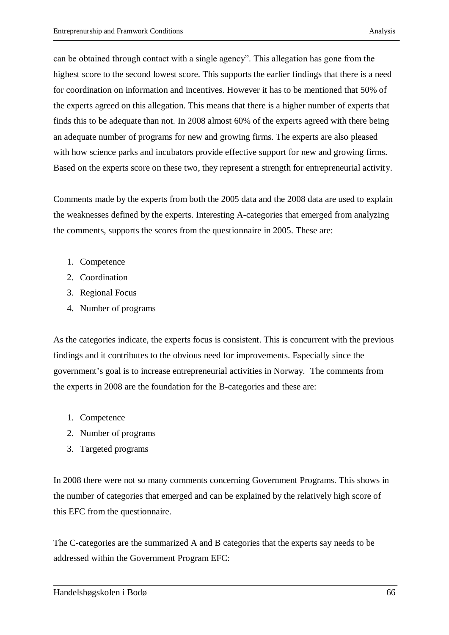can be obtained through contact with a single agency". This allegation has gone from the highest score to the second lowest score. This supports the earlier findings that there is a need for coordination on information and incentives. However it has to be mentioned that 50% of the experts agreed on this allegation. This means that there is a higher number of experts that finds this to be adequate than not. In 2008 almost 60% of the experts agreed with there being an adequate number of programs for new and growing firms. The experts are also pleased with how science parks and incubators provide effective support for new and growing firms. Based on the experts score on these two, they represent a strength for entrepreneurial activity.

Comments made by the experts from both the 2005 data and the 2008 data are used to explain the weaknesses defined by the experts. Interesting A-categories that emerged from analyzing the comments, supports the scores from the questionnaire in 2005. These are:

- 1. Competence
- 2. Coordination
- 3. Regional Focus
- 4. Number of programs

As the categories indicate, the experts focus is consistent. This is concurrent with the previous findings and it contributes to the obvious need for improvements. Especially since the government's goal is to increase entrepreneurial activities in Norway. The comments from the experts in 2008 are the foundation for the B-categories and these are:

- 1. Competence
- 2. Number of programs
- 3. Targeted programs

In 2008 there were not so many comments concerning Government Programs. This shows in the number of categories that emerged and can be explained by the relatively high score of this EFC from the questionnaire.

The C-categories are the summarized A and B categories that the experts say needs to be addressed within the Government Program EFC: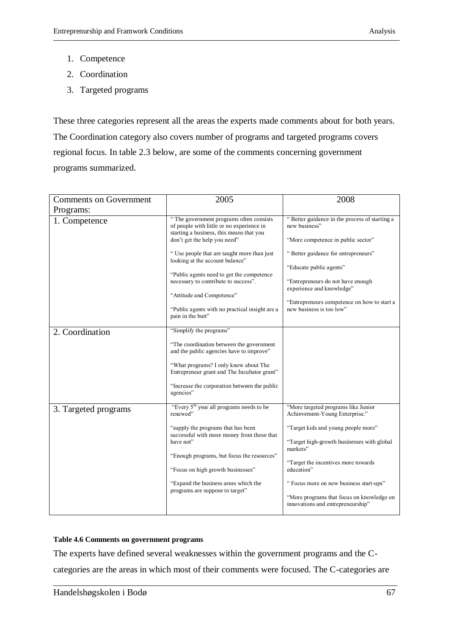- 1. Competence
- 2. Coordination
- 3. Targeted programs

These three categories represent all the areas the experts made comments about for both years. The Coordination category also covers number of programs and targeted programs covers regional focus. In table 2.3 below, are some of the comments concerning government programs summarized.

| <b>Comments on Government</b> | 2005                                                                                                                                                                                                                                                                                                                                                                                                                                         | 2008                                                                                                                                                                                                                                                                                                                                                     |  |
|-------------------------------|----------------------------------------------------------------------------------------------------------------------------------------------------------------------------------------------------------------------------------------------------------------------------------------------------------------------------------------------------------------------------------------------------------------------------------------------|----------------------------------------------------------------------------------------------------------------------------------------------------------------------------------------------------------------------------------------------------------------------------------------------------------------------------------------------------------|--|
| Programs:                     |                                                                                                                                                                                                                                                                                                                                                                                                                                              |                                                                                                                                                                                                                                                                                                                                                          |  |
| 1. Competence                 | "The government programs often consists<br>of people with little or no experience in<br>starting a business, this means that you<br>don't get the help you need"<br>" Use people that are taught more than just<br>looking at the account balance"<br>"Public agents need to get the competence"<br>necessary to contribute to success".<br>"Attitude and Competence"<br>"Public agents with no practical insight are a<br>pain in the butt" | "Better guidance in the process of starting a<br>new business"<br>"More competence in public sector"<br>"Better guidance for entrepreneurs"<br>"Educate public agents"<br>"Entrepreneurs do not have enough<br>experience and knowledge"<br>"Entrepreneurs competence on how to start a<br>new business is too low"                                      |  |
| 2. Coordination               | "Simplify the programs"<br>"The coordination between the government"<br>and the public agencies have to improve"<br>"What programs? I only know about The<br>Entrepreneur grant and The Incubator grant"<br>"Increase the corporation between the public<br>agencies"                                                                                                                                                                        |                                                                                                                                                                                                                                                                                                                                                          |  |
| 3. Targeted programs          | "Every 5 <sup>th</sup> year all programs needs to be<br>renewed"<br>"supply the programs that has been<br>successful with more money from those that<br>have not"<br>"Enough programs, but focus the resources"<br>"Focus on high growth businesses"<br>"Expand the business areas which the<br>programs are suppose to target"                                                                                                              | "More targeted programs like Junior<br>Achievement-Young Enterprise."<br>"Target kids and young people more"<br>"Target high-growth businesses with global<br>markets"<br>"Target the incentives more towards"<br>education"<br>"Focus more on new business start-ups"<br>"More programs that focus on knowledge on<br>innovations and entrepreneurship" |  |

#### **Table 4.6 Comments on government programs**

The experts have defined several weaknesses within the government programs and the Ccategories are the areas in which most of their comments were focused. The C-categories are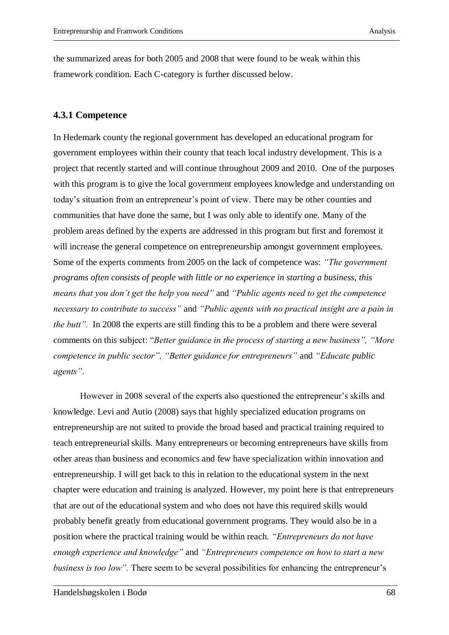the summarized areas for both 2005 and 2008 that were found to be weak within this framework condition. Each C-category is further discussed below.

# **4.3.1 Competence**

In Hedemark county the regional government has developed an educational program for government employees within their county that teach local industry development. This is a project that recently started and will continue throughout 2009 and 2010. One of the purposes with this program is to give the local government employees knowledge and understanding on today's situation from an entrepreneur's point of view. There may be other counties and communities that have done the same, but I was only able to identify one. Many of the problem areas defined by the experts are addressed in this program but first and foremost it will increase the general competence on entrepreneurship amongst government employees. Some of the experts comments from 2005 on the lack of competence was: *"The government programs often consists of people with little or no experience in starting a business, this means that you don't get the help you need"* and *"Public agents need to get the competence necessary to contribute to success"* and *"Public agents with no practical insight are a pain in the butt".* In 2008 the experts are still finding this to be a problem and there were several comments on this subject: "*Better guidance in the process of starting a new business", "More competence in public sector", "Better guidance for entrepreneurs"* and *"Educate public agents"*.

However in 2008 several of the experts also questioned the entrepreneur's skills and knowledge. Levi and Autio (2008) says that highly specialized education programs on entrepreneurship are not suited to provide the broad based and practical training required to teach entrepreneurial skills. Many entrepreneurs or becoming entrepreneurs have skills from other areas than business and economics and few have specialization within innovation and entrepreneurship. I will get back to this in relation to the educational system in the next chapter were education and training is analyzed. However, my point here is that entrepreneurs that are out of the educational system and who does not have this required skills would probably benefit greatly from educational government programs. They would also be in a position where the practical training would be within reach. *"Entrepreneurs do not have enough experience and knowledge"* and *"Entrepreneurs competence on how to start a new business is too low"*. There seem to be several possibilities for enhancing the entrepreneur's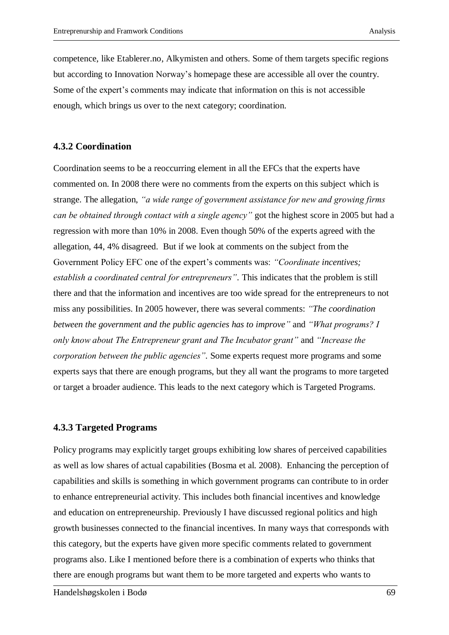competence, like Etablerer.no, Alkymisten and others. Some of them targets specific regions but according to Innovation Norway's homepage these are accessible all over the country. Some of the expert's comments may indicate that information on this is not accessible enough, which brings us over to the next category; coordination.

# **4.3.2 Coordination**

Coordination seems to be a reoccurring element in all the EFCs that the experts have commented on. In 2008 there were no comments from the experts on this subject which is strange. The allegation, *"a wide range of government assistance for new and growing firms can be obtained through contact with a single agency"* got the highest score in 2005 but had a regression with more than 10% in 2008. Even though 50% of the experts agreed with the allegation, 44, 4% disagreed. But if we look at comments on the subject from the Government Policy EFC one of the expert's comments was: *"Coordinate incentives; establish a coordinated central for entrepreneurs".* This indicates that the problem is still there and that the information and incentives are too wide spread for the entrepreneurs to not miss any possibilities. In 2005 however, there was several comments: *"The coordination between the government and the public agencies has to improve"* and *"What programs? I only know about The Entrepreneur grant and The Incubator grant"* and *"Increase the corporation between the public agencies".* Some experts request more programs and some experts says that there are enough programs, but they all want the programs to more targeted or target a broader audience. This leads to the next category which is Targeted Programs.

# **4.3.3 Targeted Programs**

Policy programs may explicitly target groups exhibiting low shares of perceived capabilities as well as low shares of actual capabilities (Bosma et al. 2008). Enhancing the perception of capabilities and skills is something in which government programs can contribute to in order to enhance entrepreneurial activity. This includes both financial incentives and knowledge and education on entrepreneurship. Previously I have discussed regional politics and high growth businesses connected to the financial incentives. In many ways that corresponds with this category, but the experts have given more specific comments related to government programs also. Like I mentioned before there is a combination of experts who thinks that there are enough programs but want them to be more targeted and experts who wants to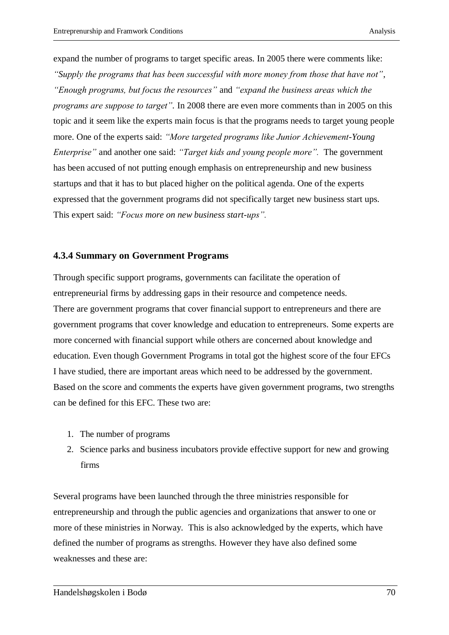expand the number of programs to target specific areas. In 2005 there were comments like: *"Supply the programs that has been successful with more money from those that have not"*, *"Enough programs, but focus the resources"* and *"expand the business areas which the programs are suppose to target".* In 2008 there are even more comments than in 2005 on this topic and it seem like the experts main focus is that the programs needs to target young people more. One of the experts said: *"More targeted programs like Junior Achievement-Young Enterprise"* and another one said: *"Target kids and young people more".* The government has been accused of not putting enough emphasis on entrepreneurship and new business startups and that it has to but placed higher on the political agenda. One of the experts expressed that the government programs did not specifically target new business start ups. This expert said: *"Focus more on new business start-ups".*

## **4.3.4 Summary on Government Programs**

Through specific support programs, governments can facilitate the operation of entrepreneurial firms by addressing gaps in their resource and competence needs. There are government programs that cover financial support to entrepreneurs and there are government programs that cover knowledge and education to entrepreneurs. Some experts are more concerned with financial support while others are concerned about knowledge and education. Even though Government Programs in total got the highest score of the four EFCs I have studied, there are important areas which need to be addressed by the government. Based on the score and comments the experts have given government programs, two strengths can be defined for this EFC. These two are:

- 1. The number of programs
- 2. Science parks and business incubators provide effective support for new and growing firms

Several programs have been launched through the three ministries responsible for entrepreneurship and through the public agencies and organizations that answer to one or more of these ministries in Norway. This is also acknowledged by the experts, which have defined the number of programs as strengths. However they have also defined some weaknesses and these are: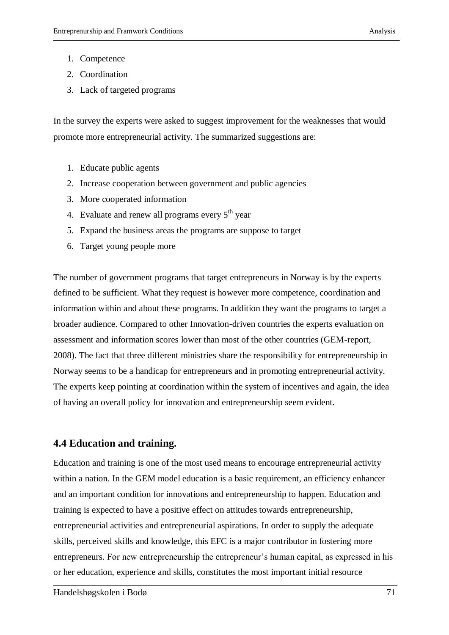- 1. Competence
- 2. Coordination
- 3. Lack of targeted programs

In the survey the experts were asked to suggest improvement for the weaknesses that would promote more entrepreneurial activity. The summarized suggestions are:

- 1. Educate public agents
- 2. Increase cooperation between government and public agencies
- 3. More cooperated information
- 4. Evaluate and renew all programs every  $5<sup>th</sup>$  year
- 5. Expand the business areas the programs are suppose to target
- 6. Target young people more

The number of government programs that target entrepreneurs in Norway is by the experts defined to be sufficient. What they request is however more competence, coordination and information within and about these programs. In addition they want the programs to target a broader audience. Compared to other Innovation-driven countries the experts evaluation on assessment and information scores lower than most of the other countries (GEM-report, 2008). The fact that three different ministries share the responsibility for entrepreneurship in Norway seems to be a handicap for entrepreneurs and in promoting entrepreneurial activity. The experts keep pointing at coordination within the system of incentives and again, the idea of having an overall policy for innovation and entrepreneurship seem evident.

# **4.4 Education and training.**

Education and training is one of the most used means to encourage entrepreneurial activity within a nation. In the GEM model education is a basic requirement, an efficiency enhancer and an important condition for innovations and entrepreneurship to happen. Education and training is expected to have a positive effect on attitudes towards entrepreneurship, entrepreneurial activities and entrepreneurial aspirations. In order to supply the adequate skills, perceived skills and knowledge, this EFC is a major contributor in fostering more entrepreneurs. For new entrepreneurship the entrepreneur's human capital, as expressed in his or her education, experience and skills, constitutes the most important initial resource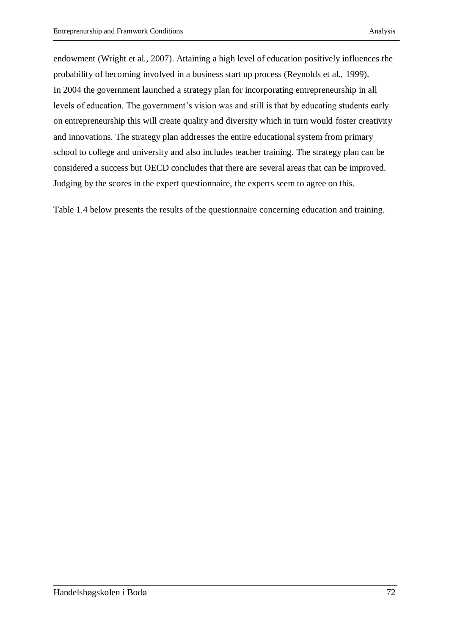endowment (Wright et al., 2007). Attaining a high level of education positively influences the probability of becoming involved in a business start up process (Reynolds et al., 1999). In 2004 the government launched a strategy plan for incorporating entrepreneurship in all levels of education. The government's vision was and still is that by educating students early on entrepreneurship this will create quality and diversity which in turn would foster creativity and innovations. The strategy plan addresses the entire educational system from primary school to college and university and also includes teacher training. The strategy plan can be considered a success but OECD concludes that there are several areas that can be improved. Judging by the scores in the expert questionnaire, the experts seem to agree on this.

Table 1.4 below presents the results of the questionnaire concerning education and training.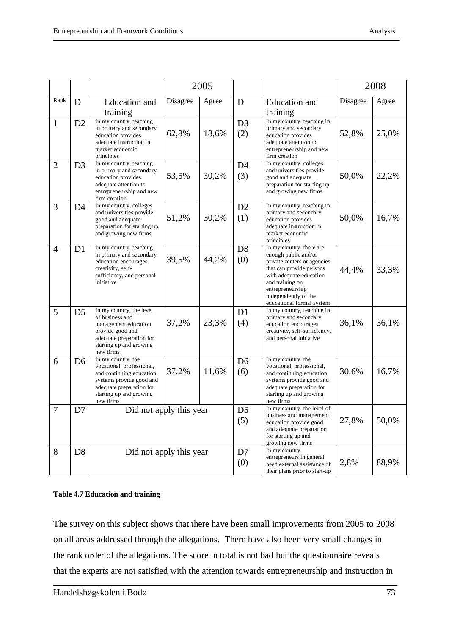|                |                |                                                                                                                                                                             |          | 2005  |                       |                                                                                                                                                                                                                                    |          | 2008  |
|----------------|----------------|-----------------------------------------------------------------------------------------------------------------------------------------------------------------------------|----------|-------|-----------------------|------------------------------------------------------------------------------------------------------------------------------------------------------------------------------------------------------------------------------------|----------|-------|
| Rank           | D              | <b>Education</b> and<br>training                                                                                                                                            | Disagree | Agree | D                     | <b>Education</b> and<br>training                                                                                                                                                                                                   | Disagree | Agree |
| $\mathbf{1}$   | D2             | In my country, teaching<br>in primary and secondary<br>education provides<br>adequate instruction in<br>market economic<br>principles                                       | 62,8%    | 18,6% | D <sub>3</sub><br>(2) | In my country, teaching in<br>primary and secondary<br>education provides<br>adequate attention to<br>entrepreneurship and new<br>firm creation                                                                                    | 52,8%    | 25,0% |
| $\overline{2}$ | D <sub>3</sub> | In my country, teaching<br>in primary and secondary<br>education provides<br>adequate attention to<br>entrepreneurship and new<br>firm creation                             | 53,5%    | 30,2% | D <sub>4</sub><br>(3) | In my country, colleges<br>and universities provide<br>good and adequate<br>preparation for starting up<br>and growing new firms                                                                                                   | 50,0%    | 22,2% |
| 3              | D4             | In my country, colleges<br>and universities provide<br>good and adequate<br>preparation for starting up<br>and growing new firms                                            | 51,2%    | 30,2% | D2<br>(1)             | In my country, teaching in<br>primary and secondary<br>education provides<br>adequate instruction in<br>market economic<br>principles                                                                                              | 50,0%    | 16,7% |
| $\overline{4}$ | D <sub>1</sub> | In my country, teaching<br>in primary and secondary<br>education encourages<br>creativity, self-<br>sufficiency, and personal<br>initiative                                 | 39,5%    | 44,2% | D <sub>8</sub><br>(0) | In my country, there are<br>enough public and/or<br>private centers or agencies<br>that can provide persons<br>with adequate education<br>and training on<br>entrepreneurship<br>independently of the<br>educational formal system | 44,4%    | 33,3% |
| 5              | D <sub>5</sub> | In my country, the level<br>of business and<br>management education<br>provide good and<br>adequate preparation for<br>starting up and growing<br>new firms                 | 37,2%    | 23,3% | D1<br>(4)             | In my country, teaching in<br>primary and secondary<br>education encourages<br>creativity, self-sufficiency,<br>and personal initiative                                                                                            | 36,1%    | 36,1% |
| 6              | D <sub>6</sub> | In my country, the<br>vocational, professional,<br>and continuing education<br>systems provide good and<br>adequate preparation for<br>starting up and growing<br>new firms | 37,2%    | 11,6% | D <sub>6</sub><br>(6) | In my country, the<br>vocational, professional,<br>and continuing education<br>systems provide good and<br>adequate preparation for<br>starting up and growing<br>new firms                                                        | 30,6%    | 16,7% |
| 7              | D7             | Did not apply this year                                                                                                                                                     |          |       | D <sub>5</sub><br>(5) | In my country, the level of<br>business and management<br>education provide good<br>and adequate preparation<br>for starting up and<br>growing new firms                                                                           | 27,8%    | 50,0% |
| 8              | D <sub>8</sub> | Did not apply this year                                                                                                                                                     |          |       | D7<br>(0)             | In my country,<br>entrepreneurs in general<br>need external assistance of<br>their plans prior to start-up                                                                                                                         | 2,8%     | 88,9% |

### **Table 4.7 Education and training**

The survey on this subject shows that there have been small improvements from 2005 to 2008 on all areas addressed through the allegations. There have also been very small changes in the rank order of the allegations. The score in total is not bad but the questionnaire reveals that the experts are not satisfied with the attention towards entrepreneurship and instruction in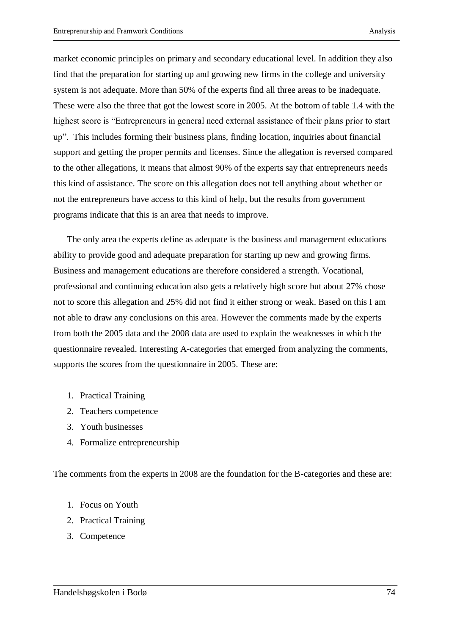market economic principles on primary and secondary educational level. In addition they also find that the preparation for starting up and growing new firms in the college and university system is not adequate. More than 50% of the experts find all three areas to be inadequate. These were also the three that got the lowest score in 2005. At the bottom of table 1.4 with the highest score is "Entrepreneurs in general need external assistance of their plans prior to start up". This includes forming their business plans, finding location, inquiries about financial support and getting the proper permits and licenses. Since the allegation is reversed compared to the other allegations, it means that almost 90% of the experts say that entrepreneurs needs this kind of assistance. The score on this allegation does not tell anything about whether or not the entrepreneurs have access to this kind of help, but the results from government programs indicate that this is an area that needs to improve.

The only area the experts define as adequate is the business and management educations ability to provide good and adequate preparation for starting up new and growing firms. Business and management educations are therefore considered a strength. Vocational, professional and continuing education also gets a relatively high score but about 27% chose not to score this allegation and 25% did not find it either strong or weak. Based on this I am not able to draw any conclusions on this area. However the comments made by the experts from both the 2005 data and the 2008 data are used to explain the weaknesses in which the questionnaire revealed. Interesting A-categories that emerged from analyzing the comments, supports the scores from the questionnaire in 2005. These are:

- 1. Practical Training
- 2. Teachers competence
- 3. Youth businesses
- 4. Formalize entrepreneurship

The comments from the experts in 2008 are the foundation for the B-categories and these are:

- 1. Focus on Youth
- 2. Practical Training
- 3. Competence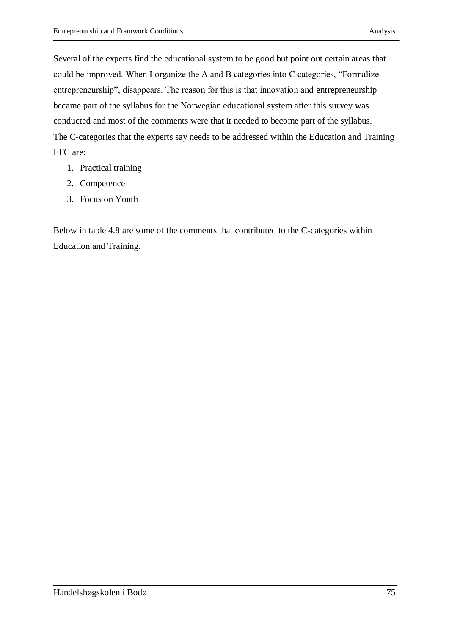Several of the experts find the educational system to be good but point out certain areas that could be improved. When I organize the A and B categories into C categories, "Formalize entrepreneurship", disappears. The reason for this is that innovation and entrepreneurship became part of the syllabus for the Norwegian educational system after this survey was conducted and most of the comments were that it needed to become part of the syllabus. The C-categories that the experts say needs to be addressed within the Education and Training EFC are:

- 1. Practical training
- 2. Competence
- 3. Focus on Youth

Below in table 4.8 are some of the comments that contributed to the C-categories within Education and Training.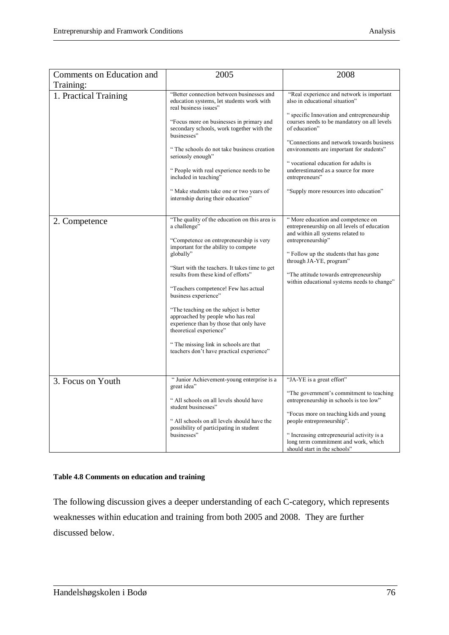| Comments on Education and | 2005                                                                                                                                                                                                                                                                                                                                                                                                                                                                                                                                                              | 2008                                                                                                                                                                                                                                                                                                                                                                                                                         |  |  |
|---------------------------|-------------------------------------------------------------------------------------------------------------------------------------------------------------------------------------------------------------------------------------------------------------------------------------------------------------------------------------------------------------------------------------------------------------------------------------------------------------------------------------------------------------------------------------------------------------------|------------------------------------------------------------------------------------------------------------------------------------------------------------------------------------------------------------------------------------------------------------------------------------------------------------------------------------------------------------------------------------------------------------------------------|--|--|
| Training:                 |                                                                                                                                                                                                                                                                                                                                                                                                                                                                                                                                                                   |                                                                                                                                                                                                                                                                                                                                                                                                                              |  |  |
| 1. Practical Training     | "Better connection between businesses and<br>education systems, let students work with<br>real business issues"<br>"Focus more on businesses in primary and<br>secondary schools, work together with the<br>businesses"<br>"The schools do not take business creation<br>seriously enough"<br>" People with real experience needs to be<br>included in teaching"<br>" Make students take one or two years of<br>internship during their education"                                                                                                                | "Real experience and network is important<br>also in educational situation"<br>" specific Innovation and entrepreneurship<br>courses needs to be mandatory on all levels<br>of education"<br>"Connections and network towards business<br>environments are important for students"<br>"vocational education for adults is<br>underestimated as a source for more<br>entrepreneurs"<br>"Supply more resources into education" |  |  |
| 2. Competence             | "The quality of the education on this area is<br>a challenge"<br>"Competence on entrepreneurship is very<br>important for the ability to compete<br>globally"<br>"Start with the teachers. It takes time to get<br>results from these kind of efforts"<br>"Teachers competence! Few has actual<br>business experience"<br>"The teaching on the subject is better<br>approached by people who has real<br>experience than by those that only have<br>theoretical experience"<br>"The missing link in schools are that<br>teachers don't have practical experience" | "More education and competence on<br>entrepreneurship on all levels of education<br>and within all systems related to<br>entrepreneurship"<br>" Follow up the students that has gone<br>through JA-YE, program"<br>"The attitude towards entrepreneurship"<br>within educational systems needs to change"                                                                                                                    |  |  |
| 3. Focus on Youth         | " Junior Achievement-young enterprise is a<br>great idea"<br>" All schools on all levels should have<br>student businesses"<br>" All schools on all levels should have the<br>possibility of participating in student<br>businesses"                                                                                                                                                                                                                                                                                                                              | "JA-YE is a great effort"<br>"The government's commitment to teaching<br>entrepreneurship in schools is too low"<br>"Focus more on teaching kids and young<br>people entrepreneurship".<br>" Increasing entrepreneurial activity is a<br>long term commitment and work, which<br>should start in the schools"                                                                                                                |  |  |

### **Table 4.8 Comments on education and training**

The following discussion gives a deeper understanding of each C-category, which represents weaknesses within education and training from both 2005 and 2008. They are further discussed below.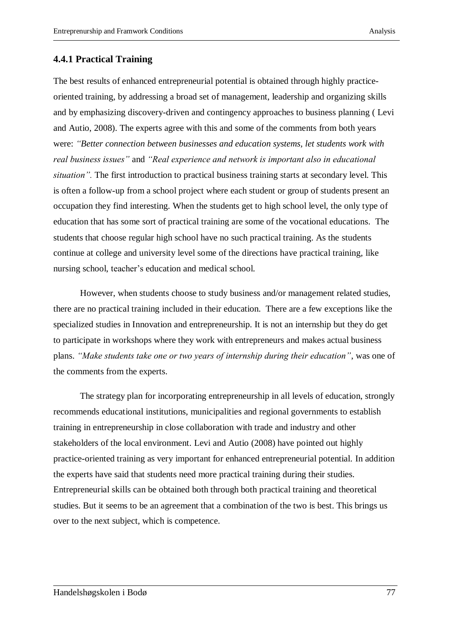### **4.4.1 Practical Training**

The best results of enhanced entrepreneurial potential is obtained through highly practiceoriented training, by addressing a broad set of management, leadership and organizing skills and by emphasizing discovery-driven and contingency approaches to business planning ( Levi and Autio, 2008). The experts agree with this and some of the comments from both years were: *"Better connection between businesses and education systems, let students work with real business issues"* and *"Real experience and network is important also in educational situation".* The first introduction to practical business training starts at secondary level. This is often a follow-up from a school project where each student or group of students present an occupation they find interesting. When the students get to high school level, the only type of education that has some sort of practical training are some of the vocational educations. The students that choose regular high school have no such practical training. As the students continue at college and university level some of the directions have practical training, like nursing school, teacher's education and medical school.

However, when students choose to study business and/or management related studies, there are no practical training included in their education. There are a few exceptions like the specialized studies in Innovation and entrepreneurship. It is not an internship but they do get to participate in workshops where they work with entrepreneurs and makes actual business plans. *"Make students take one or two years of internship during their education"*, was one of the comments from the experts.

The strategy plan for incorporating entrepreneurship in all levels of education, strongly recommends educational institutions, municipalities and regional governments to establish training in entrepreneurship in close collaboration with trade and industry and other stakeholders of the local environment. Levi and Autio (2008) have pointed out highly practice-oriented training as very important for enhanced entrepreneurial potential. In addition the experts have said that students need more practical training during their studies. Entrepreneurial skills can be obtained both through both practical training and theoretical studies. But it seems to be an agreement that a combination of the two is best. This brings us over to the next subject, which is competence.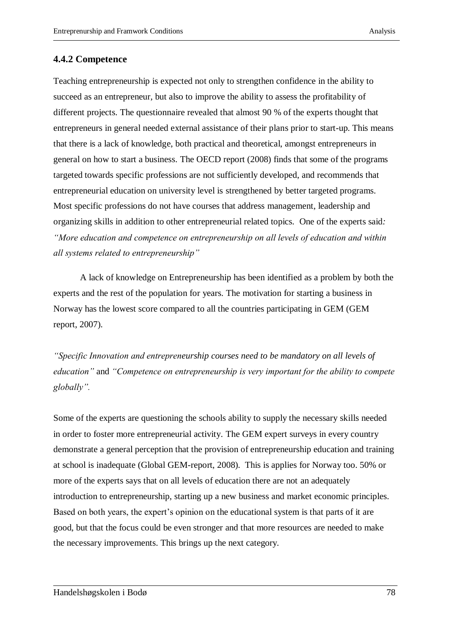### **4.4.2 Competence**

Teaching entrepreneurship is expected not only to strengthen confidence in the ability to succeed as an entrepreneur, but also to improve the ability to assess the profitability of different projects. The questionnaire revealed that almost 90 % of the experts thought that entrepreneurs in general needed external assistance of their plans prior to start-up. This means that there is a lack of knowledge, both practical and theoretical, amongst entrepreneurs in general on how to start a business. The OECD report (2008) finds that some of the programs targeted towards specific professions are not sufficiently developed, and recommends that entrepreneurial education on university level is strengthened by better targeted programs. Most specific professions do not have courses that address management, leadership and organizing skills in addition to other entrepreneurial related topics. One of the experts said*: "More education and competence on entrepreneurship on all levels of education and within all systems related to entrepreneurship"*

A lack of knowledge on Entrepreneurship has been identified as a problem by both the experts and the rest of the population for years. The motivation for starting a business in Norway has the lowest score compared to all the countries participating in GEM (GEM report, 2007).

*"Specific Innovation and entrepreneurship courses need to be mandatory on all levels of education"* and *"Competence on entrepreneurship is very important for the ability to compete globally".*

Some of the experts are questioning the schools ability to supply the necessary skills needed in order to foster more entrepreneurial activity. The GEM expert surveys in every country demonstrate a general perception that the provision of entrepreneurship education and training at school is inadequate (Global GEM-report, 2008). This is applies for Norway too. 50% or more of the experts says that on all levels of education there are not an adequately introduction to entrepreneurship, starting up a new business and market economic principles. Based on both years, the expert's opinion on the educational system is that parts of it are good, but that the focus could be even stronger and that more resources are needed to make the necessary improvements. This brings up the next category.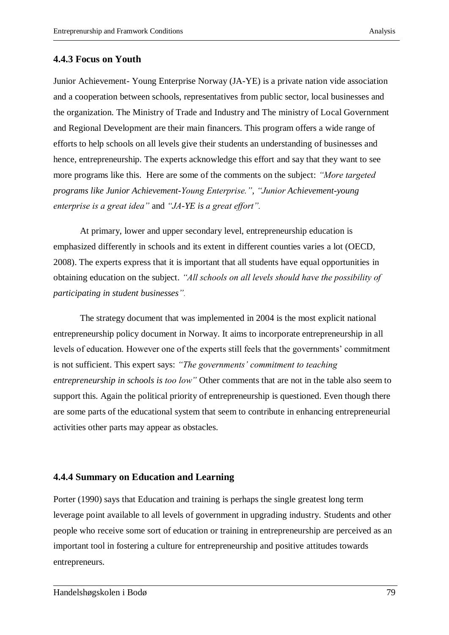### **4.4.3 Focus on Youth**

Junior Achievement- Young Enterprise Norway (JA-YE) is a private nation vide association and a cooperation between schools, representatives from public sector, local businesses and the organization. The Ministry of Trade and Industry and The ministry of Local Government and Regional Development are their main financers. This program offers a wide range of efforts to help schools on all levels give their students an understanding of businesses and hence, entrepreneurship. The experts acknowledge this effort and say that they want to see more programs like this. Here are some of the comments on the subject: *"More targeted programs like Junior Achievement-Young Enterprise.", "Junior Achievement-young enterprise is a great idea"* and *"JA-YE is a great effort".*

At primary, lower and upper secondary level, entrepreneurship education is emphasized differently in schools and its extent in different counties varies a lot (OECD, 2008). The experts express that it is important that all students have equal opportunities in obtaining education on the subject. *"All schools on all levels should have the possibility of participating in student businesses"*.

The strategy document that was implemented in 2004 is the most explicit national entrepreneurship policy document in Norway. It aims to incorporate entrepreneurship in all levels of education. However one of the experts still feels that the governments' commitment is not sufficient. This expert says: *"The governments' commitment to teaching entrepreneurship in schools is too low"* Other comments that are not in the table also seem to support this. Again the political priority of entrepreneurship is questioned. Even though there are some parts of the educational system that seem to contribute in enhancing entrepreneurial activities other parts may appear as obstacles.

### **4.4.4 Summary on Education and Learning**

Porter (1990) says that Education and training is perhaps the single greatest long term leverage point available to all levels of government in upgrading industry. Students and other people who receive some sort of education or training in entrepreneurship are perceived as an important tool in fostering a culture for entrepreneurship and positive attitudes towards entrepreneurs.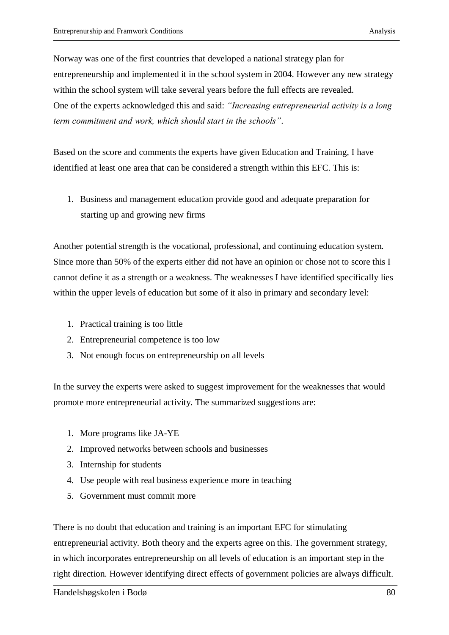Norway was one of the first countries that developed a national strategy plan for entrepreneurship and implemented it in the school system in 2004. However any new strategy within the school system will take several years before the full effects are revealed. One of the experts acknowledged this and said: *"Increasing entrepreneurial activity is a long term commitment and work, which should start in the schools"*.

Based on the score and comments the experts have given Education and Training, I have identified at least one area that can be considered a strength within this EFC. This is:

1. Business and management education provide good and adequate preparation for starting up and growing new firms

Another potential strength is the vocational, professional, and continuing education system. Since more than 50% of the experts either did not have an opinion or chose not to score this I cannot define it as a strength or a weakness. The weaknesses I have identified specifically lies within the upper levels of education but some of it also in primary and secondary level:

- 1. Practical training is too little
- 2. Entrepreneurial competence is too low
- 3. Not enough focus on entrepreneurship on all levels

In the survey the experts were asked to suggest improvement for the weaknesses that would promote more entrepreneurial activity. The summarized suggestions are:

- 1. More programs like JA-YE
- 2. Improved networks between schools and businesses
- 3. Internship for students
- 4. Use people with real business experience more in teaching
- 5. Government must commit more

There is no doubt that education and training is an important EFC for stimulating entrepreneurial activity. Both theory and the experts agree on this. The government strategy, in which incorporates entrepreneurship on all levels of education is an important step in the right direction. However identifying direct effects of government policies are always difficult.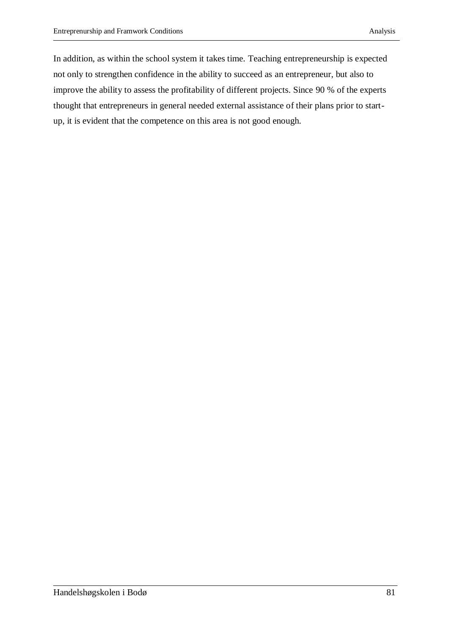In addition, as within the school system it takes time. Teaching entrepreneurship is expected not only to strengthen confidence in the ability to succeed as an entrepreneur, but also to improve the ability to assess the profitability of different projects. Since 90 % of the experts thought that entrepreneurs in general needed external assistance of their plans prior to startup, it is evident that the competence on this area is not good enough.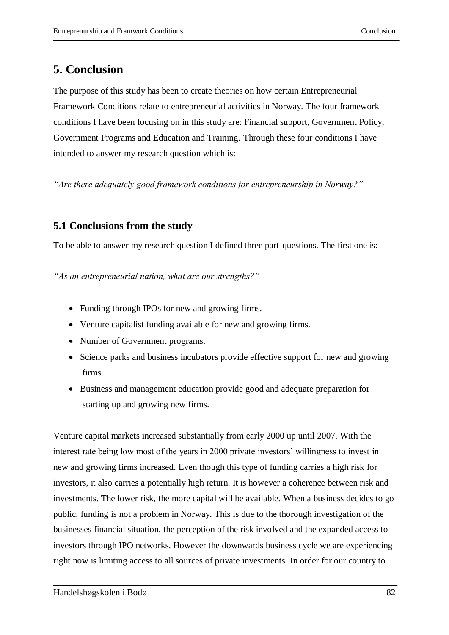# **5. Conclusion**

The purpose of this study has been to create theories on how certain Entrepreneurial Framework Conditions relate to entrepreneurial activities in Norway. The four framework conditions I have been focusing on in this study are: Financial support, Government Policy, Government Programs and Education and Training. Through these four conditions I have intended to answer my research question which is:

*"Are there adequately good framework conditions for entrepreneurship in Norway?"*

## **5.1 Conclusions from the study**

To be able to answer my research question I defined three part-questions. The first one is:

*"As an entrepreneurial nation, what are our strengths?"*

- Funding through IPOs for new and growing firms.
- Venture capitalist funding available for new and growing firms.
- Number of Government programs.
- Science parks and business incubators provide effective support for new and growing firms.
- Business and management education provide good and adequate preparation for starting up and growing new firms.

Venture capital markets increased substantially from early 2000 up until 2007. With the interest rate being low most of the years in 2000 private investors' willingness to invest in new and growing firms increased. Even though this type of funding carries a high risk for investors, it also carries a potentially high return. It is however a coherence between risk and investments. The lower risk, the more capital will be available. When a business decides to go public, funding is not a problem in Norway. This is due to the thorough investigation of the businesses financial situation, the perception of the risk involved and the expanded access to investors through IPO networks. However the downwards business cycle we are experiencing right now is limiting access to all sources of private investments. In order for our country to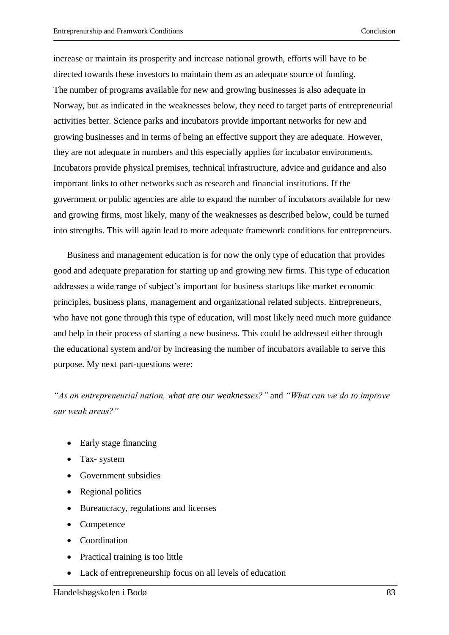increase or maintain its prosperity and increase national growth, efforts will have to be directed towards these investors to maintain them as an adequate source of funding. The number of programs available for new and growing businesses is also adequate in Norway, but as indicated in the weaknesses below, they need to target parts of entrepreneurial activities better. Science parks and incubators provide important networks for new and growing businesses and in terms of being an effective support they are adequate. However, they are not adequate in numbers and this especially applies for incubator environments. Incubators provide physical premises, technical infrastructure, advice and guidance and also important links to other networks such as research and financial institutions. If the government or public agencies are able to expand the number of incubators available for new and growing firms, most likely, many of the weaknesses as described below, could be turned into strengths. This will again lead to more adequate framework conditions for entrepreneurs.

Business and management education is for now the only type of education that provides good and adequate preparation for starting up and growing new firms. This type of education addresses a wide range of subject's important for business startups like market economic principles, business plans, management and organizational related subjects. Entrepreneurs, who have not gone through this type of education, will most likely need much more guidance and help in their process of starting a new business. This could be addressed either through the educational system and/or by increasing the number of incubators available to serve this purpose. My next part-questions were:

*"As an entrepreneurial nation, what are our weaknesses?"* and *"What can we do to improve our weak areas?"*

- Early stage financing
- Tax- system
- Government subsidies
- Regional politics
- Bureaucracy, regulations and licenses
- Competence
- Coordination
- Practical training is too little
- Lack of entrepreneurship focus on all levels of education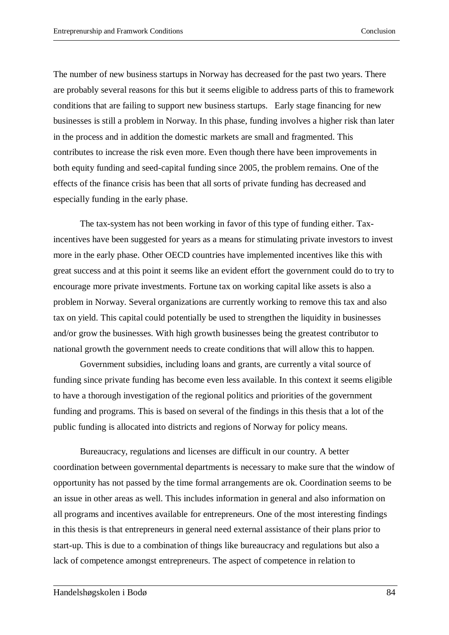The number of new business startups in Norway has decreased for the past two years. There are probably several reasons for this but it seems eligible to address parts of this to framework conditions that are failing to support new business startups. Early stage financing for new businesses is still a problem in Norway. In this phase, funding involves a higher risk than later in the process and in addition the domestic markets are small and fragmented. This contributes to increase the risk even more. Even though there have been improvements in both equity funding and seed-capital funding since 2005, the problem remains. One of the effects of the finance crisis has been that all sorts of private funding has decreased and especially funding in the early phase.

The tax-system has not been working in favor of this type of funding either. Taxincentives have been suggested for years as a means for stimulating private investors to invest more in the early phase. Other OECD countries have implemented incentives like this with great success and at this point it seems like an evident effort the government could do to try to encourage more private investments. Fortune tax on working capital like assets is also a problem in Norway. Several organizations are currently working to remove this tax and also tax on yield. This capital could potentially be used to strengthen the liquidity in businesses and/or grow the businesses. With high growth businesses being the greatest contributor to national growth the government needs to create conditions that will allow this to happen.

Government subsidies, including loans and grants, are currently a vital source of funding since private funding has become even less available. In this context it seems eligible to have a thorough investigation of the regional politics and priorities of the government funding and programs. This is based on several of the findings in this thesis that a lot of the public funding is allocated into districts and regions of Norway for policy means.

Bureaucracy, regulations and licenses are difficult in our country. A better coordination between governmental departments is necessary to make sure that the window of opportunity has not passed by the time formal arrangements are ok. Coordination seems to be an issue in other areas as well. This includes information in general and also information on all programs and incentives available for entrepreneurs. One of the most interesting findings in this thesis is that entrepreneurs in general need external assistance of their plans prior to start-up. This is due to a combination of things like bureaucracy and regulations but also a lack of competence amongst entrepreneurs. The aspect of competence in relation to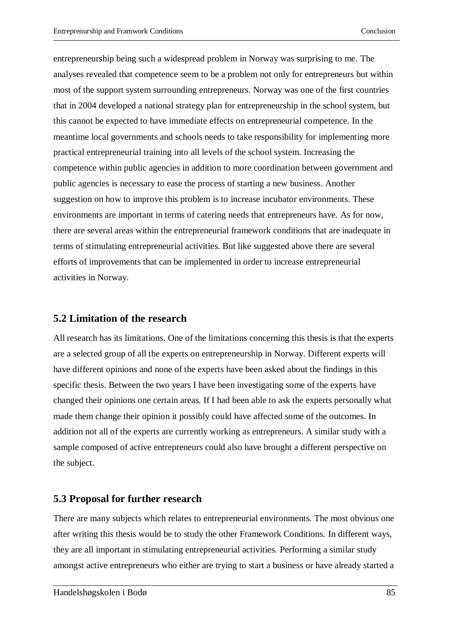entrepreneurship being such a widespread problem in Norway was surprising to me. The analyses revealed that competence seem to be a problem not only for entrepreneurs but within most of the support system surrounding entrepreneurs. Norway was one of the first countries that in 2004 developed a national strategy plan for entrepreneurship in the school system, but this cannot be expected to have immediate effects on entrepreneurial competence. In the meantime local governments and schools needs to take responsibility for implementing more practical entrepreneurial training into all levels of the school system. Increasing the competence within public agencies in addition to more coordination between government and public agencies is necessary to ease the process of starting a new business. Another suggestion on how to improve this problem is to increase incubator environments. These environments are important in terms of catering needs that entrepreneurs have. As for now, there are several areas within the entrepreneurial framework conditions that are inadequate in terms of stimulating entrepreneurial activities. But like suggested above there are several efforts of improvements that can be implemented in order to increase entrepreneurial activities in Norway.

## **5.2 Limitation of the research**

All research has its limitations. One of the limitations concerning this thesis is that the experts are a selected group of all the experts on entrepreneurship in Norway. Different experts will have different opinions and none of the experts have been asked about the findings in this specific thesis. Between the two years I have been investigating some of the experts have changed their opinions one certain areas. If I had been able to ask the experts personally what made them change their opinion it possibly could have affected some of the outcomes. In addition not all of the experts are currently working as entrepreneurs. A similar study with a sample composed of active entrepreneurs could also have brought a different perspective on the subject.

## **5.3 Proposal for further research**

There are many subjects which relates to entrepreneurial environments. The most obvious one after writing this thesis would be to study the other Framework Conditions. In different ways, they are all important in stimulating entrepreneurial activities. Performing a similar study amongst active entrepreneurs who either are trying to start a business or have already started a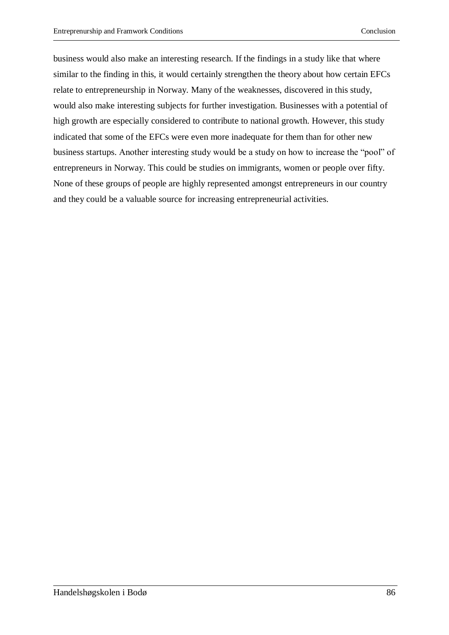business would also make an interesting research. If the findings in a study like that where similar to the finding in this, it would certainly strengthen the theory about how certain EFCs relate to entrepreneurship in Norway. Many of the weaknesses, discovered in this study, would also make interesting subjects for further investigation. Businesses with a potential of high growth are especially considered to contribute to national growth. However, this study indicated that some of the EFCs were even more inadequate for them than for other new business startups. Another interesting study would be a study on how to increase the "pool" of entrepreneurs in Norway. This could be studies on immigrants, women or people over fifty. None of these groups of people are highly represented amongst entrepreneurs in our country and they could be a valuable source for increasing entrepreneurial activities.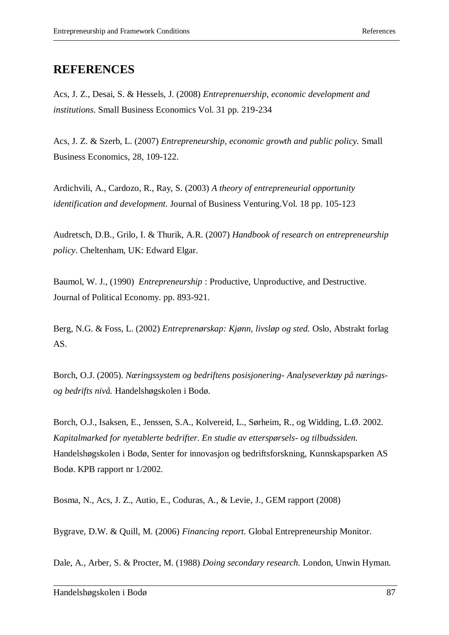## **REFERENCES**

Acs, J. Z., Desai, S. & Hessels, J. (2008) *Entreprenuership, economic development and institutions*. Small Business Economics Vol. 31 pp. 219-234

Acs, J. Z. & Szerb, L. (2007) *Entrepreneurship, economic growth and public policy.* Small Business Economics, 28, 109-122.

Ardichvili, A., Cardozo, R., Ray, S. (2003) *A theory of entrepreneurial opportunity identification and development.* Journal of Business Venturing.Vol. 18 pp. 105-123

Audretsch, D.B., Grilo, I. & Thurik, A.R. (2007) *Handbook of research on entrepreneurship policy*. Cheltenham, UK: Edward Elgar.

Baumol, W. J., (1990) *Entrepreneurship* : Productive, Unproductive, and Destructive. Journal of Political Economy. pp. 893-921.

Berg, N.G. & Foss, L. (2002) *Entreprenørskap: Kjønn, livsløp og sted.* Oslo, Abstrakt forlag AS.

Borch, O.J. (2005). *Næringssystem og bedriftens posisjonering- Analyseverktøy på næringsog bedrifts nivå.* Handelshøgskolen i Bodø.

Borch, O.J., Isaksen, E., Jenssen, S.A., Kolvereid, L., Sørheim, R., og Widding, L.Ø. 2002. *Kapitalmarked for nyetablerte bedrifter. En studie av etterspørsels- og tilbudssiden.* Handelshøgskolen i Bodø, Senter for innovasjon og bedriftsforskning, Kunnskapsparken AS Bodø. KPB rapport nr 1/2002.

Bosma, N., Acs, J. Z., Autio, E., Coduras, A., & Levie, J., GEM rapport (2008)

Bygrave, D.W. & Quill, M. (2006) *Financing report.* Global Entrepreneurship Monitor.

Dale, A., Arber, S. & Procter, M. (1988) *Doing secondary research.* London, Unwin Hyman.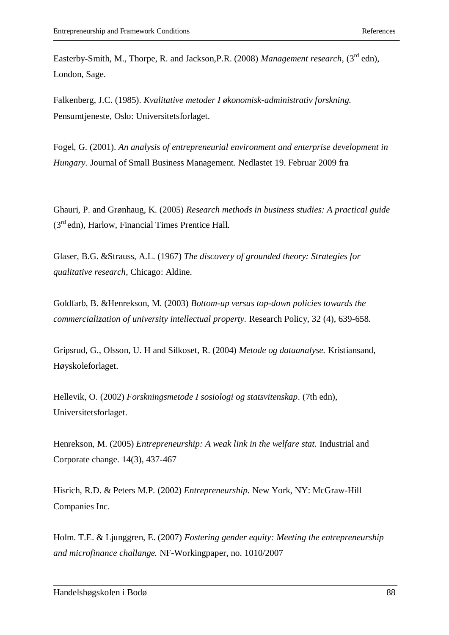Easterby-Smith, M., Thorpe, R. and Jackson, P.R. (2008) *Management research*, (3<sup>rd</sup> edn), London, Sage.

Falkenberg, J.C. (1985). *Kvalitative metoder I økonomisk-administrativ forskning.* Pensumtjeneste, Oslo: Universitetsforlaget.

Fogel, G. (2001). *An analysis of entrepreneurial environment and enterprise development in Hungary.* Journal of Small Business Management. Nedlastet 19. Februar 2009 fra

Ghauri, P. and Grønhaug, K. (2005) *Research methods in business studies: A practical guide*   $(3<sup>rd</sup>$ edn), Harlow, Financial Times Prentice Hall.

Glaser, B.G. &Strauss, A.L. (1967) *The discovery of grounded theory: Strategies for qualitative research,* Chicago: Aldine.

Goldfarb, B. &Henrekson, M. (2003) *Bottom-up versus top-down policies towards the commercialization of university intellectual property.* Research Policy, 32 (4), 639-658.

Gripsrud, G., Olsson, U. H and Silkoset, R. (2004) *Metode og dataanalyse.* Kristiansand, Høyskoleforlaget.

Hellevik, O. (2002) *Forskningsmetode I sosiologi og statsvitenskap*. (7th edn), Universitetsforlaget.

Henrekson, M. (2005) *Entrepreneurship: A weak link in the welfare stat.* Industrial and Corporate change. 14(3), 437-467

Hisrich, R.D. & Peters M.P. (2002) *Entrepreneurship.* New York, NY: McGraw-Hill Companies Inc.

Holm. T.E. & Ljunggren, E. (2007) *Fostering gender equity: Meeting the entrepreneurship and microfinance challange.* NF-Workingpaper, no. 1010/2007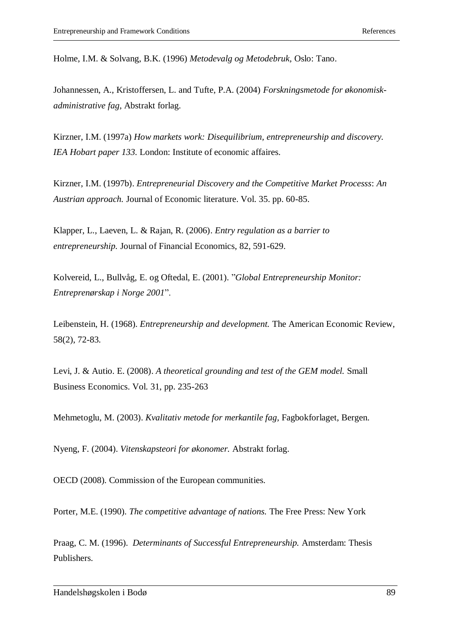Holme, I.M. & Solvang, B.K. (1996) *Metodevalg og Metodebruk,* Oslo: Tano.

Johannessen, A., Kristoffersen, L. and Tufte, P.A. (2004) *Forskningsmetode for økonomiskadministrative fag,* Abstrakt forlag.

Kirzner, I.M. (1997a) *How markets work: Disequilibrium, entrepreneurship and discovery. IEA Hobart paper 133.* London: Institute of economic affaires.

Kirzner, I.M. (1997b). *Entrepreneurial Discovery and the Competitive Market Processs*: *An Austrian approach.* Journal of Economic literature. Vol. 35. pp. 60-85.

Klapper, L., Laeven, L. & Rajan, R. (2006). *Entry regulation as a barrier to entrepreneurship.* Journal of Financial Economics, 82, 591-629.

Kolvereid, L., Bullvåg, E. og Oftedal, E. (2001). "*Global Entrepreneurship Monitor: Entreprenørskap i Norge 2001*".

Leibenstein, H. (1968). *Entrepreneurship and development.* The American Economic Review, 58(2), 72-83.

Levi, J. & Autio. E. (2008). *A theoretical grounding and test of the GEM model.* Small Business Economics. Vol. 31, pp. 235-263

Mehmetoglu, M. (2003). *Kvalitativ metode for merkantile fag,* Fagbokforlaget, Bergen.

Nyeng, F. (2004). *Vitenskapsteori for økonomer.* Abstrakt forlag.

OECD (2008). Commission of the European communities.

Porter, M.E. (1990). *The competitive advantage of nations.* The Free Press: New York

Praag, C. M. (1996). *Determinants of Successful Entrepreneurship.* Amsterdam: Thesis Publishers.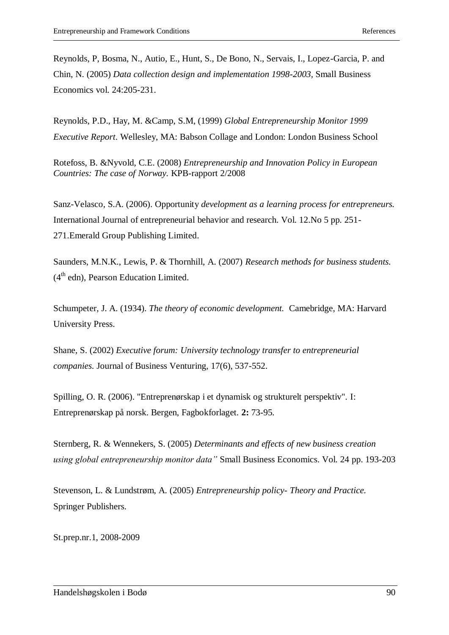Reynolds, P, Bosma, N., Autio, E., Hunt, S., De Bono, N., Servais, I., Lopez-Garcia, P. and Chin, N. (2005) *Data collection design and implementation 1998-2003,* Small Business Economics vol. 24:205-231.

Reynolds, P.D., Hay, M. &Camp, S.M, (1999) *Global Entrepreneurship Monitor 1999 Executive Report*. Wellesley, MA: Babson Collage and London: London Business School

Rotefoss, B. &Nyvold, C.E. (2008) *Entrepreneurship and Innovation Policy in European Countries: The case of Norway.* KPB-rapport 2/2008

Sanz-Velasco, S.A. (2006). Opportunity *development as a learning process for entrepreneurs.*  International Journal of entrepreneurial behavior and research. Vol. 12.No 5 pp. 251- 271.Emerald Group Publishing Limited.

Saunders, M.N.K., Lewis, P. & Thornhill, A. (2007) *Research methods for business students.*   $(4<sup>th</sup>$  edn), Pearson Education Limited.

Schumpeter, J. A. (1934). *The theory of economic development.* Camebridge, MA: Harvard University Press.

Shane, S. (2002) *Executive forum: University technology transfer to entrepreneurial companies.* Journal of Business Venturing, 17(6), 537-552.

Spilling, O. R. (2006). "Entreprenørskap i et dynamisk og strukturelt perspektiv". I: Entreprenørskap på norsk. Bergen, Fagbokforlaget. **2:** 73-95.

Sternberg, R. & Wennekers, S. (2005) *Determinants and effects of new business creation using global entrepreneurship monitor data"* Small Business Economics. Vol. 24 pp. 193-203

Stevenson, L. & Lundstrøm, A. (2005) *Entrepreneurship policy- Theory and Practice.*  Springer Publishers.

St.prep.nr.1, 2008-2009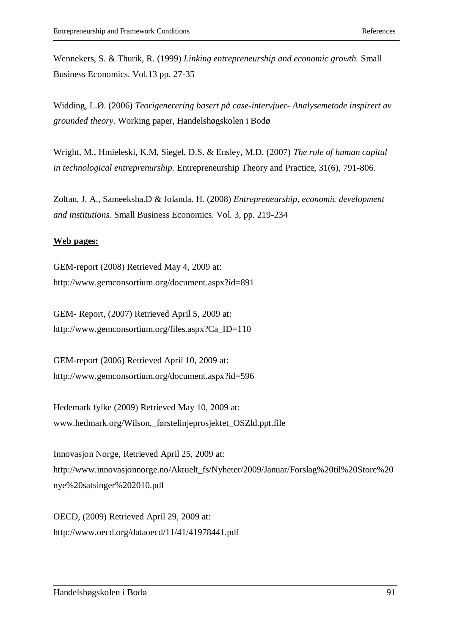Wennekers, S. & Thurik, R. (1999) *Linking entrepreneurship and economic growth.* Small Business Economics. Vol.13 pp. 27-35

Widding, L.Ø. (2006) *Teorigenerering basert på case-intervjuer- Analysemetode inspirert av grounded theory*. Working paper, Handelshøgskolen i Bodø

Wright, M., Hmieleski, K.M, Siegel, D.S. & Ensley, M.D. (2007) *The role of human capital in technological entreprenurship.* Entrepreneurship Theory and Practice, 31(6), 791-806.

Zoltan, J. A., Sameeksha.D & Jolanda. H. (2008) *Entrepreneurship, economic development and institutions.* Small Business Economics. Vol. 3, pp. 219-234

### **Web pages:**

GEM-report (2008) Retrieved May 4, 2009 at: http://www.gemconsortium.org/document.aspx?id=891

GEM- Report, (2007) Retrieved April 5, 2009 at: http://www.gemconsortium.org/files.aspx?Ca\_ID=110

GEM-report (2006) Retrieved April 10, 2009 at: http://www.gemconsortium.org/document.aspx?id=596

Hedemark fylke (2009) Retrieved May 10, 2009 at: www.hedmark.org/Wilson,\_førstelinjeprosjektet\_OSZld.ppt.file

Innovasjon Norge, Retrieved April 25, 2009 at: http://www.innovasjonnorge.no/Aktuelt\_fs/Nyheter/2009/Januar/Forslag%20til%20Store%20 nye%20satsinger%202010.pdf

OECD, (2009) Retrieved April 29, 2009 at: http://www.oecd.org/dataoecd/11/41/41978441.pdf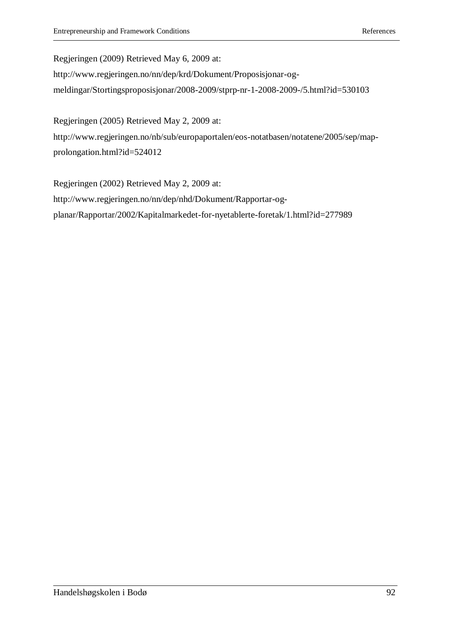Regjeringen (2009) Retrieved May 6, 2009 at:

http://www.regjeringen.no/nn/dep/krd/Dokument/Proposisjonar-ogmeldingar/Stortingsproposisjonar/2008-2009/stprp-nr-1-2008-2009-/5.html?id=530103

Regjeringen (2005) Retrieved May 2, 2009 at:

http://www.regjeringen.no/nb/sub/europaportalen/eos-notatbasen/notatene/2005/sep/mapprolongation.html?id=524012

Regjeringen (2002) Retrieved May 2, 2009 at: http://www.regjeringen.no/nn/dep/nhd/Dokument/Rapportar-ogplanar/Rapportar/2002/Kapitalmarkedet-for-nyetablerte-foretak/1.html?id=277989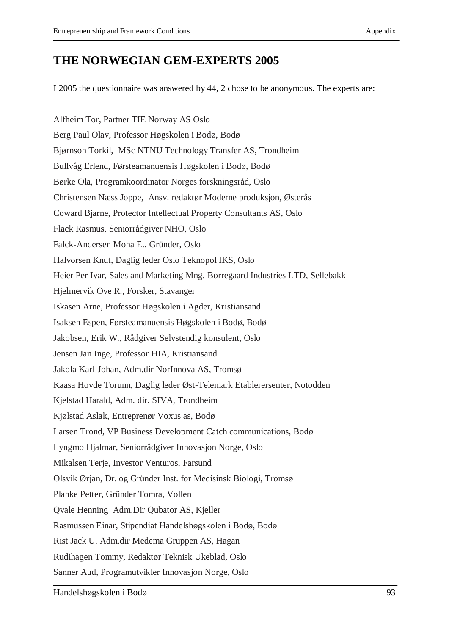# **THE NORWEGIAN GEM-EXPERTS 2005**

I 2005 the questionnaire was answered by 44, 2 chose to be anonymous. The experts are:

Alfheim Tor, Partner TIE Norway AS Oslo Berg Paul Olav, Professor Høgskolen i Bodø, Bodø Bjørnson Torkil, MSc NTNU Technology Transfer AS, Trondheim Bullvåg Erlend, Førsteamanuensis Høgskolen i Bodø, Bodø Børke Ola, Programkoordinator Norges forskningsråd, Oslo Christensen Næss Joppe, Ansv. redaktør Moderne produksjon, Østerås Coward Bjarne, Protector Intellectual Property Consultants AS, Oslo Flack Rasmus, Seniorrådgiver NHO, Oslo Falck-Andersen Mona E., Gründer, Oslo Halvorsen Knut, Daglig leder Oslo Teknopol IKS, Oslo Heier Per Ivar, Sales and Marketing Mng. Borregaard Industries LTD, Sellebakk Hjelmervik Ove R., Forsker, Stavanger Iskasen Arne, Professor Høgskolen i Agder, Kristiansand Isaksen Espen, Førsteamanuensis Høgskolen i Bodø, Bodø Jakobsen, Erik W., Rådgiver Selvstendig konsulent, Oslo Jensen Jan Inge, Professor HIA, Kristiansand Jakola Karl-Johan, Adm.dir NorInnova AS, Tromsø Kaasa Hovde Torunn, Daglig leder Øst-Telemark Etablerersenter, Notodden Kjelstad Harald, Adm. dir. SIVA, Trondheim Kjølstad Aslak, Entreprenør Voxus as, Bodø Larsen Trond, VP Business Development Catch communications, Bodø Lyngmo Hjalmar, Seniorrådgiver Innovasjon Norge, Oslo Mikalsen Terje, Investor Venturos, Farsund Olsvik Ørjan, Dr. og Gründer Inst. for Medisinsk Biologi, Tromsø Planke Petter, Gründer Tomra, Vollen Qvale Henning Adm.Dir Qubator AS, Kjeller Rasmussen Einar, Stipendiat Handelshøgskolen i Bodø, Bodø Rist Jack U. Adm.dir Medema Gruppen AS, Hagan Rudihagen Tommy, Redaktør Teknisk Ukeblad, Oslo Sanner Aud, Programutvikler Innovasjon Norge, Oslo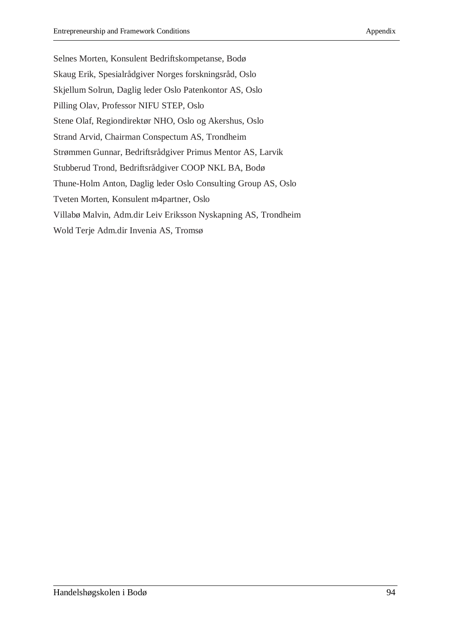Selnes Morten, Konsulent Bedriftskompetanse, Bodø Skaug Erik, Spesialrådgiver Norges forskningsråd, Oslo Skjellum Solrun, Daglig leder Oslo Patenkontor AS, Oslo Pilling Olav, Professor NIFU STEP, Oslo Stene Olaf, Regiondirektør NHO, Oslo og Akershus, Oslo Strand Arvid, Chairman Conspectum AS, Trondheim Strømmen Gunnar, Bedriftsrådgiver Primus Mentor AS, Larvik Stubberud Trond, Bedriftsrådgiver COOP NKL BA, Bodø Thune-Holm Anton, Daglig leder Oslo Consulting Group AS, Oslo Tveten Morten, Konsulent m4partner, Oslo Villabø Malvin, Adm.dir Leiv Eriksson Nyskapning AS, Trondheim Wold Terje Adm.dir Invenia AS, Tromsø